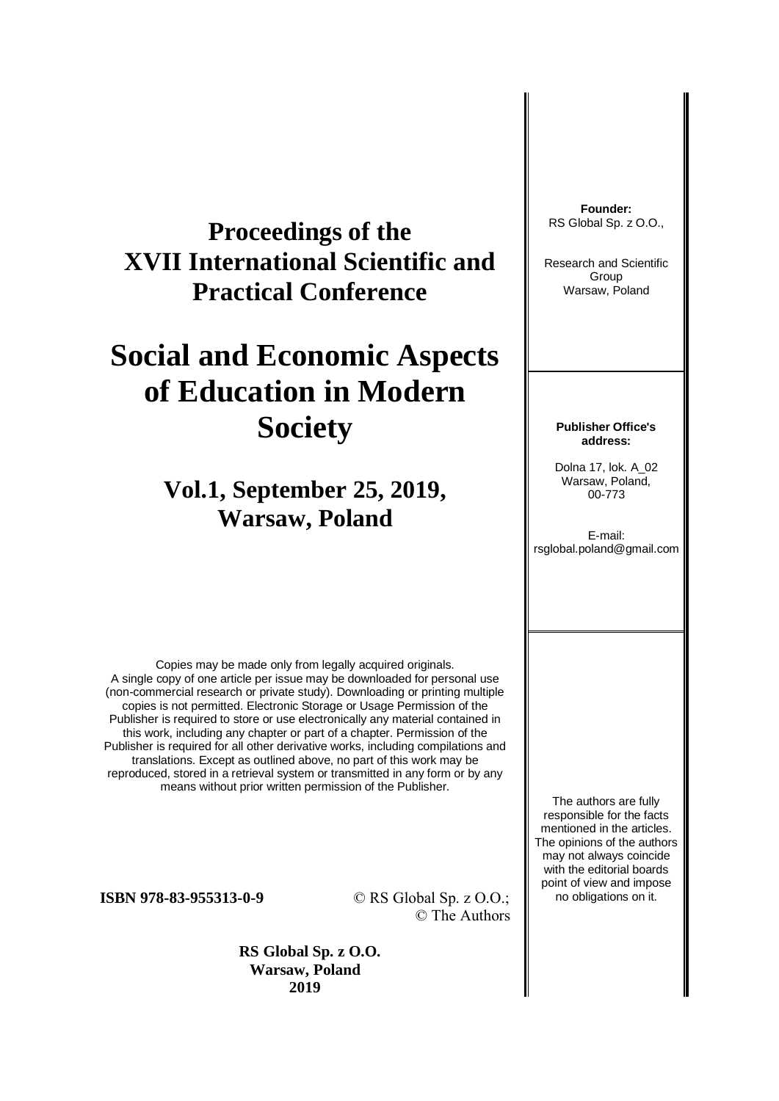# **Proceedings of the XVII International Scientific and Practical Conference**

# **Social and Economic Aspects of Education in Modern Society**

# **Vol.1, September 25, 2019, Warsaw, Poland**

Copies may be made only from legally acquired originals. A single copy of one article per issue may be downloaded for personal use (non-commercial research or private study). Downloading or printing multiple copies is not permitted. Electronic Storage or Usage Permission of the Publisher is required to store or use electronically any material contained in this work, including any chapter or part of a chapter. Permission of the Publisher is required for all other derivative works, including compilations and translations. Except as outlined above, no part of this work may be reproduced, stored in a retrieval system or transmitted in any form or by any means without prior written permission of the Publisher.

**ISBN 978-83-955313-0-9** © RS Global Sp. z O.O.; © The Authors

> **RS Global Sp. z O.O. Warsaw, Poland 2019**

**Founder:** RS Global Sp. z O.O.,

Research and Scientific Group Warsaw, Poland

#### **Publisher Office's address:**

Dolna 17, lok. A\_02 Warsaw, Poland, 00-773

E-mail: rsglobal.poland@gmail.com

The authors are fully responsible for the facts mentioned in the articles. The opinions of the authors may not always coincide with the editorial boards point of view and impose no obligations on it.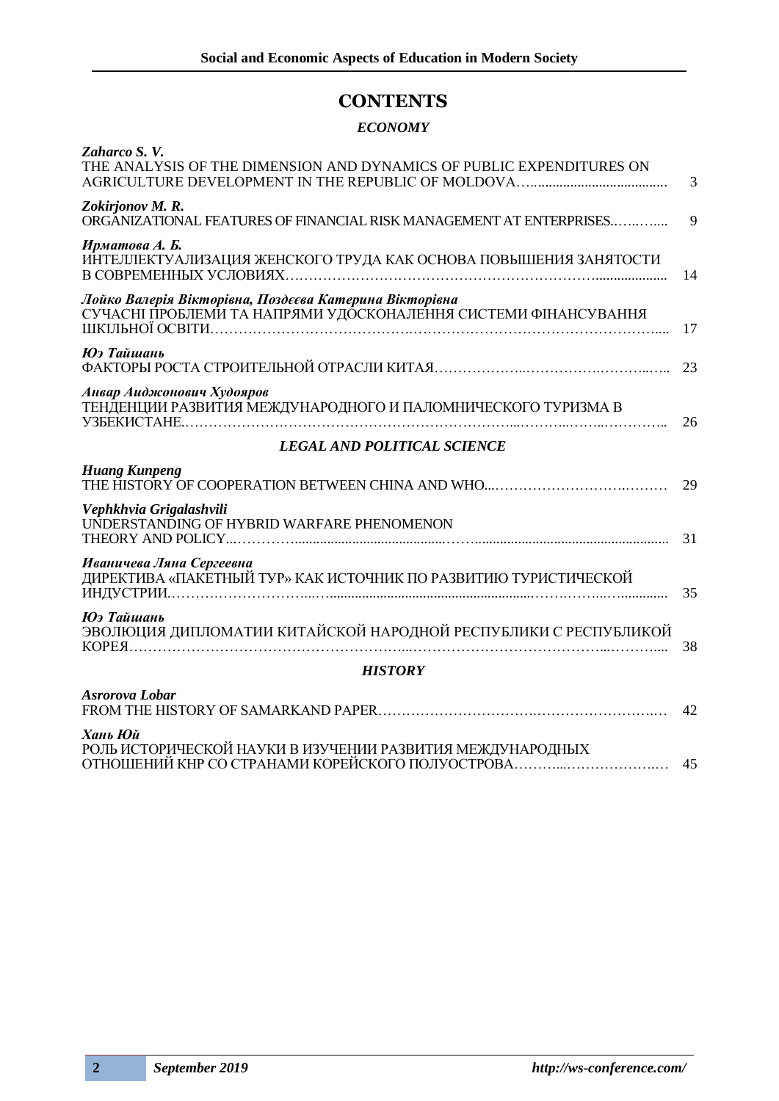## **CONTENTS**

### *ECONOMY*

| Zaharco S.V.<br>THE ANALYSIS OF THE DIMENSION AND DYNAMICS OF PUBLIC EXPENDITURES ON                                     | 3  |
|--------------------------------------------------------------------------------------------------------------------------|----|
| Zokirjonov M.R.<br>ORGANIZATIONAL FEATURES OF FINANCIAL RISK MANAGEMENT AT ENTERPRISES                                   | 9  |
| Ирматова А. Б.<br>ИНТЕЛЛЕКТУАЛИЗАЦИЯ ЖЕНСКОГО ТРУДА КАК ОСНОВА ПОВЫШЕНИЯ ЗАНЯТОСТИ                                       | 14 |
| Лойко Валерія Вікторівна, Поздєєва Катерина Вікторівна<br>СУЧАСНІ ПРОБЛЕМИ ТА НАПРЯМИ УДОСКОНАЛЕННЯ СИСТЕМИ ФІНАНСУВАННЯ | 17 |
| Юэ Тайшань                                                                                                               | 23 |
| Анвар Аиджонович Худояров<br>ТЕНДЕНЦИИ РАЗВИТИЯ МЕЖДУНАРОДНОГО И ПАЛОМНИЧЕСКОГО ТУРИЗМА В                                | 26 |
| <b>LEGAL AND POLITICAL SCIENCE</b>                                                                                       |    |
| <b>Huang Kunpeng</b>                                                                                                     | 29 |
| Vephkhvia Grigalashvili<br>UNDERSTANDING OF HYBRID WARFARE PHENOMENON                                                    | 31 |
| Иваничева Ляна Сергеевна<br>ДИРЕКТИВА «ПАКЕТНЫЙ ТУР» КАК ИСТОЧНИК ПО РАЗВИТИЮ ТУРИСТИЧЕСКОЙ                              | 35 |
| Юэ Тайшань<br>ЭВОЛЮЦИЯ ДИПЛОМАТИИ КИТАЙСКОЙ НАРОДНОЙ РЕСПУБЛИКИ С РЕСПУБЛИКОЙ                                            | 38 |
| <b>HISTORY</b>                                                                                                           |    |
| Asrorova Lobar                                                                                                           | 42 |
| Хань Юй<br>РОЛЬ ИСТОРИЧЕСКОЙ НАУКИ В ИЗУЧЕНИИ РАЗВИТИЯ МЕЖДУНАРОДНЫХ<br>ОТНОШЕНИЙ КНР СО СТРАНАМИ КОРЕЙСКОГО ПОЛУОСТРОВА | 45 |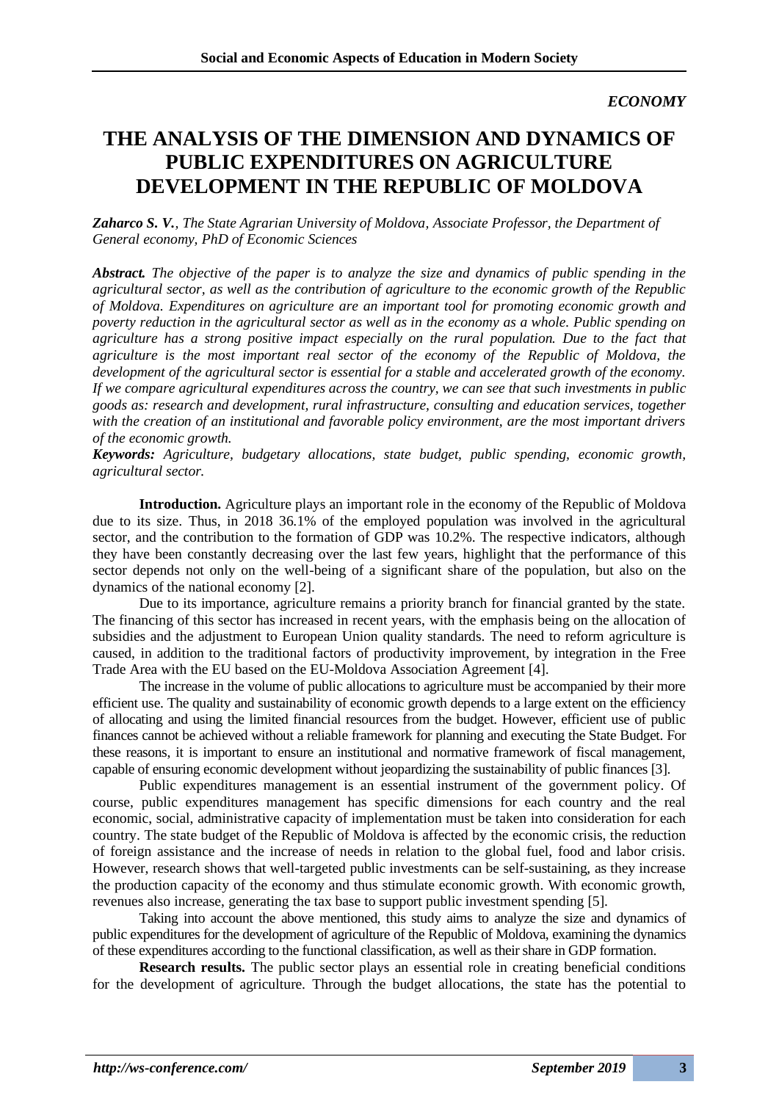# **THE ANALYSIS OF THE DIMENSION AND DYNAMICS OF PUBLIC EXPENDITURES ON AGRICULTURE DEVELOPMENT IN THE REPUBLIC OF MOLDOVA**

*Zaharco S. V., The State Agrarian University of Moldova, Associate Professor, the Department of General economy, PhD of Economic Sciences*

*Abstract. The objective of the paper is to analyze the size and dynamics of public spending in the agricultural sector, as well as the contribution of agriculture to the economic growth of the Republic of Moldova. Expenditures on agriculture are an important tool for promoting economic growth and poverty reduction in the agricultural sector as well as in the economy as a whole. Public spending on agriculture has a strong positive impact especially on the rural population. Due to the fact that agriculture is the most important real sector of the economy of the Republic of Moldova, the development of the agricultural sector is essential for a stable and accelerated growth of the economy. If we compare agricultural expenditures across the country, we can see that such investments in public goods as: research and development, rural infrastructure, consulting and education services, together with the creation of an institutional and favorable policy environment, are the most important drivers of the economic growth.*

*Keywords: Agriculture, budgetary allocations, state budget, public spending, economic growth, agricultural sector.*

**Introduction.** Agriculture plays an important role in the economy of the Republic of Moldova due to its size. Thus, in 2018 36.1% of the employed population was involved in the agricultural sector, and the contribution to the formation of GDP was 10.2%. The respective indicators, although they have been constantly decreasing over the last few years, highlight that the performance of this sector depends not only on the well-being of a significant share of the population, but also on the dynamics of the national economy [2].

Due to its importance, agriculture remains a priority branch for financial granted by the state. The financing of this sector has increased in recent years, with the emphasis being on the allocation of subsidies and the adjustment to European Union quality standards. The need to reform agriculture is caused, in addition to the traditional factors of productivity improvement, by integration in the Free Trade Area with the EU based on the EU-Moldova Association Agreement [4].

The increase in the volume of public allocations to agriculture must be accompanied by their more efficient use. The quality and sustainability of economic growth depends to a large extent on the efficiency of allocating and using the limited financial resources from the budget. However, efficient use of public finances cannot be achieved without a reliable framework for planning and executing the State Budget. For these reasons, it is important to ensure an institutional and normative framework of fiscal management, capable of ensuring economic development without jeopardizing the sustainability of public finances [3].

Public expenditures management is an essential instrument of the government policy. Of course, public expenditures management has specific dimensions for each country and the real economic, social, administrative capacity of implementation must be taken into consideration for each country. The state budget of the Republic of Moldova is affected by the economic crisis, the reduction of foreign assistance and the increase of needs in relation to the global fuel, food and labor crisis. However, research shows that well-targeted public investments can be self-sustaining, as they increase the production capacity of the economy and thus stimulate economic growth. With economic growth, revenues also increase, generating the tax base to support public investment spending [5].

Taking into account the above mentioned, this study aims to analyze the size and dynamics of public expenditures for the development of agriculture of the Republic of Moldova, examining the dynamics of these expenditures according to the functional classification, as well as their share in GDP formation.

**Research results.** The public sector plays an essential role in creating beneficial conditions for the development of agriculture. Through the budget allocations, the state has the potential to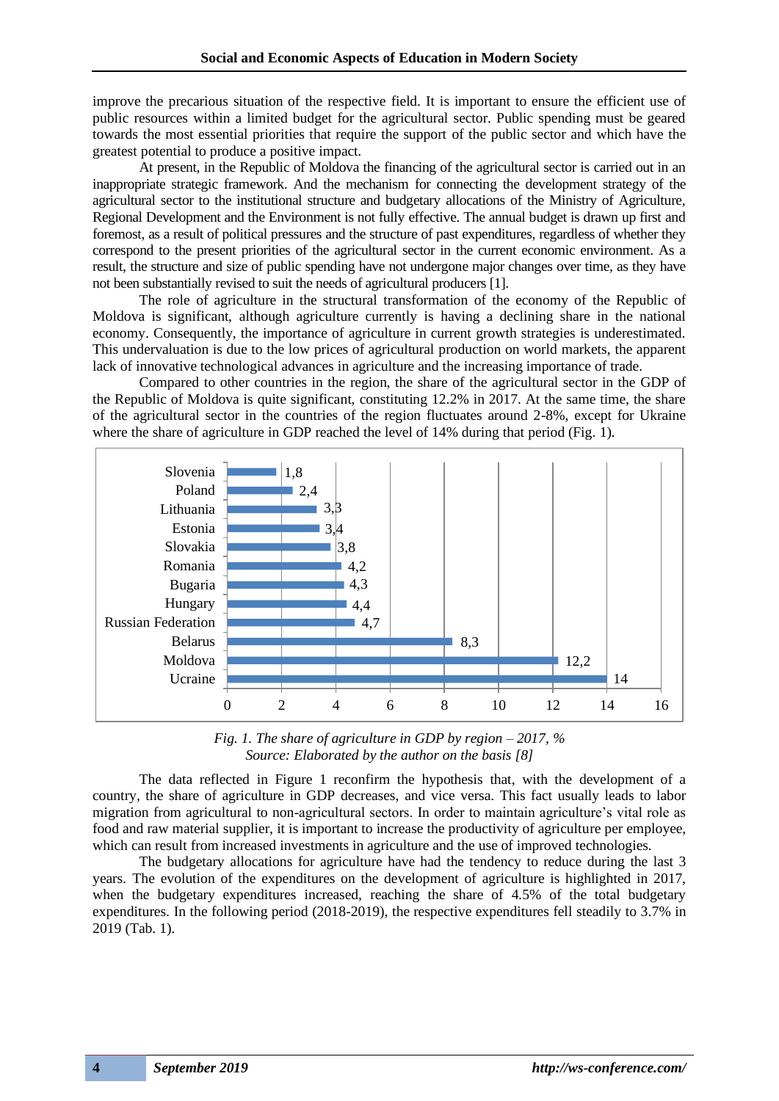improve the precarious situation of the respective field. It is important to ensure the efficient use of public resources within a limited budget for the agricultural sector. Public spending must be geared towards the most essential priorities that require the support of the public sector and which have the greatest potential to produce a positive impact.

At present, in the Republic of Moldova the financing of the agricultural sector is carried out in an inappropriate strategic framework. And the mechanism for connecting the development strategy of the agricultural sector to the institutional structure and budgetary allocations of the Ministry of Agriculture, Regional Development and the Environment is not fully effective. The annual budget is drawn up first and foremost, as a result of political pressures and the structure of past expenditures, regardless of whether they correspond to the present priorities of the agricultural sector in the current economic environment. As a result, the structure and size of public spending have not undergone major changes over time, as they have not been substantially revised to suit the needs of agricultural producers [1].

The role of agriculture in the structural transformation of the economy of the Republic of Moldova is significant, although agriculture currently is having a declining share in the national economy. Consequently, the importance of agriculture in current growth strategies is underestimated. This undervaluation is due to the low prices of agricultural production on world markets, the apparent lack of innovative technological advances in agriculture and the increasing importance of trade.

Compared to other countries in the region, the share of the agricultural sector in the GDP of the Republic of Moldova is quite significant, constituting 12.2% in 2017. At the same time, the share of the agricultural sector in the countries of the region fluctuates around 2-8%, except for Ukraine where the share of agriculture in GDP reached the level of 14% during that period (Fig. 1).



*Fig. 1. The share of agriculture in GDP by region – 2017, % Source: Elaborated by the author on the basis [8]*

The data reflected in Figure 1 reconfirm the hypothesis that, with the development of a country, the share of agriculture in GDP decreases, and vice versa. This fact usually leads to labor migration from agricultural to non-agricultural sectors. In order to maintain agriculture's vital role as food and raw material supplier, it is important to increase the productivity of agriculture per employee, which can result from increased investments in agriculture and the use of improved technologies.

The budgetary allocations for agriculture have had the tendency to reduce during the last 3 years. The evolution of the expenditures on the development of agriculture is highlighted in 2017, when the budgetary expenditures increased, reaching the share of 4.5% of the total budgetary expenditures. In the following period (2018-2019), the respective expenditures fell steadily to 3.7% in 2019 (Tab. 1).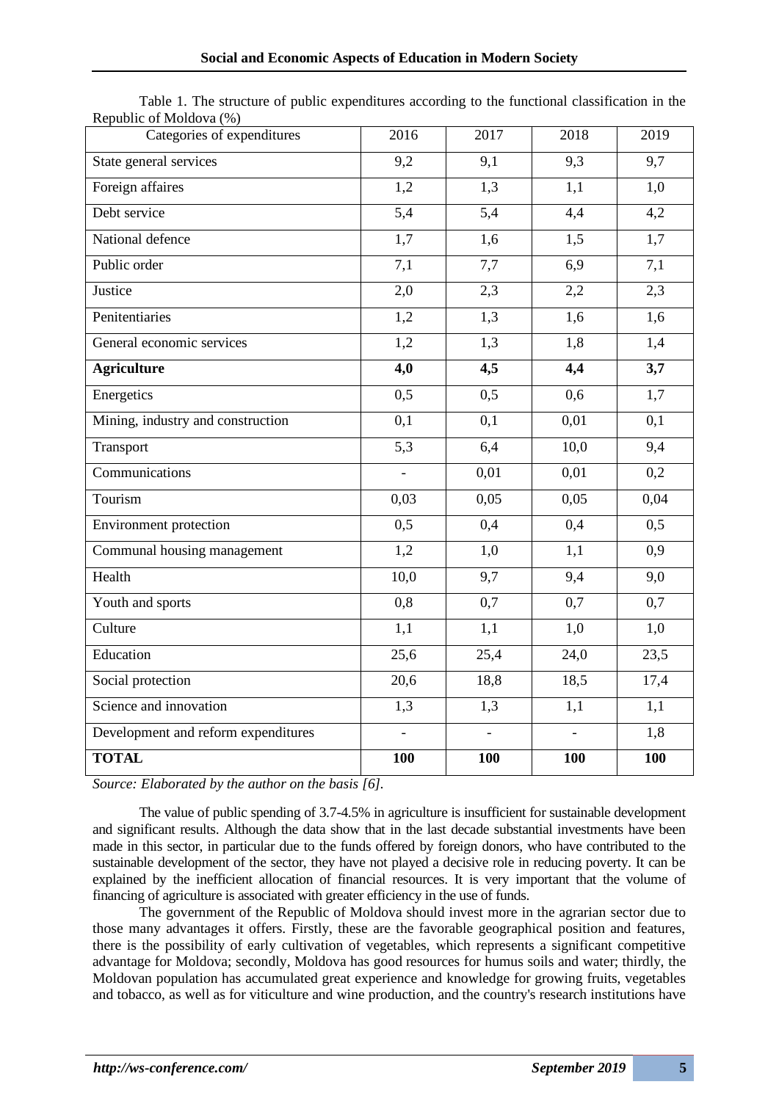| INCPUBLIC OF INFORMATION            |                  |                  |      |      |
|-------------------------------------|------------------|------------------|------|------|
| Categories of expenditures          | 2016             | 2017             | 2018 | 2019 |
| State general services              | 9,2              | 9,1              | 9,3  | 9,7  |
| Foreign affaires                    | 1,2              | 1,3              | 1,1  | 1,0  |
| Debt service                        | 5,4              | 5,4              | 4,4  | 4,2  |
| National defence                    | 1,7              | 1,6              | 1,5  | 1,7  |
| Public order                        | 7,1              | 7,7              | 6,9  | 7,1  |
| Justice                             | 2,0              | 2,3              | 2,2  | 2,3  |
| Penitentiaries                      | 1,2              | 1,3              | 1,6  | 1,6  |
| General economic services           | 1,2              | 1,3              | 1,8  | 1,4  |
| <b>Agriculture</b>                  | 4,0              | 4,5              | 4,4  | 3,7  |
| Energetics                          | 0,5              | $\overline{0,5}$ | 0,6  | 1,7  |
| Mining, industry and construction   | 0,1              | 0,1              | 0,01 | 0,1  |
| Transport                           | $\overline{5,3}$ | 6,4              | 10,0 | 9,4  |
| Communications                      | $\overline{a}$   | 0,01             | 0,01 | 0,2  |
| Tourism                             | 0,03             | 0,05             | 0,05 | 0,04 |
| <b>Environment</b> protection       | 0,5              | 0,4              | 0,4  | 0,5  |
| Communal housing management         | 1,2              | 1,0              | 1,1  | 0,9  |
| Health                              | 10,0             | 9,7              | 9,4  | 9,0  |
| Youth and sports                    | 0,8              | 0,7              | 0,7  | 0,7  |
| Culture                             | 1,1              | 1,1              | 1,0  | 1,0  |
| Education                           | 25,6             | 25,4             | 24,0 | 23,5 |
| Social protection                   | 20,6             | 18,8             | 18,5 | 17,4 |
| Science and innovation              | 1,3              | 1,3              | 1,1  | 1,1  |
| Development and reform expenditures | $\overline{a}$   |                  |      | 1,8  |
| <b>TOTAL</b>                        | 100              | 100              | 100  | 100  |

Table 1. The structure of public expenditures according to the functional classification in the Republic of Moldova (%)

*Source: Elaborated by the author on the basis [6].*

The value of public spending of 3.7-4.5% in agriculture is insufficient for sustainable development and significant results. Although the data show that in the last decade substantial investments have been made in this sector, in particular due to the funds offered by foreign donors, who have contributed to the sustainable development of the sector, they have not played a decisive role in reducing poverty. It can be explained by the inefficient allocation of financial resources. It is very important that the volume of financing of agriculture is associated with greater efficiency in the use of funds.

The government of the Republic of Moldova should invest more in the agrarian sector due to those many advantages it offers. Firstly, these are the favorable geographical position and features, there is the possibility of early cultivation of vegetables, which represents a significant competitive advantage for Moldova; secondly, Moldova has good resources for humus soils and water; thirdly, the Moldovan population has accumulated great experience and knowledge for growing fruits, vegetables and tobacco, as well as for viticulture and wine production, and the country's research institutions have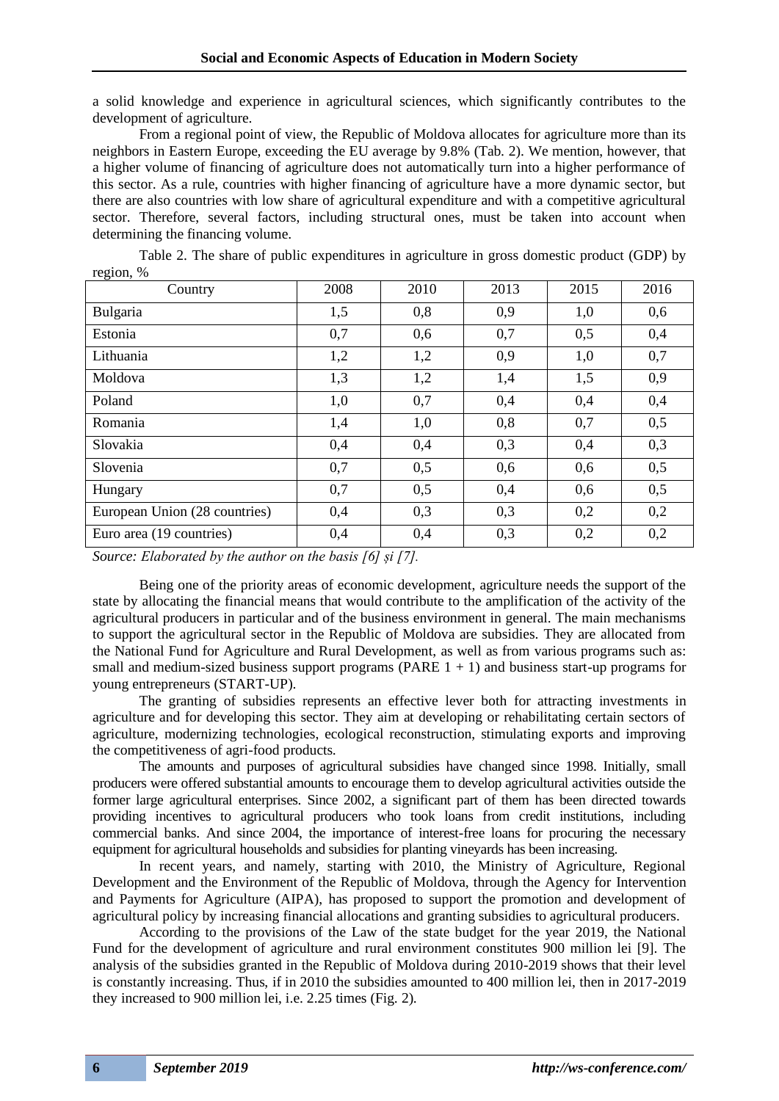a solid knowledge and experience in agricultural sciences, which significantly contributes to the development of agriculture.

From a regional point of view, the Republic of Moldova allocates for agriculture more than its neighbors in Eastern Europe, exceeding the EU average by 9.8% (Tab. 2). We mention, however, that a higher volume of financing of agriculture does not automatically turn into a higher performance of this sector. As a rule, countries with higher financing of agriculture have a more dynamic sector, but there are also countries with low share of agricultural expenditure and with a competitive agricultural sector. Therefore, several factors, including structural ones, must be taken into account when determining the financing volume.

| $I\cup \text{LUM}, \neq 0$    |      |      |      |      |      |
|-------------------------------|------|------|------|------|------|
| Country                       | 2008 | 2010 | 2013 | 2015 | 2016 |
| Bulgaria                      | 1,5  | 0,8  | 0,9  | 1,0  | 0,6  |
| Estonia                       | 0,7  | 0,6  | 0,7  | 0,5  | 0,4  |
| Lithuania                     | 1,2  | 1,2  | 0,9  | 1,0  | 0,7  |
| Moldova                       | 1,3  | 1,2  | 1,4  | 1,5  | 0,9  |
| Poland                        | 1,0  | 0,7  | 0,4  | 0,4  | 0,4  |
| Romania                       | 1,4  | 1,0  | 0,8  | 0,7  | 0,5  |
| Slovakia                      | 0,4  | 0,4  | 0,3  | 0,4  | 0,3  |
| Slovenia                      | 0,7  | 0,5  | 0,6  | 0,6  | 0,5  |
| Hungary                       | 0,7  | 0,5  | 0,4  | 0,6  | 0,5  |
| European Union (28 countries) | 0,4  | 0,3  | 0,3  | 0,2  | 0,2  |
| Euro area (19 countries)      | 0,4  | 0,4  | 0,3  | 0,2  | 0,2  |

Table 2. The share of public expenditures in agriculture in gross domestic product (GDP) by  $r_{\text{c}}\sin\theta$ 

*Source: Elaborated by the author on the basis [6] și [7].*

Being one of the priority areas of economic development, agriculture needs the support of the state by allocating the financial means that would contribute to the amplification of the activity of the agricultural producers in particular and of the business environment in general. The main mechanisms to support the agricultural sector in the Republic of Moldova are subsidies. They are allocated from the National Fund for Agriculture and Rural Development, as well as from various programs such as: small and medium-sized business support programs  $(PARE 1 + 1)$  and business start-up programs for young entrepreneurs (START-UP).

The granting of subsidies represents an effective lever both for attracting investments in agriculture and for developing this sector. They aim at developing or rehabilitating certain sectors of agriculture, modernizing technologies, ecological reconstruction, stimulating exports and improving the competitiveness of agri-food products.

The amounts and purposes of agricultural subsidies have changed since 1998. Initially, small producers were offered substantial amounts to encourage them to develop agricultural activities outside the former large agricultural enterprises. Since 2002, a significant part of them has been directed towards providing incentives to agricultural producers who took loans from credit institutions, including commercial banks. And since 2004, the importance of interest-free loans for procuring the necessary equipment for agricultural households and subsidies for planting vineyards has been increasing.

In recent years, and namely, starting with 2010, the Ministry of Agriculture, Regional Development and the Environment of the Republic of Moldova, through the Agency for Intervention and Payments for Agriculture (AIPA), has proposed to support the promotion and development of agricultural policy by increasing financial allocations and granting subsidies to agricultural producers.

According to the provisions of the Law of the state budget for the year 2019, the National Fund for the development of agriculture and rural environment constitutes 900 million lei [9]. The analysis of the subsidies granted in the Republic of Moldova during 2010-2019 shows that their level is constantly increasing. Thus, if in 2010 the subsidies amounted to 400 million lei, then in 2017-2019 they increased to 900 million lei, i.e. 2.25 times (Fig. 2).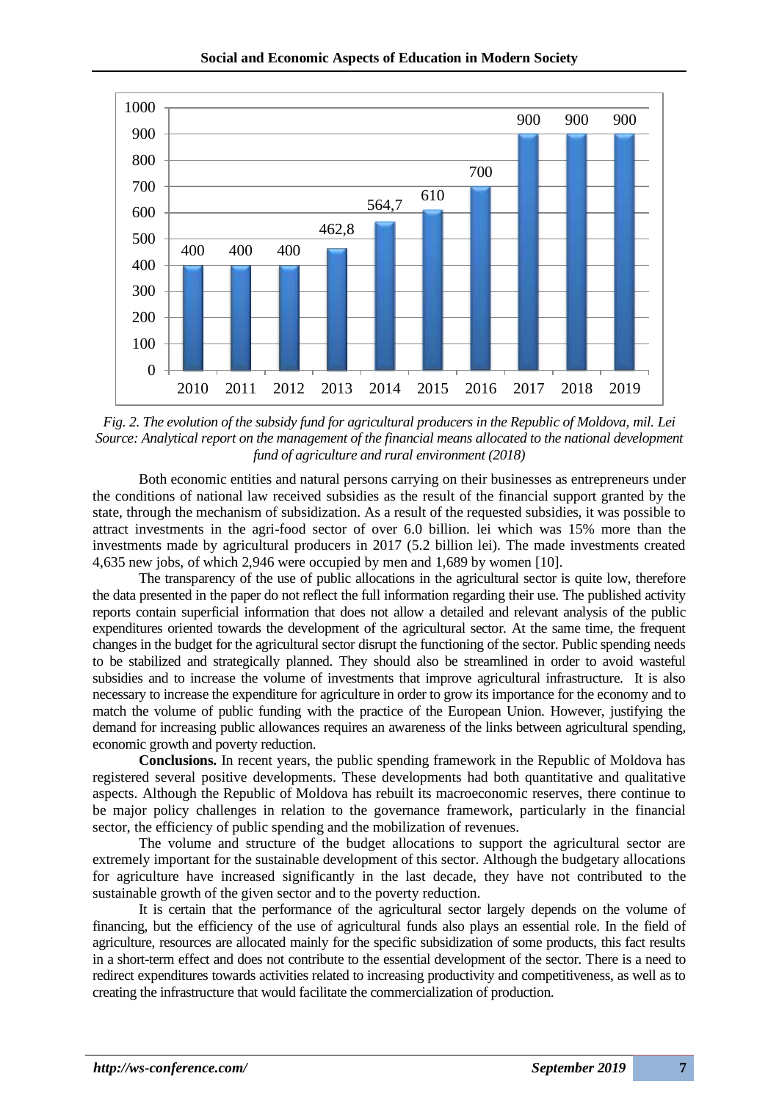

*Fig. 2. The evolution of the subsidy fund for agricultural producers in the Republic of Moldova, mil. Lei Source: Analytical report on the management of the financial means allocated to the national development fund of agriculture and rural environment (2018)*

Both economic entities and natural persons carrying on their businesses as entrepreneurs under the conditions of national law received subsidies as the result of the financial support granted by the state, through the mechanism of subsidization. As a result of the requested subsidies, it was possible to attract investments in the agri-food sector of over 6.0 billion. lei which was 15% more than the investments made by agricultural producers in 2017 (5.2 billion lei). The made investments created 4,635 new jobs, of which 2,946 were occupied by men and 1,689 by women [10].

The transparency of the use of public allocations in the agricultural sector is quite low, therefore the data presented in the paper do not reflect the full information regarding their use. The published activity reports contain superficial information that does not allow a detailed and relevant analysis of the public expenditures oriented towards the development of the agricultural sector. At the same time, the frequent changes in the budget for the agricultural sector disrupt the functioning of the sector. Public spending needs to be stabilized and strategically planned. They should also be streamlined in order to avoid wasteful subsidies and to increase the volume of investments that improve agricultural infrastructure. It is also necessary to increase the expenditure for agriculture in order to grow its importance for the economy and to match the volume of public funding with the practice of the European Union. However, justifying the demand for increasing public allowances requires an awareness of the links between agricultural spending, economic growth and poverty reduction.

**Conclusions.** In recent years, the public spending framework in the Republic of Moldova has registered several positive developments. These developments had both quantitative and qualitative aspects. Although the Republic of Moldova has rebuilt its macroeconomic reserves, there continue to be major policy challenges in relation to the governance framework, particularly in the financial sector, the efficiency of public spending and the mobilization of revenues.

The volume and structure of the budget allocations to support the agricultural sector are extremely important for the sustainable development of this sector. Although the budgetary allocations for agriculture have increased significantly in the last decade, they have not contributed to the sustainable growth of the given sector and to the poverty reduction.

It is certain that the performance of the agricultural sector largely depends on the volume of financing, but the efficiency of the use of agricultural funds also plays an essential role. In the field of agriculture, resources are allocated mainly for the specific subsidization of some products, this fact results in a short-term effect and does not contribute to the essential development of the sector. There is a need to redirect expenditures towards activities related to increasing productivity and competitiveness, as well as to creating the infrastructure that would facilitate the commercialization of production.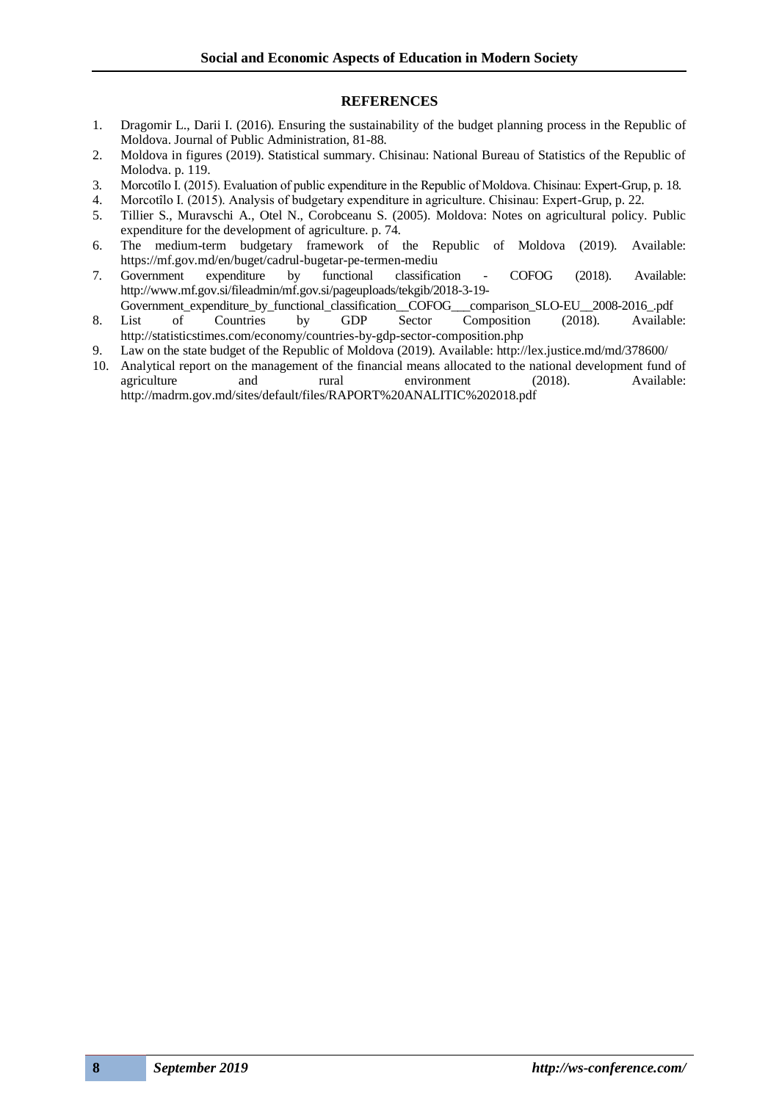#### **REFERENCES**

- 1. Dragomir L., Darii I. (2016). Ensuring the sustainability of the budget planning process in the Republic of Moldova. Journal of Public Administration, 81-88.
- 2. Moldova in figures (2019). Statistical summary. Chisinau: National Bureau of Statistics of the Republic of Molodva. p. 119.
- 3. Morcotîlo I. (2015). Evaluation of public expenditure in the Republic of Moldova. Chisinau: Expert-Grup, p. 18.
- 4. Morcotîlo I. (2015). Analysis of budgetary expenditure in agriculture. Chisinau: Expert-Grup, p. 22.
- 5. Tillier S., Muravschi A., Otel N., Corobceanu S. (2005). Moldova: Notes on agricultural policy. Public expenditure for the development of agriculture. p. 74.
- 6. The medium-term budgetary framework of the Republic of Moldova (2019). Available: https://mf.gov.md/en/buget/cadrul-bugetar-pe-termen-mediu
- 7. Government expenditure by functional classification COFOG (2018). Available: http://www.mf.gov.si/fileadmin/mf.gov.si/pageuploads/tekgib/2018-3-19-
- Government\_expenditure\_by\_functional\_classification\_\_COFOG\_\_\_comparison\_SLO-EU\_\_2008-2016\_.pdf 8. List of Countries by GDP Sector Composition (2018). Available: http://statisticstimes.com/economy/countries-by-gdp-sector-composition.php
- 9. Law on the state budget of the Republic of Moldova (2019). Available: http://lex.justice.md/md/378600/
- 10. Analytical report on the management of the financial means allocated to the national development fund of agriculture and rural environment (2018). Available: http://madrm.gov.md/sites/default/files/RAPORT%20ANALITIC%202018.pdf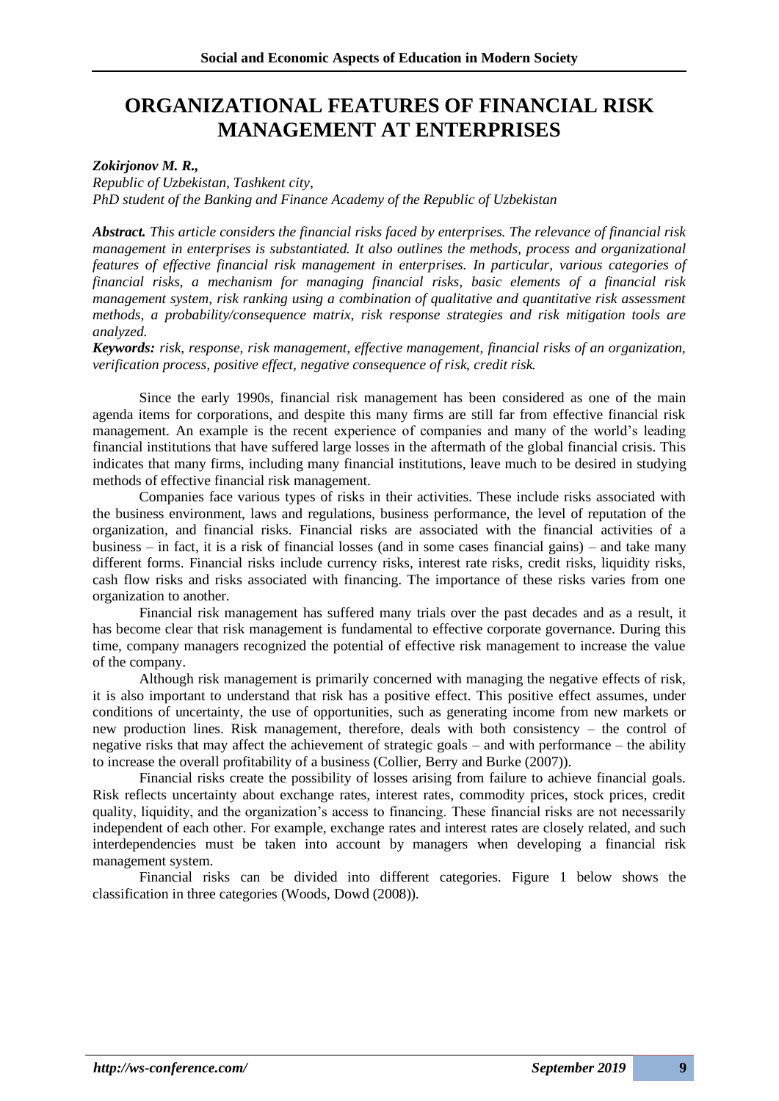# **ORGANIZATIONAL FEATURES OF FINANCIAL RISK MANAGEMENT AT ENTERPRISES**

### *Zokirjonov M. R.,*

*Republic of Uzbekistan, Tashkent city, PhD student of the Banking and Finance Academy of the Republic of Uzbekistan* 

*Abstract. This article considers the financial risks faced by enterprises. The relevance of financial risk management in enterprises is substantiated. It also outlines the methods, process and organizational features of effective financial risk management in enterprises. In particular, various categories of financial risks, a mechanism for managing financial risks, basic elements of a financial risk management system, risk ranking using a combination of qualitative and quantitative risk assessment methods, a probability/consequence matrix, risk response strategies and risk mitigation tools are analyzed.*

*Keywords: risk, response, risk management, effective management, financial risks of an organization, verification process, positive effect, negative consequence of risk, credit risk.*

Since the early 1990s, financial risk management has been considered as one of the main agenda items for corporations, and despite this many firms are still far from effective financial risk management. An example is the recent experience of companies and many of the world's leading financial institutions that have suffered large losses in the aftermath of the global financial crisis. This indicates that many firms, including many financial institutions, leave much to be desired in studying methods of effective financial risk management.

Companies face various types of risks in their activities. These include risks associated with the business environment, laws and regulations, business performance, the level of reputation of the organization, and financial risks. Financial risks are associated with the financial activities of a business – in fact, it is a risk of financial losses (and in some cases financial gains) – and take many different forms. Financial risks include currency risks, interest rate risks, credit risks, liquidity risks, cash flow risks and risks associated with financing. The importance of these risks varies from one organization to another.

Financial risk management has suffered many trials over the past decades and as a result, it has become clear that risk management is fundamental to effective corporate governance. During this time, company managers recognized the potential of effective risk management to increase the value of the company.

Although risk management is primarily concerned with managing the negative effects of risk, it is also important to understand that risk has a positive effect. This positive effect assumes, under conditions of uncertainty, the use of opportunities, such as generating income from new markets or new production lines. Risk management, therefore, deals with both consistency – the control of negative risks that may affect the achievement of strategic goals – and with performance – the ability to increase the overall profitability of a business (Collier, Berry and Burke (2007)).

Financial risks create the possibility of losses arising from failure to achieve financial goals. Risk reflects uncertainty about exchange rates, interest rates, commodity prices, stock prices, credit quality, liquidity, and the organization's access to financing. These financial risks are not necessarily independent of each other. For example, exchange rates and interest rates are closely related, and such interdependencies must be taken into account by managers when developing a financial risk management system.

Financial risks can be divided into different categories. Figure 1 below shows the classification in three categories (Woods, Dowd (2008)).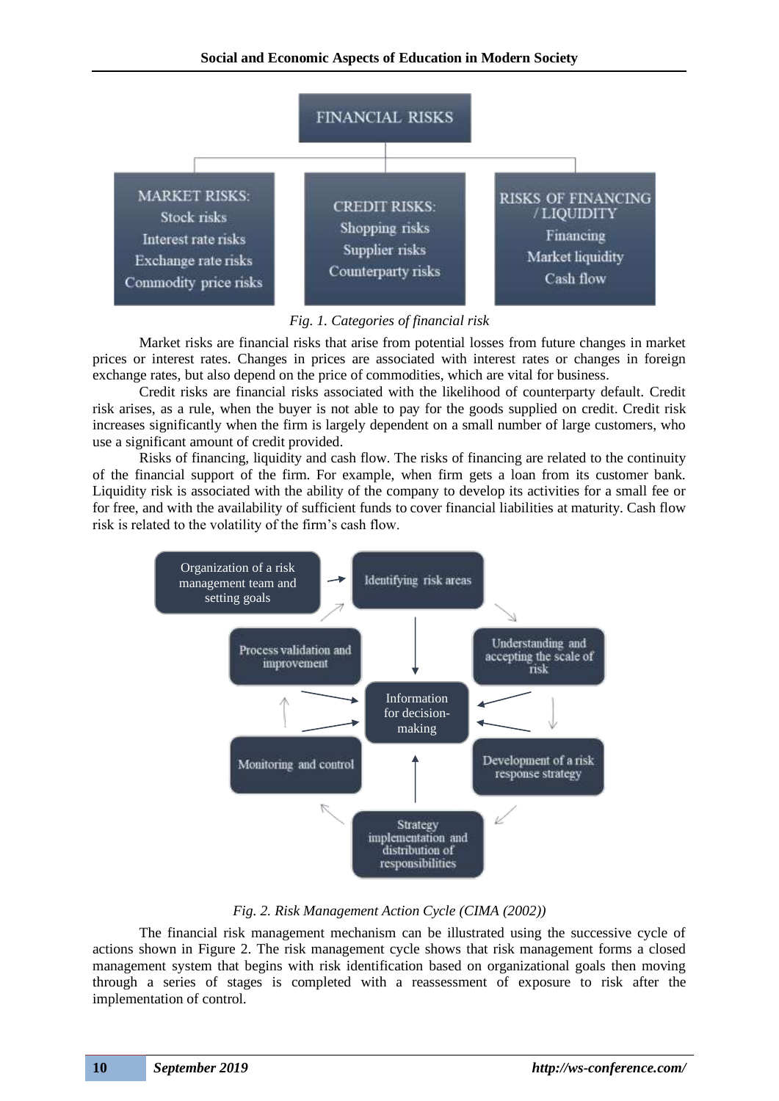

### *Fig. 1. Categories of financial risk*

Market risks are financial risks that arise from potential losses from future changes in market prices or interest rates. Changes in prices are associated with interest rates or changes in foreign exchange rates, but also depend on the price of commodities, which are vital for business.

Credit risks are financial risks associated with the likelihood of counterparty default. Credit risk arises, as a rule, when the buyer is not able to pay for the goods supplied on credit. Credit risk increases significantly when the firm is largely dependent on a small number of large customers, who use a significant amount of credit provided.

Risks of financing, liquidity and cash flow. The risks of financing are related to the continuity of the financial support of the firm. For example, when firm gets a loan from its customer bank. Liquidity risk is associated with the ability of the company to develop its activities for a small fee or for free, and with the availability of sufficient funds to cover financial liabilities at maturity. Cash flow risk is related to the volatility of the firm's cash flow.



### *Fig. 2. Risk Management Action Cycle (CIMA (2002))*

The financial risk management mechanism can be illustrated using the successive cycle of actions shown in Figure 2. The risk management cycle shows that risk management forms a closed management system that begins with risk identification based on organizational goals then moving through a series of stages is completed with a reassessment of exposure to risk after the implementation of control.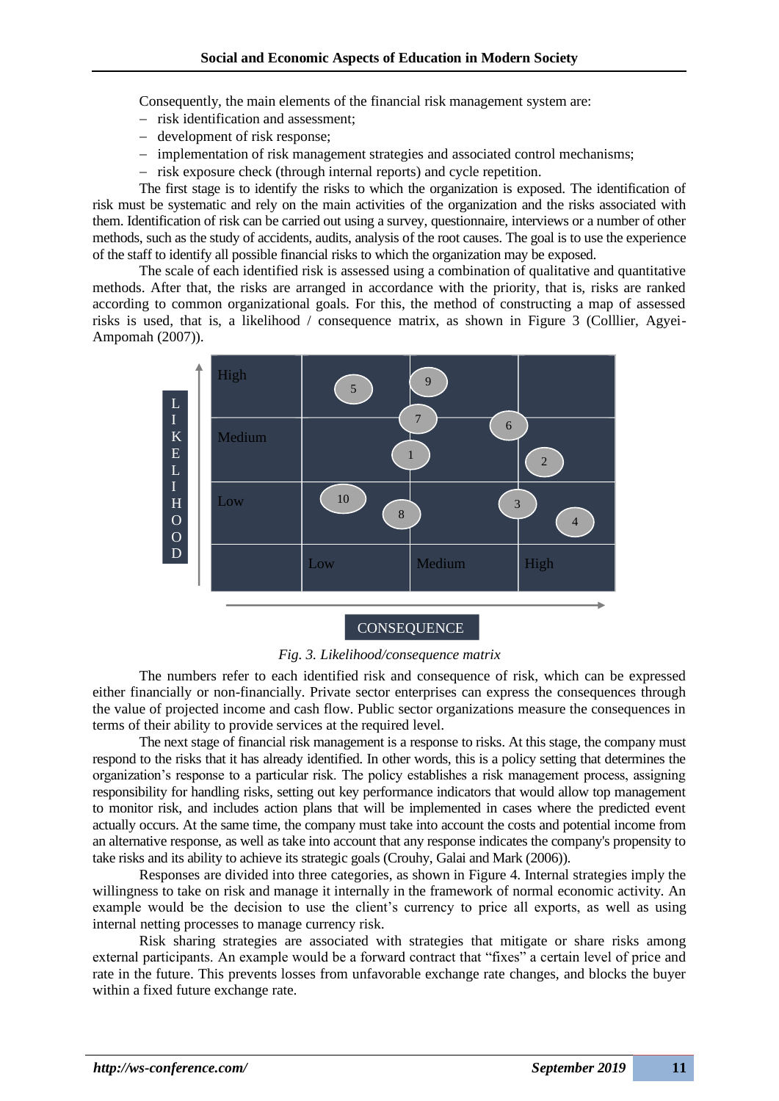Consequently, the main elements of the financial risk management system are:

- − risk identification and assessment;
- − development of risk response;
- − implementation of risk management strategies and associated control mechanisms;
- − risk exposure check (through internal reports) and cycle repetition.

The first stage is to identify the risks to which the organization is exposed. The identification of risk must be systematic and rely on the main activities of the organization and the risks associated with them. Identification of risk can be carried out using a survey, questionnaire, interviews or a number of other methods, such as the study of accidents, audits, analysis of the root causes. The goal is to use the experience of the staff to identify all possible financial risks to which the organization may be exposed.

The scale of each identified risk is assessed using a combination of qualitative and quantitative methods. After that, the risks are arranged in accordance with the priority, that is, risks are ranked according to common organizational goals. For this, the method of constructing a map of assessed risks is used, that is, a likelihood / consequence matrix, as shown in Figure 3 (Colllier, Agyei-Ampomah (2007)).



*Fig. 3. Likelihood/consequence matrix*

The numbers refer to each identified risk and consequence of risk, which can be expressed either financially or non-financially. Private sector enterprises can express the consequences through the value of projected income and cash flow. Public sector organizations measure the consequences in terms of their ability to provide services at the required level.

The next stage of financial risk management is a response to risks. At this stage, the company must respond to the risks that it has already identified. In other words, this is a policy setting that determines the organization's response to a particular risk. The policy establishes a risk management process, assigning responsibility for handling risks, setting out key performance indicators that would allow top management to monitor risk, and includes action plans that will be implemented in cases where the predicted event actually occurs. At the same time, the company must take into account the costs and potential income from an alternative response, as well as take into account that any response indicates the company's propensity to take risks and its ability to achieve its strategic goals (Crouhy, Galai and Mark (2006)).

Responses are divided into three categories, as shown in Figure 4. Internal strategies imply the willingness to take on risk and manage it internally in the framework of normal economic activity. An example would be the decision to use the client's currency to price all exports, as well as using internal netting processes to manage currency risk.

Risk sharing strategies are associated with strategies that mitigate or share risks among external participants. An example would be a forward contract that "fixes" a certain level of price and rate in the future. This prevents losses from unfavorable exchange rate changes, and blocks the buyer within a fixed future exchange rate.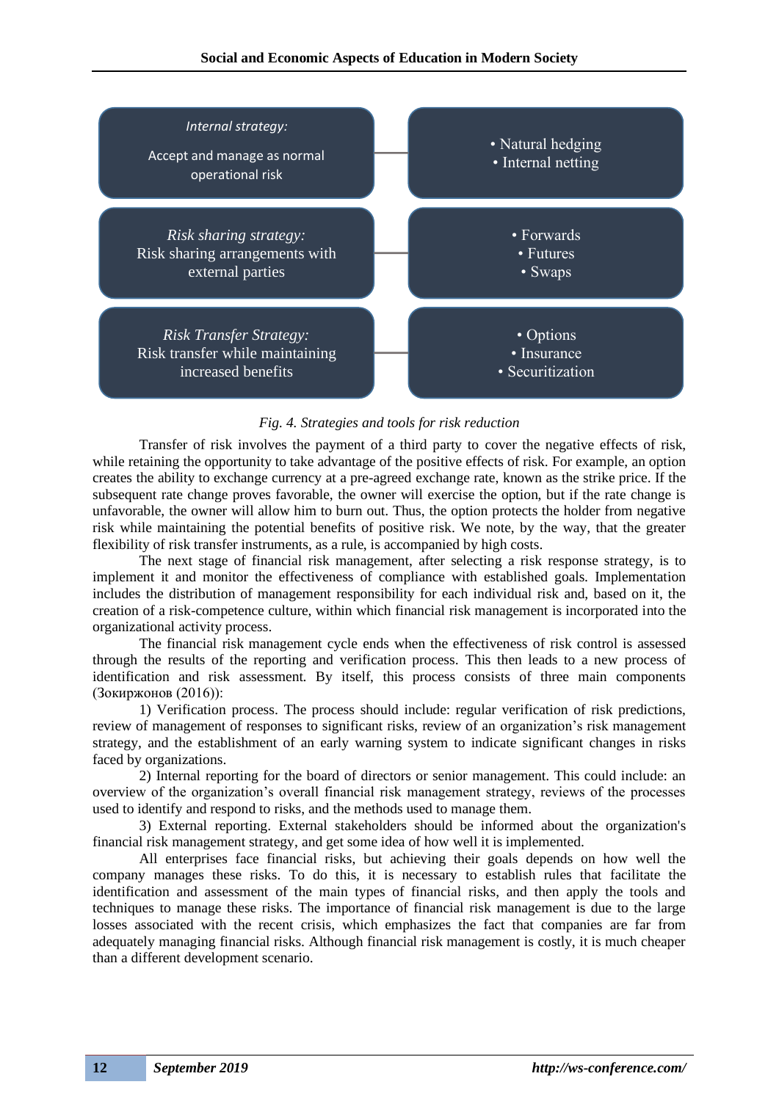

*Fig. 4. Strategies and tools for risk reduction*

Transfer of risk involves the payment of a third party to cover the negative effects of risk, while retaining the opportunity to take advantage of the positive effects of risk. For example, an option creates the ability to exchange currency at a pre-agreed exchange rate, known as the strike price. If the subsequent rate change proves favorable, the owner will exercise the option, but if the rate change is unfavorable, the owner will allow him to burn out. Thus, the option protects the holder from negative risk while maintaining the potential benefits of positive risk. We note, by the way, that the greater flexibility of risk transfer instruments, as a rule, is accompanied by high costs.

The next stage of financial risk management, after selecting a risk response strategy, is to implement it and monitor the effectiveness of compliance with established goals. Implementation includes the distribution of management responsibility for each individual risk and, based on it, the creation of a risk-competence culture, within which financial risk management is incorporated into the organizational activity process.

The financial risk management cycle ends when the effectiveness of risk control is assessed through the results of the reporting and verification process. This then leads to a new process of identification and risk assessment. By itself, this process consists of three main components (Зокиржонов (2016)):

1) Verification process. The process should include: regular verification of risk predictions, review of management of responses to significant risks, review of an organization's risk management strategy, and the establishment of an early warning system to indicate significant changes in risks faced by organizations.

2) Internal reporting for the board of directors or senior management. This could include: an overview of the organization's overall financial risk management strategy, reviews of the processes used to identify and respond to risks, and the methods used to manage them.

3) External reporting. External stakeholders should be informed about the organization's financial risk management strategy, and get some idea of how well it is implemented.

All enterprises face financial risks, but achieving their goals depends on how well the company manages these risks. To do this, it is necessary to establish rules that facilitate the identification and assessment of the main types of financial risks, and then apply the tools and techniques to manage these risks. The importance of financial risk management is due to the large losses associated with the recent crisis, which emphasizes the fact that companies are far from adequately managing financial risks. Although financial risk management is costly, it is much cheaper than a different development scenario.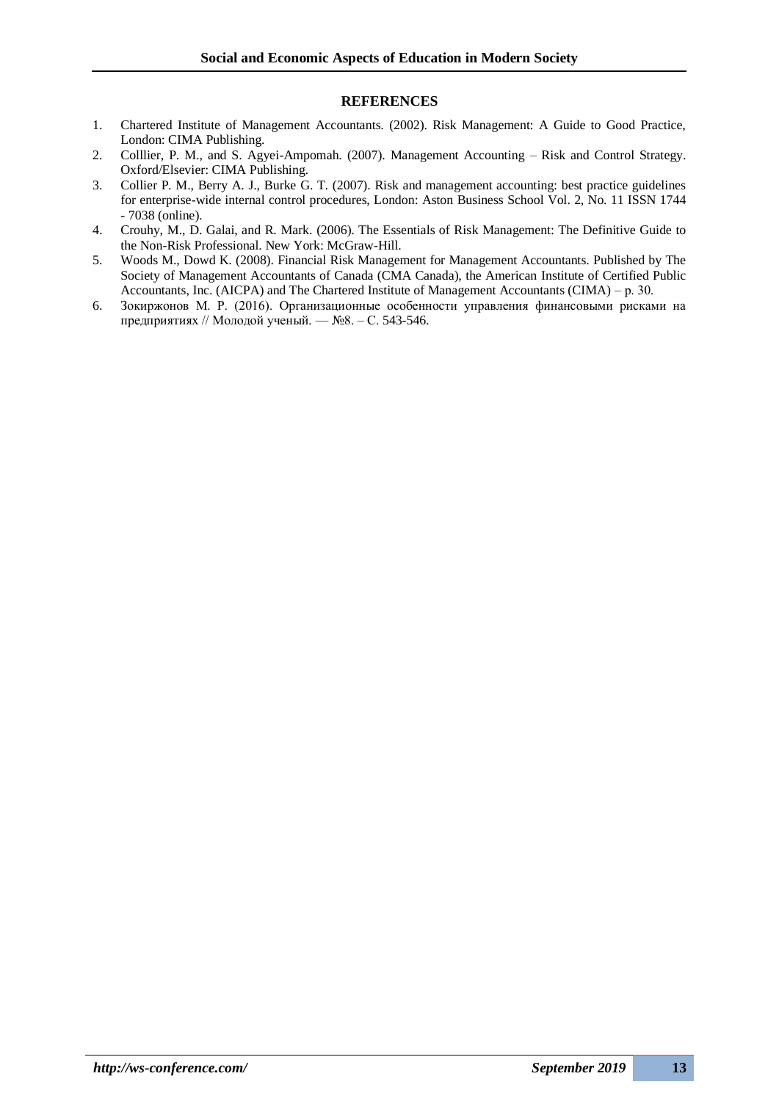#### **REFERENCES**

- 1. Chartered Institute of Management Accountants. (2002). Risk Management: A Guide to Good Practice, London: CIMA Publishing.
- 2. Colllier, P. M., and S. Agyei-Ampomah. (2007). Management Accounting Risk and Control Strategy. Oxford/Elsevier: CIMA Publishing.
- 3. Collier P. M., Berry A. J., Burke G. T. (2007). Risk and management accounting: best practice guidelines for enterprise-wide internal control procedures, London: Aston Business School Vol. 2, No. 11 ISSN 1744 - 7038 (online).
- 4. Crouhy, M., D. Galai, and R. Mark. (2006). The Essentials of Risk Management: The Definitive Guide to the Non-Risk Professional. New York: McGraw-Hill.
- 5. Woods M., Dowd K. (2008). Financial Risk Management for Management Accountants. Published by The Society of Management Accountants of Canada (CMA Canada), the American Institute of Certified Public Accountants, Inc. (AICPA) and The Chartered Institute of Management Accountants (CIMA) – р. 30.
- 6. Зокиржонов М. Р. (2016). Организационные особенности управления финансовыми рисками на предприятиях // Молодой ученый. –– №8. – С. 543-546.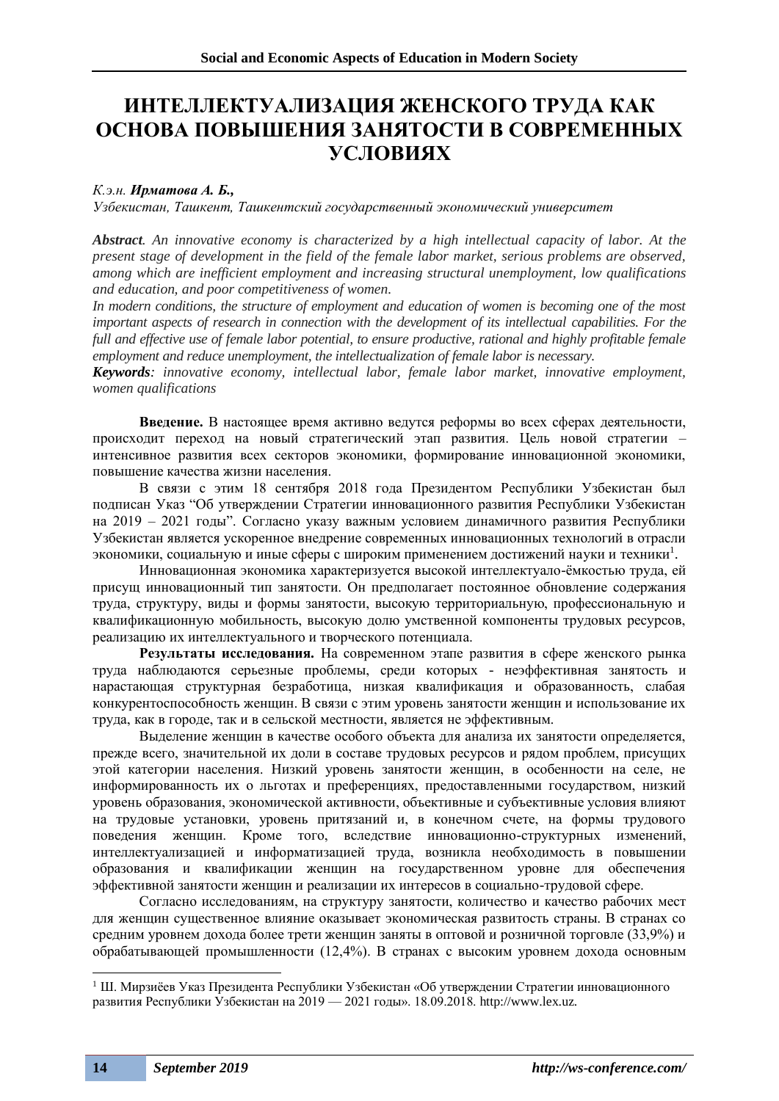# **ИНТЕЛЛЕКТУАЛИЗАЦИЯ ЖЕНСКОГО ТРУДА КАК ОСНОВА ПОВЫШЕНИЯ ЗАНЯТОСТИ В СОВРЕМЕННЫХ УСЛОВИЯХ**

### *К.э.н. Ирматова А. Б.,*

*Узбекистан, Ташкент, Ташкентский государственный экономический университет*

*Abstract. An innovative economy is characterized by a high intellectual capacity of labor. At the present stage of development in the field of the female labor market, serious problems are observed, among which are inefficient employment and increasing structural unemployment, low qualifications and education, and poor competitiveness of women.*

*In modern conditions, the structure of employment and education of women is becoming one of the most important aspects of research in connection with the development of its intellectual capabilities. For the full and effective use of female labor potential, to ensure productive, rational and highly profitable female employment and reduce unemployment, the intellectualization of female labor is necessary.*

*Keywords: innovative economy, intellectual labor, female labor market, innovative employment, women qualifications*

**Введение.** В настоящее время активно ведутся реформы во всех сферах деятельности, происходит переход на новый стратегический этап развития. Цель новой стратегии – интенсивное развития всех секторов экономики, формирование инновационной экономики, повышение качества жизни населения.

В связи с этим 18 сентября 2018 года Президентом Республики Узбекистан был подписан Указ "Об утверждении Стратегии инновационного развития Республики Узбекистан на 2019 – 2021 годы". Согласно указу важным условием динамичного развития Республики Узбекистан является ускоренное внедрение современных инновационных технологий в отрасли экономики, социальную и иные сферы с широким применением достижений науки и техники<sup>1</sup>.

Инновационная экономика характеризуется высокой интеллектуало-ёмкостью труда, ей присущ инновационный тип занятости. Он предполагает постоянное обновление содержания труда, структуру, виды и формы занятости, высокую территориальную, профессиональную и квалификационную мобильность, высокую долю умственной компоненты трудовых ресурсов, реализацию их интеллектуального и творческого потенциала.

**Результаты исследования.** На современном этапе развития в сфере женского рынка труда наблюдаются серьезные проблемы, среди которых - неэффективная занятость и нарастающая структурная безработица, низкая квалификация и образованность, слабая конкурентоспособность женщин. В связи с этим уровень занятости женщин и использование их труда, как в городе, так и в сельской местности, является не эффективным.

Выделение женщин в качестве особого объекта для анализа их занятости определяется, прежде всего, значительной их доли в составе трудовых ресурсов и рядом проблем, присущих этой категории населения. Низкий уровень занятости женщин, в особенности на селе, не информированность их о льготах и преференциях, предоставленными государством, низкий уровень образования, экономической активности, объективные и субъективные условия влияют на трудовые установки, уровень притязаний и, в конечном счете, на формы трудового поведения женщин. Кроме того, вследствие инновационно-структурных изменений, интеллектуализацией и информатизацией труда, возникла необходимость в повышении образования и квалификации женщин на государственном уровне для обеспечения эффективной занятости женщин и реализации их интересов в социально-трудовой сфере.

Согласно исследованиям, на структуру занятости, количество и качество рабочих мест для женщин существенное влияние оказывает экономическая развитость страны. В странах со средним уровнем дохода более трети женщин заняты в оптовой и розничной торговле (33,9%) и обрабатывающей промышленности (12,4%). В странах с высоким уровнем дохода основным

 $1$  Ш. Мирзиёев Указ Президента Республики Узбекистан «Об утверждении Стратегии инновационного развития Республики Узбекистан на 2019 — 2021 годы». 18.09.2018. http://www.lex.uz.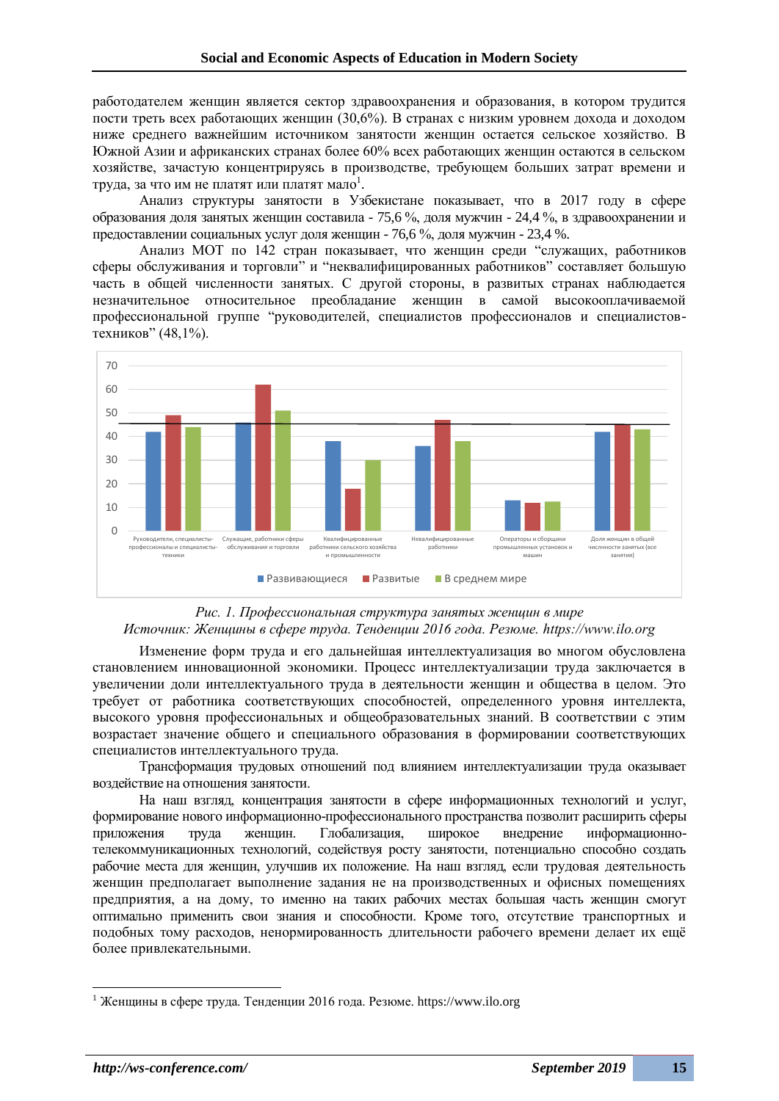работодателем женщин является сектор здравоохранения и образования, в котором трудится пости треть всех работающих женщин (30,6%). В странах с низким уровнем дохода и доходом ниже среднего важнейшим источником занятости женщин остается сельское хозяйство. В Южной Азии и африканских странах более 60% всех работающих женщин остаются в сельском хозяйстве, зачастую концентрируясь в производстве, требующем больших затрат времени и труда, за что им не платят или платят мало $^{\rm l}$ .

Анализ структуры занятости в Узбекистане показывает, что в 2017 году в сфере образования доля занятых женщин составила - 75,6 %, доля мужчин - 24,4 %, в здравоохранении и предоставлении социальных услуг доля женщин - 76,6 %, доля мужчин - 23,4 %.

Анализ МОТ по 142 стран показывает, что женщин среди "служащих, работников сферы обслуживания и торговли" и "неквалифицированных работников" составляет большую часть в общей численности занятых. С другой стороны, в развитых странах наблюдается незначительное относительное преобладание женщин в самой высокооплачиваемой профессиональной группе "руководителей, специалистов профессионалов и специалистовтехников" (48,1%).



### *Рис. 1. Профессиональная структура занятых женщин в мире Источник: Женщины в сфере труда. Тенденции 2016 года. Резюме. https://www.ilo.org*

Изменение форм труда и его дальнейшая интеллектуализация во многом обусловлена становлением инновационной экономики. Процесс интеллектуализации труда заключается в увеличении доли интеллектуального труда в деятельности женщин и общества в целом. Это требует от работника соответствующих способностей, определенного уровня интеллекта, высокого уровня профессиональных и общеобразовательных знаний. В соответствии с этим возрастает значение общего и специального образования в формировании соответствующих специалистов интеллектуального труда.

Трансформация трудовых отношений под влиянием интеллектуализации труда оказывает воздействие на отношения занятости.

На наш взгляд, концентрация занятости в сфере информационных технологий и услуг, формирование нового информационно-профессионального пространства позволит расширить сферы приложения труда женщин. Глобализация, широкое внедрение информационнотелекоммуникационных технологий, содействуя росту занятости, потенциально способно создать рабочие места для женщин, улучшив их положение. На наш взгляд, если трудовая деятельность женщин предполагает выполнение задания не на производственных и офисных помещениях предприятия, а на дому, то именно на таких рабочих местах большая часть женщин смогут оптимально применить свои знания и способности. Кроме того, отсутствие транспортных и подобных тому расходов, ненормированность длительности рабочего времени делает их ещё более привлекательными.

<sup>&</sup>lt;sup>1</sup> Женщины в сфере труда. Тенденции 2016 года. Резюме. https://www.ilo.org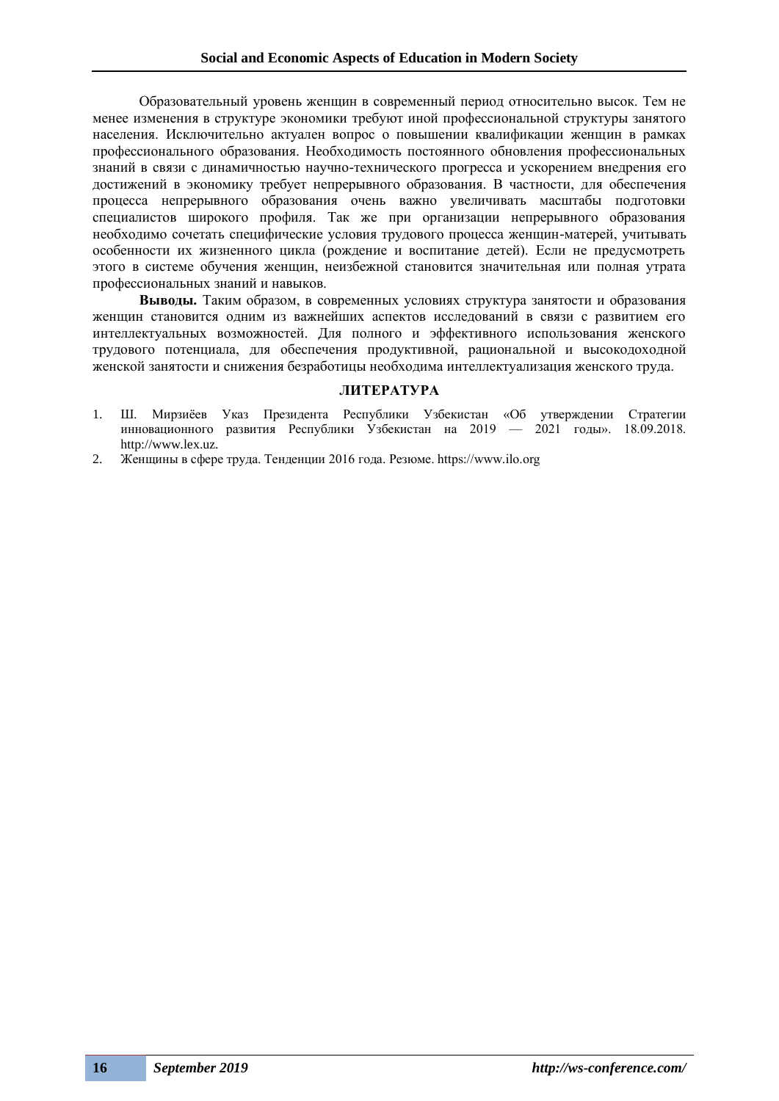Образовательный уровень женщин в современный период относительно высок. Тем не менее изменения в структуре экономики требуют иной профессиональной структуры занятого населения. Исключительно актуален вопрос о повышении квалификации женщин в рамках профессионального образования. Необходимость постоянного обновления профессиональных знаний в связи с динамичностью научно-технического прогресса и ускорением внедрения его достижений в экономику требует непрерывного образования. В частности, для обеспечения процесса непрерывного образования очень важно увеличивать масштабы подготовки специалистов широкого профиля. Так же при организации непрерывного образования необходимо сочетать специфические условия трудового процесса женщин-матерей, учитывать особенности их жизненного цикла (рождение и воспитание детей). Если не предусмотреть этого в системе обучения женщин, неизбежной становится значительная или полная утрата профессиональных знаний и навыков.

**Выводы.** Таким образом, в современных условиях структура занятости и образования женщин становится одним из важнейших аспектов исследований в связи с развитием его интеллектуальных возможностей. Для полного и эффективного использования женского трудового потенциала, для обеспечения продуктивной, рациональной и высокодоходной женской занятости и снижения безработицы необходима интеллектуализация женского труда.

### **ЛИТЕРАТУРА**

- 1. Ш. Мирзиёев Указ Президента Республики Узбекистан «Об утверждении Стратегии инновационного развития Республики Узбекистан на 2019 — 2021 годы». 18.09.2018. http://www.lex.uz.
- 2. Женщины в сфере труда. Тенденции 2016 года. Резюме. https://www.ilo.org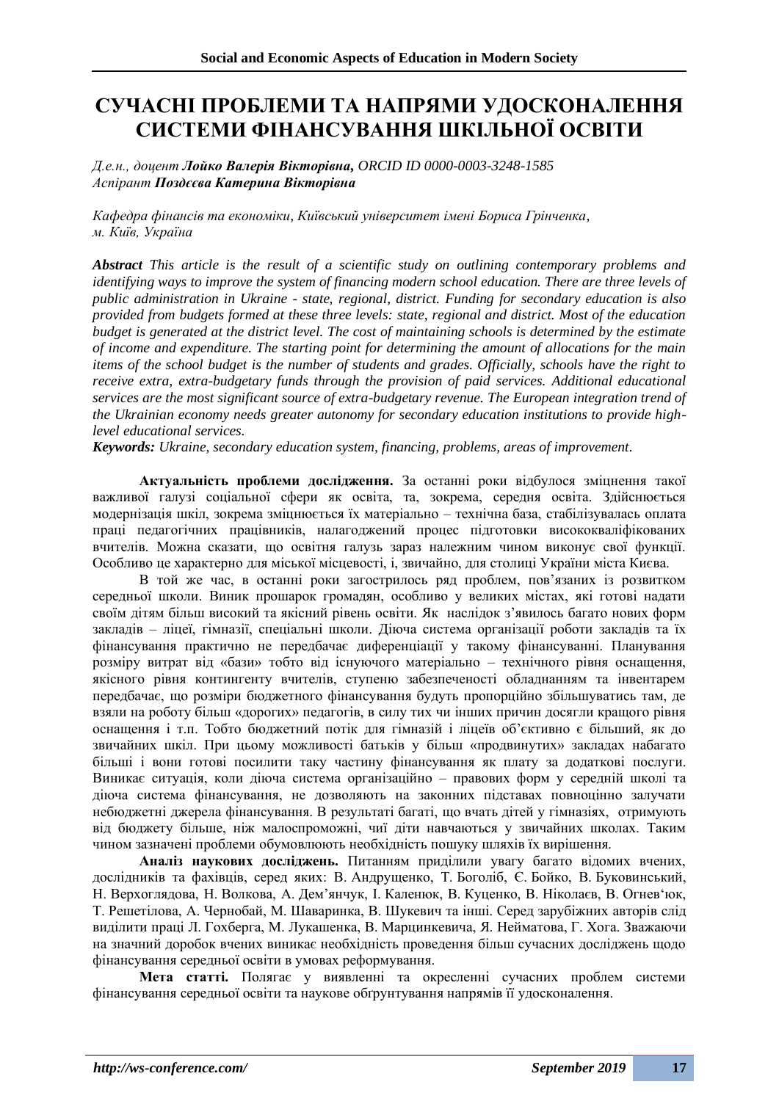# **СУЧАСНІ ПРОБЛЕМИ ТА НАПРЯМИ УДОСКОНАЛЕННЯ СИСТЕМИ ФІНАНСУВАННЯ ШКІЛЬНОЇ ОСВІТИ**

*Д.е.н., доцент Лойко Валерія Вікторівна, ORCID ID 0000-0003-3248-1585 Аспірант Поздєєва Катерина Вікторівна*

*Кафедра фінансів та економіки, Київський університет імені Бориса Грінченка, м. Київ, Україна*

*Abstract This article is the result of a scientific study on outlining contemporary problems and identifying ways to improve the system of financing modern school education. There are three levels of public administration in Ukraine - state, regional, district. Funding for secondary education is also provided from budgets formed at these three levels: state, regional and district. Most of the education budget is generated at the district level. The cost of maintaining schools is determined by the estimate of income and expenditure. The starting point for determining the amount of allocations for the main items of the school budget is the number of students and grades. Officially, schools have the right to receive extra, extra-budgetary funds through the provision of paid services. Additional educational services are the most significant source of extra-budgetary revenue. The European integration trend of the Ukrainian economy needs greater autonomy for secondary education institutions to provide highlevel educational services.*

*Keywords: Ukraine, secondary education system, financing, problems, areas of improvement.*

**Актуальність проблеми дослідження.** За останні роки відбулося зміцнення такої важливої галузі соціальної сфери як освіта, та, зокрема, середня освіта. Здійснюється модернізація шкіл, зокрема зміцнюється їх матеріально – технічна база, стабілізувалась оплата праці педагогічних працівників, налагоджений процес підготовки висококваліфікованих вчителів. Можна сказати, що освітня галузь зараз належним чином виконує свої функції. Особливо це характерно для міської місцевості, і, звичайно, для столиці України міста Києва.

В той же час, в останні роки загострилось ряд проблем, пов'язаних із розвитком середньої школи. Виник прошарок громадян, особливо у великих містах, які готові надати своїм дітям більш високий та якісний рівень освіти. Як наслідок з'явилось багато нових форм закладів – ліцеї, гімназії, спеціальні школи. Діюча система організації роботи закладів та їх фінансування практично не передбачає диференціації у такому фінансуванні. Планування розміру витрат від «бази» тобто від існуючого матеріально – технічного рівня оснащення, якісного рівня контингенту вчителів, ступеню забезпеченості обладнанням та інвентарем передбачає, що розміри бюджетного фінансування будуть пропорційно збільшуватись там, де взяли на роботу більш «дорогих» педагогів, в силу тих чи інших причин досягли кращого рівня оснащення і т.п. Тобто бюджетний потік для гімназій і ліцеїв об'єктивно є більший, як до звичайних шкіл. При цьому можливості батьків у більш «продвинутих» закладах набагато більші і вони готові посилити таку частину фінансування як плату за додаткові послуги. Виникає ситуація, коли діюча система організаційно – правових форм у середній школі та діюча система фінансування, не дозволяють на законних підставах повноцінно залучати небюджетні джерела фінансування. В результаті багаті, що вчать дітей у гімназіях, отримують від бюджету більше, ніж малоспроможні, чиї діти навчаються у звичайних школах. Таким чином зазначені проблеми обумовлюють необхідність пошуку шляхів їх вирішення.

**Аналіз наукових досліджень.** Питанням приділили увагу багато відомих вчених, дослідників та фахівців, серед яких: В. Андрущенко, Т. Боголіб, Є. Бойко, В. Буковинський, Н. Верхоглядова, Н. Волкова, А. Дем'янчук, І. Каленюк, В. Куценко, В. Ніколаєв, В. Огнев'юк, Т. Решетілова, А. Чернобай, М. Шаваринка, В. Шукевич та інші. Серед зарубіжних авторів слід виділити праці Л. Гохберга, М. Лукашенка, В. Марцинкевича, Я. Нейматова, Г. Хога. Зважаючи на значний доробок вчених виникає необхідність проведення більш сучасних досліджень щодо фінансування середньої освіти в умовах реформування.

**Мета статті.** Полягає у виявленні та окресленні сучасних проблем системи фінансування середньої освіти та наукове обґрунтування напрямів її удосконалення.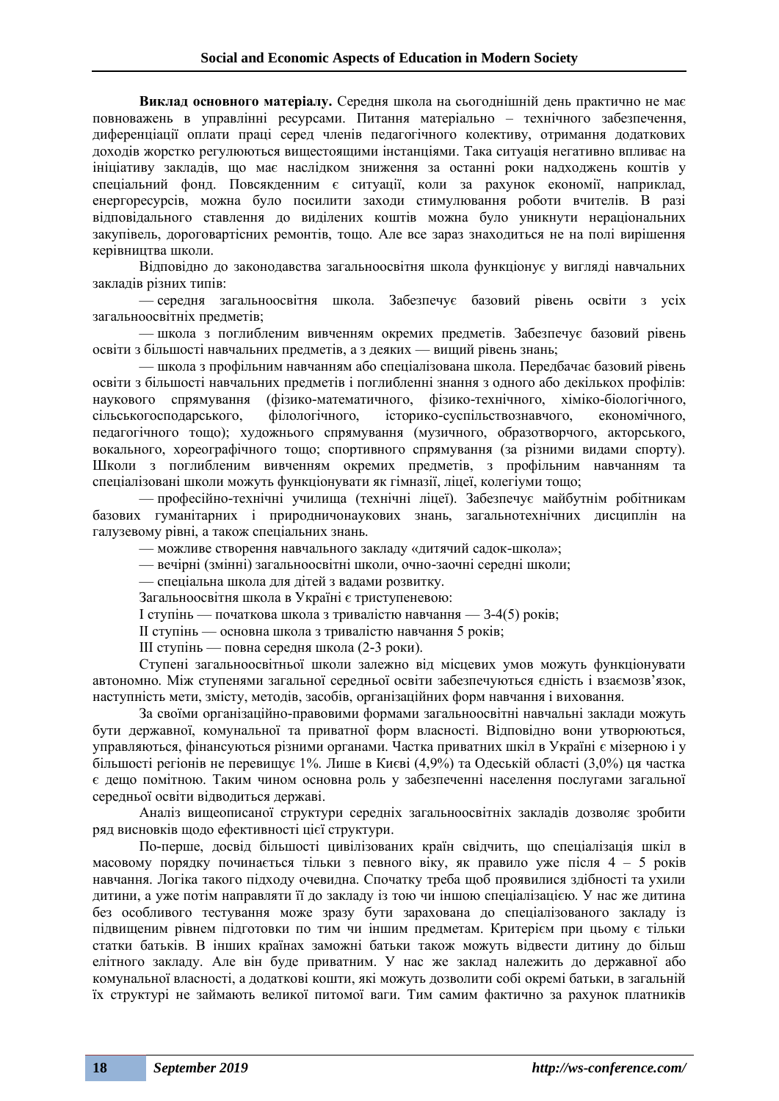**Виклад основного матеріалу.** Середня школа на сьогоднішній день практично не має повноважень в управлінні ресурсами. Питання матеріально – технічного забезпечення, диференціації оплати праці серед членів педагогічного колективу, отримання додаткових доходів жорстко регулюються вищестоящими інстанціями. Така ситуація негативно впливає на ініціативу закладів, що має наслідком зниження за останні роки надходжень коштів у спеціальний фонд. Повсякденним є ситуації, коли за рахунок економії, наприклад, енергоресурсів, можна було посилити заходи стимулювання роботи вчителів. В разі відповідального ставлення до виділених коштів можна було уникнути нераціональних закупівель, дороговартісних ремонтів, тощо. Але все зараз знаходиться не на полі вирішення керівництва школи.

Відповідно до законодавства загальноосвітня школа функціонує у вигляді навчальних закладів різних типів:

— середня загальноосвітня школа. Забезпечує базовий рівень освіти з усіх загальноосвітніх предметів;

— школа з поглибленим вивченням окремих предметів. Забезпечує базовий рівень освіти з більшості навчальних предметів, а з деяких — вищий рівень знань;

— школа з профільним навчанням або спеціалізована школа. Передбачає базовий рівень освіти з більшості навчальних предметів і поглибленні знання з одного або декількох профілів: наукового спрямування (фізико-математичного, фізико-технічного, хіміко-біологічного, сільськогосподарського, філологічного, історико-суспільствознавчого, економічного, педагогічного тощо); художнього спрямування (музичного, образотворчого, акторського, вокального, хореографічного тощо; спортивного спрямування (за різними видами спорту). Школи з поглибленим вивченням окремих предметів, з профільним навчанням та спеціалізовані школи можуть функціонувати як гімназії, ліцеї, колегіуми тощо;

— професійно-технічні училища (технічні ліцеї). Забезпечує майбутнім робітникам базових гуманітарних і природничонаукових знань, загальнотехнічних дисциплін на галузевому рівні, а також спеціальних знань.

— можливе створення навчального закладу «дитячий садок-школа»;

— вечірні (змінні) загальноосвітні школи, очно-заочні середні школи;

— спеціальна школа для дітей з вадами розвитку.

Загальноосвітня школа в Україні є триступеневою:

I ступінь — початкова школа з тривалістю навчання — 3-4(5) років;

II ступінь — основна школа з тривалістю навчання 5 років;

III ступінь — повна середня школа (2-3 роки).

Ступені загальноосвітньої школи залежно від місцевих умов можуть функціонувати автономно. Між ступенями загальної середньої освіти забезпечуються єдність і взаємозв'язок, наступність мети, змісту, методів, засобів, організаційних форм навчання і виховання.

За своїми організаційно-правовими формами загальноосвітні навчальні заклади можуть бути державної, комунальної та приватної форм власності. Відповідно вони утворюються, управляються, фінансуються різними органами. Частка приватних шкіл в Україні є мізерною і у більшості регіонів не перевищує 1%. Лише в Києві (4,9%) та Одеській області (3,0%) ця частка є дещо помітною. Таким чином основна роль у забезпеченні населення послугами загальної середньої освіти відводиться державі.

Аналіз вищеописаної структури середніх загальноосвітніх закладів дозволяє зробити ряд висновків щодо ефективності цієї структури.

По-перше, досвід більшості цивілізованих країн свідчить, що спеціалізація шкіл в масовому порядку починається тільки з певного віку, як правило уже після 4 – 5 років навчання. Логіка такого підходу очевидна. Спочатку треба щоб проявилися здібності та ухили дитини, а уже потім направляти її до закладу із тою чи іншою спеціалізацією. У нас же дитина без особливого тестування може зразу бути зарахована до спеціалізованого закладу із підвищеним рівнем підготовки по тим чи іншим предметам. Критерієм при цьому є тільки статки батьків. В інших країнах заможні батьки також можуть відвести дитину до більш елітного закладу. Але він буде приватним. У нас же заклад належить до державної або комунальної власності, а додаткові кошти, які можуть дозволити собі окремі батьки, в загальній їх структурі не займають великої питомої ваги. Тим самим фактично за рахунок платників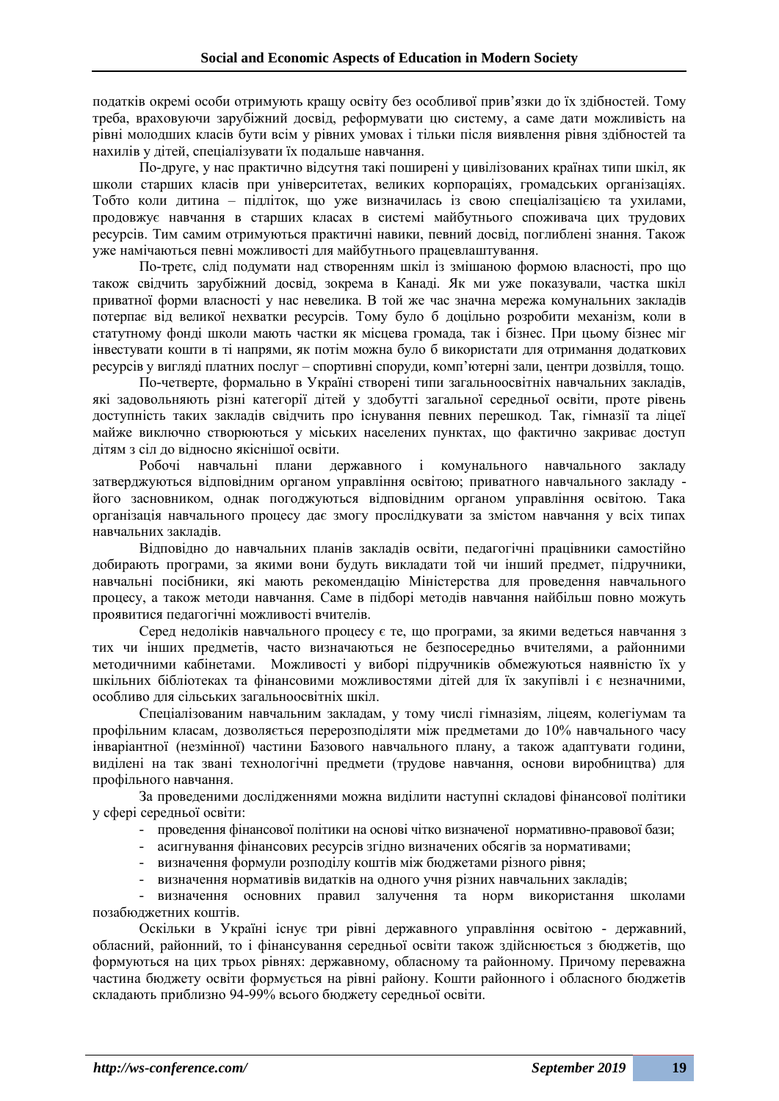податків окремі особи отримують кращу освіту без особливої прив'язки до їх здібностей. Тому треба, враховуючи зарубіжний досвід, реформувати цю систему, а саме дати можливість на рівні молодших класів бути всім у рівних умовах і тільки після виявлення рівня здібностей та нахилів у дітей, спеціалізувати їх подальше навчання.

По-друге, у нас практично відсутня такі поширені у цивілізованих країнах типи шкіл, як школи старших класів при університетах, великих корпораціях, громадських організаціях. Тобто коли дитина – підліток, що уже визначилась із свою спеціалізацією та ухилами, продовжує навчання в старших класах в системі майбутнього споживача цих трудових ресурсів. Тим самим отримуються практичні навики, певний досвід, поглиблені знання. Також уже намічаються певні можливості для майбутнього працевлаштування.

По-третє, слід подумати над створенням шкіл із змішаною формою власності, про що також свідчить зарубіжний досвід, зокрема в Канаді. Як ми уже показували, частка шкіл приватної форми власності у нас невелика. В той же час значна мережа комунальних закладів потерпає від великої нехватки ресурсів. Тому було б доцільно розробити механізм, коли в статутному фонді школи мають частки як місцева громада, так і бізнес. При цьому бізнес міг інвестувати кошти в ті напрями, як потім можна було б використати для отримання додаткових ресурсів у вигляді платних послуг – спортивні споруди, комп'ютерні зали, центри дозвілля, тощо.

По-четверте, формально в Україні створені типи загальноосвітніх навчальних закладів, які задовольняють різні категорії дітей у здобутті загальної середньої освіти, проте рівень доступність таких закладів свідчить про існування певних перешкод. Так, гімназії та ліцеї майже виключно створюються у міських населених пунктах, що фактично закриває доступ дітям з сіл до відносно якіснішої освіти.

Робочі навчальні плани державного і комунального навчального закладу затверджуються відповідним органом управління освітою; приватного навчального закладу його засновником, однак погоджуються відповідним органом управління освітою. Така організація навчального процесу дає змогу прослідкувати за змістом навчання у всіх типах навчальних закладів.

Відповідно до навчальних планів закладів освіти, педагогічні працівники самостійно добирають програми, за якими вони будуть викладати той чи інший предмет, підручники, навчальні посібники, які мають рекомендацію Міністерства для проведення навчального процесу, а також методи навчання. Саме в підборі методів навчання найбільш повно можуть проявитися педагогічні можливості вчителів.

Серед недоліків навчального процесу є те, що програми, за якими ведеться навчання з тих чи інших предметів, часто визначаються не безпосередньо вчителями, а районними методичними кабінетами. Можливості у виборі підручників обмежуються наявністю їх у шкільних бібліотеках та фінансовими можливостями дітей для їх закупівлі і є незначними, особливо для сільських загальноосвітніх шкіл.

Спеціалізованим навчальним закладам, у тому числі гімназіям, ліцеям, колегіумам та профільним класам, дозволяється перерозподіляти між предметами до 10% навчального часу інваріантної (незмінної) частини Базового навчального плану, а також адаптувати години, виділені на так звані технологічні предмети (трудове навчання, основи виробництва) для профільного навчання.

За проведеними дослідженнями можна виділити наступні складові фінансової політики у сфері середньої освіти:

- проведення фінансової політики на основі чітко визначеної нормативно-правової бази;

- асигнування фінансових ресурсів згідно визначених обсягів за нормативами;
- визначення формули розподілу коштів між бюджетами різного рівня;
- визначення нормативів видатків на одного учня різних навчальних закладів;

- визначення основних правил залучення та норм використання школами позабюджетних коштів.

Оскільки в Україні існує три рівні державного управління освітою - державний, обласний, районний, то і фінансування середньої освіти також здійснюється з бюджетів, що формуються на цих трьох рівнях: державному, обласному та районному. Причому переважна частина бюджету освіти формується на рівні району. Кошти районного і обласного бюджетів складають приблизно 94-99% всього бюджету середньої освіти.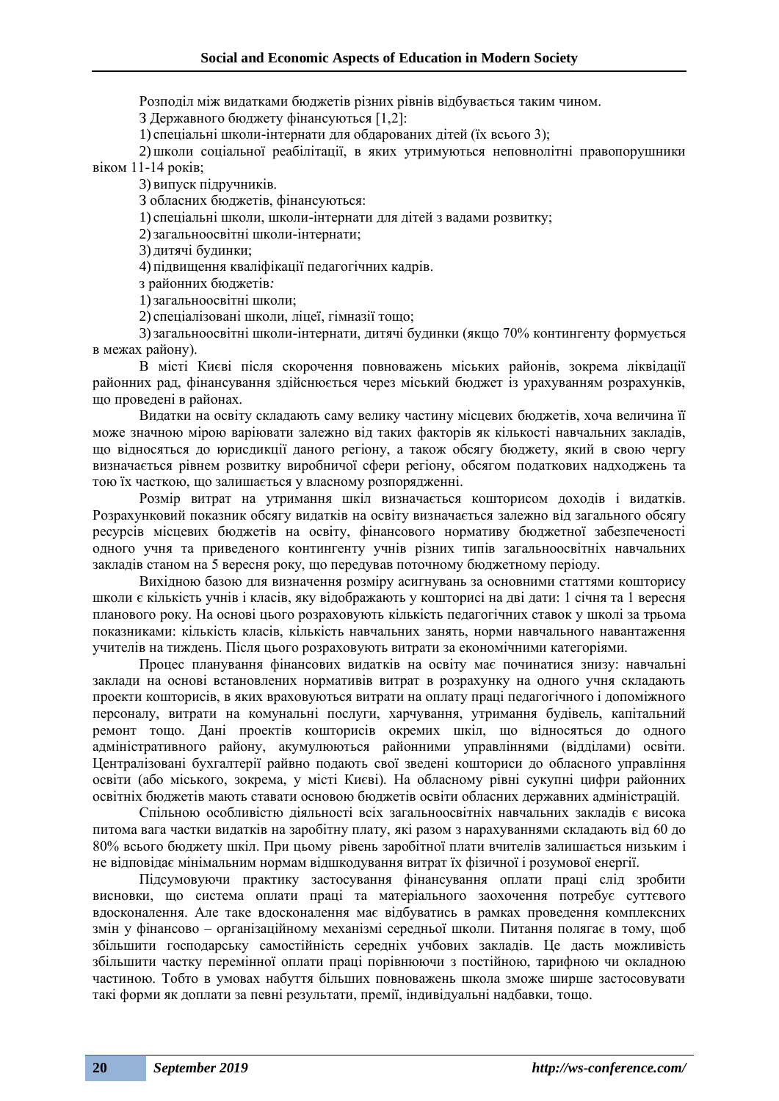Розподіл між видатками бюджетів різних рівнів відбувається таким чином.

З Державного бюджету фінансуються [1,2]:

1) спеціальні школи-інтернати для обдарованих дітей (їх всього 3);

2)школи соціальної реабілітації, в яких утримуються неповнолітні правопорушники віком 11-14 років;

3) випуск підручників.

З обласних бюджетів, фінансуються:

1) спеціальні школи, школи-інтернати для дітей з вадами розвитку;

2)загальноосвітні школи-інтернати;

3) дитячі будинки;

4) підвищення кваліфікації педагогічних кадрів.

з районних бюджетів*:* 

1)загальноосвітні школи;

2) спеціалізовані школи, ліцеї, гімназії тощо;

3)загальноосвітні школи-інтернати, дитячі будинки (якщо 70% контингенту формується в межах району).

В місті Києві після скорочення повноважень міських районів, зокрема ліквідації районних рад, фінансування здійснюється через міський бюджет із урахуванням розрахунків, що проведені в районах.

Видатки на освіту складають саму велику частину місцевих бюджетів, хоча величина її може значною мірою варіювати залежно від таких факторів як кількості навчальних закладів, що відносяться до юрисдикції даного регіону, а також обсягу бюджету, який в свою чергу визначається рівнем розвитку виробничої сфери регіону, обсягом податкових надходжень та тою їх часткою, що залишається у власному розпорядженні.

Розмір витрат на утримання шкіл визначається кошторисом доходів і видатків. Розрахунковий показник обсягу видатків на освіту визначається залежно від загального обсягу ресурсів місцевих бюджетів на освіту, фінансового нормативу бюджетної забезпеченості одного учня та приведеного контингенту учнів різних типів загальноосвітніх навчальних закладів станом на 5 вересня року, що передував поточному бюджетному періоду.

Вихідною базою для визначення розміру асигнувань за основними статтями кошторису школи є кількість учнів і класів, яку відображають у кошторисі на дві дати: 1 січня та 1 вересня планового року. На основі цього розраховують кількість педагогічних ставок у школі за трьома показниками: кількість класів, кількість навчальних занять, норми навчального навантаження учителів на тиждень. Після цього розраховують витрати за економічними категоріями.

Процес планування фінансових видатків на освіту має починатися знизу: навчальні заклади на основі встановлених нормативів витрат в розрахунку на одного учня складають проекти кошторисів, в яких враховуються витрати на оплату праці педагогічного і допоміжного персоналу, витрати на комунальні послуги, харчування, утримання будівель, капітальний ремонт тощо. Дані проектів кошторисів окремих шкіл, що відносяться до одного адміністративного району, акумулюються районними управліннями (відділами) освіти. Централізовані бухгалтерії райвно подають свої зведені кошториси до обласного управління освіти (або міського, зокрема, у місті Києві). На обласному рівні сукупні цифри районних освітніх бюджетів мають ставати основою бюджетів освіти обласних державних адміністрацій.

Спільною особливістю діяльності всіх загальноосвітніх навчальних закладів є висока питома вага частки видатків на заробітну плату, які разом з нарахуваннями складають від 60 до 80% всього бюджету шкіл. При цьому рівень заробітної плати вчителів залишається низьким і не відповідає мінімальним нормам відшкодування витрат їх фізичної і розумової енергії.

Підсумовуючи практику застосування фінансування оплати праці слід зробити висновки, що система оплати праці та матеріального заохочення потребує суттєвого вдосконалення. Але таке вдосконалення має відбуватись в рамках проведення комплексних змін у фінансово – організаційному механізмі середньої школи. Питання полягає в тому, щоб збільшити господарську самостійність середніх учбових закладів. Це дасть можливість збільшити частку перемінної оплати праці порівнюючи з постійною, тарифною чи окладною частиною. Тобто в умовах набуття більших повноважень школа зможе ширше застосовувати такі форми як доплати за певні результати, премії, індивідуальні надбавки, тощо.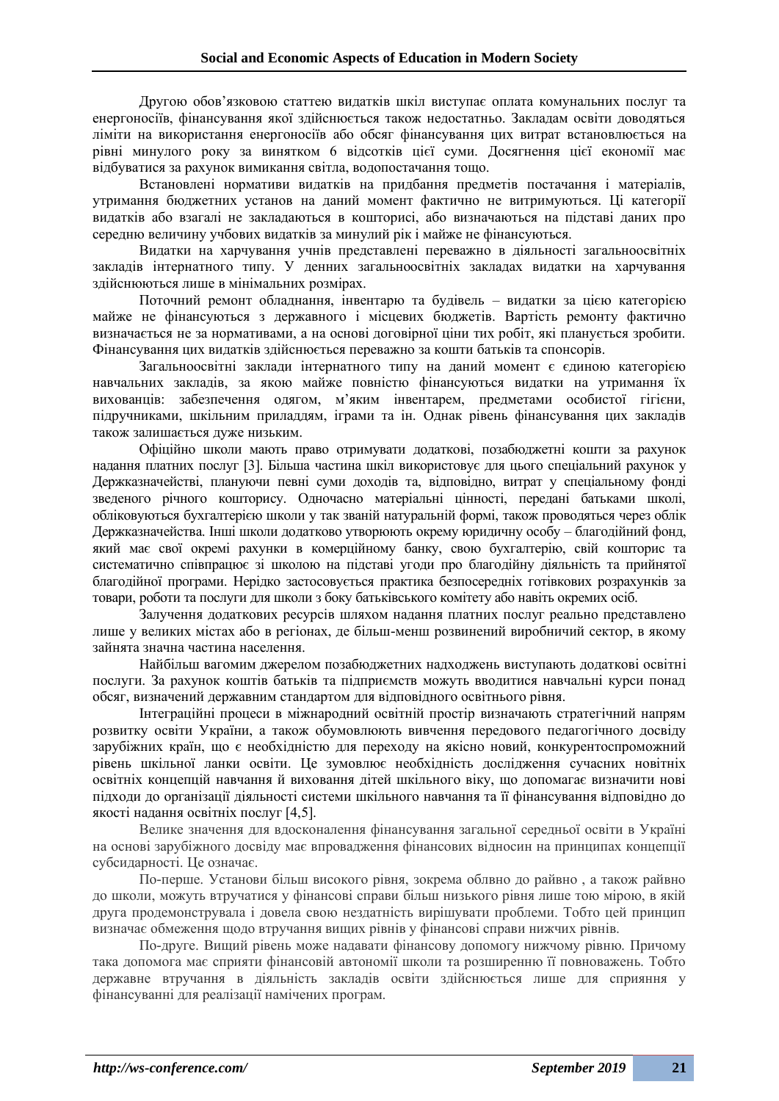Другою обов'язковою статтею видатків шкіл виступає оплата комунальних послуг та енергоносіїв, фінансування якої здійснюється також недостатньо. Закладам освіти доводяться ліміти на використання енергоносіїв або обсяг фінансування цих витрат встановлюється на рівні минулого року за винятком 6 відсотків цієї суми. Досягнення цієї економії має відбуватися за рахунок вимикання світла, водопостачання тощо.

Встановлені нормативи видатків на придбання предметів постачання і матеріалів, утримання бюджетних установ на даний момент фактично не витримуються. Ці категорії видатків або взагалі не закладаються в кошторисі, або визначаються на підставі даних про середню величину учбових видатків за минулий рік і майже не фінансуються.

Видатки на харчування учнів представлені переважно в діяльності загальноосвітніх закладів інтернатного типу. У денних загальноосвітніх закладах видатки на харчування здійснюються лише в мінімальних розмірах.

Поточний ремонт обладнання, інвентарю та будівель – видатки за цією категорією майже не фінансуються з державного і місцевих бюджетів. Вартість ремонту фактично визначається не за нормативами, а на основі договірної ціни тих робіт, які планується зробити. Фінансування цих видатків здійснюється переважно за кошти батьків та спонсорів.

Загальноосвітні заклади інтернатного типу на даний момент є єдиною категорією навчальних закладів, за якою майже повністю фінансуються видатки на утримання їх вихованців: забезпечення одягом, м'яким інвентарем, предметами особистої гігієни, підручниками, шкільним приладдям, іграми та ін. Однак рівень фінансування цих закладів також залишається дуже низьким.

Офіційно школи мають право отримувати додаткові, позабюджетні кошти за рахунок надання платних послуг [3]. Більша частина шкіл використовує для цього спеціальний рахунок у Держказначействі, плануючи певні суми доходів та, відповідно, витрат у спеціальному фонді зведеного річного кошторису. Одночасно матеріальні цінності, передані батьками школі, обліковуються бухгалтерією школи у так званій натуральній формі, також проводяться через облік Держказначейства. Інші школи додатково утворюють окрему юридичну особу – благодійний фонд, який має свої окремі рахунки в комерційному банку, свою бухгалтерію, свій кошторис та систематично співпрацює зі школою на підставі угоди про благодійну діяльність та прийнятої благодійної програми. Нерідко застосовується практика безпосередніх готівкових розрахунків за товари, роботи та послуги для школи з боку батьківського комітету або навіть окремих осіб.

Залучення додаткових ресурсів шляхом надання платних послуг реально представлено лише у великих містах або в регіонах, де більш-менш розвинений виробничий сектор, в якому зайнята значна частина населення.

Найбільш вагомим джерелом позабюджетних надходжень виступають додаткові освітні послуги. За рахунок коштів батьків та підприємств можуть вводитися навчальні курси понад обсяг, визначений державним стандартом для відповідного освітнього рівня.

Інтеграційні процеси в міжнародний освітній простір визначають стратегічний напрям розвитку освіти України, а також обумовлюють вивчення передового педагогічного досвіду зарубіжних країн, що є необхідністю для переходу на якісно новий, конкурентоспроможний рівень шкільної ланки освіти. Це зумовлює необхідність дослідження сучасних новітніх освітніх концепцій навчання й виховання дітей шкільного віку, що допомагає визначити нові підходи до організації діяльності системи шкільного навчання та її фінансування відповідно до якості надання освітніх послуг [4,5].

Велике значення для вдосконалення фінансування загальної середньої освіти в Україні на основі зарубіжного досвіду має впровадження фінансових відносин на принципах концепції субсидарності. Це означає.

По-перше. Установи більш високого рівня, зокрема облвно до райвно , а також райвно до школи, можуть втручатися у фінансові справи більш низького рівня лише тою мірою, в якій друга продемонструвала і довела свою нездатність вирішувати проблеми. Тобто цей принцип визначає обмеження щодо втручання вищих рівнів у фінансові справи нижчих рівнів.

По-друге. Вищий рівень може надавати фінансову допомогу нижчому рівню. Причому така допомога має сприяти фінансовій автономії школи та розширенню її повноважень. Тобто державне втручання в діяльність закладів освіти здійснюється лише для сприяння у фінансуванні для реалізації намічених програм.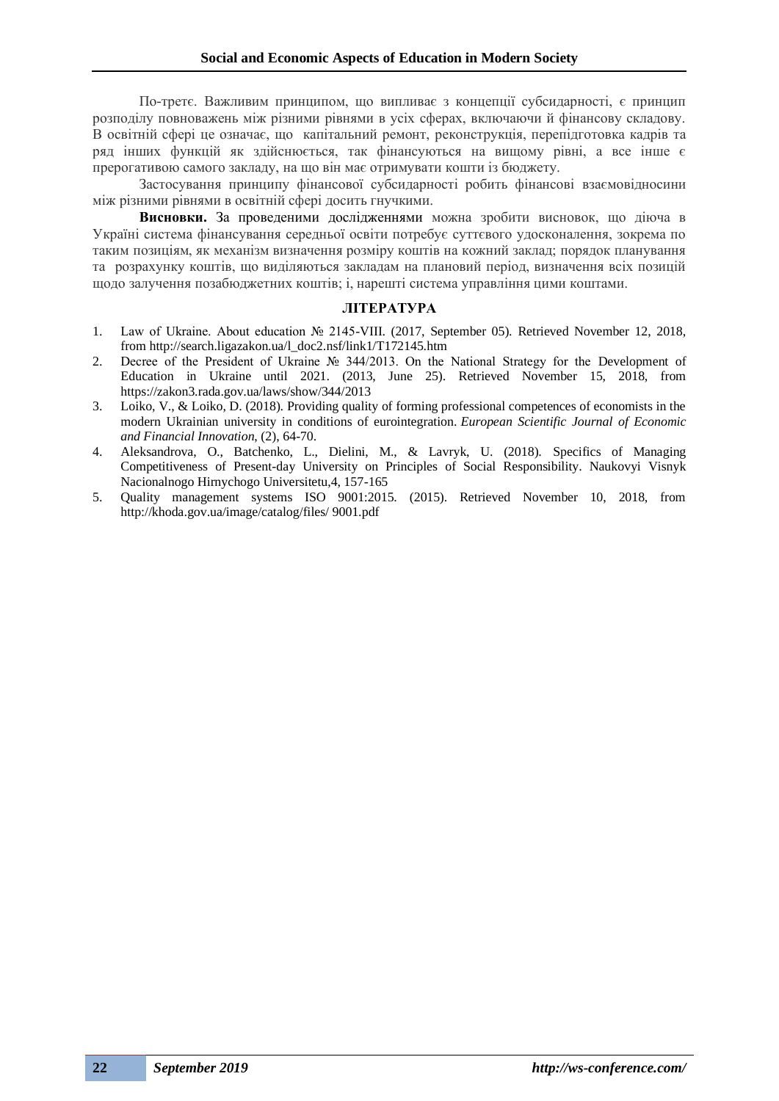По-третє. Важливим принципом, що випливає з концепції субсидарності, є принцип розподілу повноважень між різними рівнями в усіх сферах, включаючи й фінансову складову. В освітній сфері це означає, що капітальний ремонт, реконструкція, перепідготовка кадрів та ряд інших функцій як здійснюється, так фінансуються на вищому рівні, а все інше є прерогативою самого закладу, на що він має отримувати кошти із бюджету.

Застосування принципу фінансової субсидарності робить фінансові взаємовідносини між різними рівнями в освітній сфері досить гнучкими.

**Висновки.** За проведеними дослідженнями можна зробити висновок, що діюча в Україні система фінансування середньої освіти потребує суттєвого удосконалення, зокрема по таким позиціям, як механізм визначення розміру коштів на кожний заклад; порядок планування та розрахунку коштів, що виділяються закладам на плановий період, визначення всіх позицій щодо залучення позабюджетних коштів; і, нарешті система управління цими коштами.

#### **ЛІТЕРАТУРА**

- 1. Law of Ukraine. About education № 2145-VIII. (2017, September 05). Retrieved November 12, 2018, from http://search.ligazakon.ua/l\_doc2.nsf/link1/T172145.htm
- 2. Decree of the President of Ukraine № 344/2013. On the National Strategy for the Development of Education in Ukraine until 2021. (2013, June 25). Retrieved November 15, 2018, from https://zakon3.rada.gov.ua/laws/show/344/2013
- 3. Loiko, V., & Loiko, D. (2018). Providing quality of forming professional competences of economists in the modern Ukrainian university in conditions of eurointegration. *European Scientific Journal of Economic and Financial Innovation*, (2), 64-70.
- 4. Aleksandrova, O., Batchenko, L., Dielini, M., & Lavryk, U. (2018). Specifics of Managing Competitiveness of Present-day University on Principles of Social Responsibility. Naukovyi Visnyk Nacionalnogo Hirnychogo Universitetu,4, 157-165
- 5. Quality management systems ISO 9001:2015. (2015). Retrieved November 10, 2018, from http://khoda.gov.ua/image/catalog/files/ 9001.pdf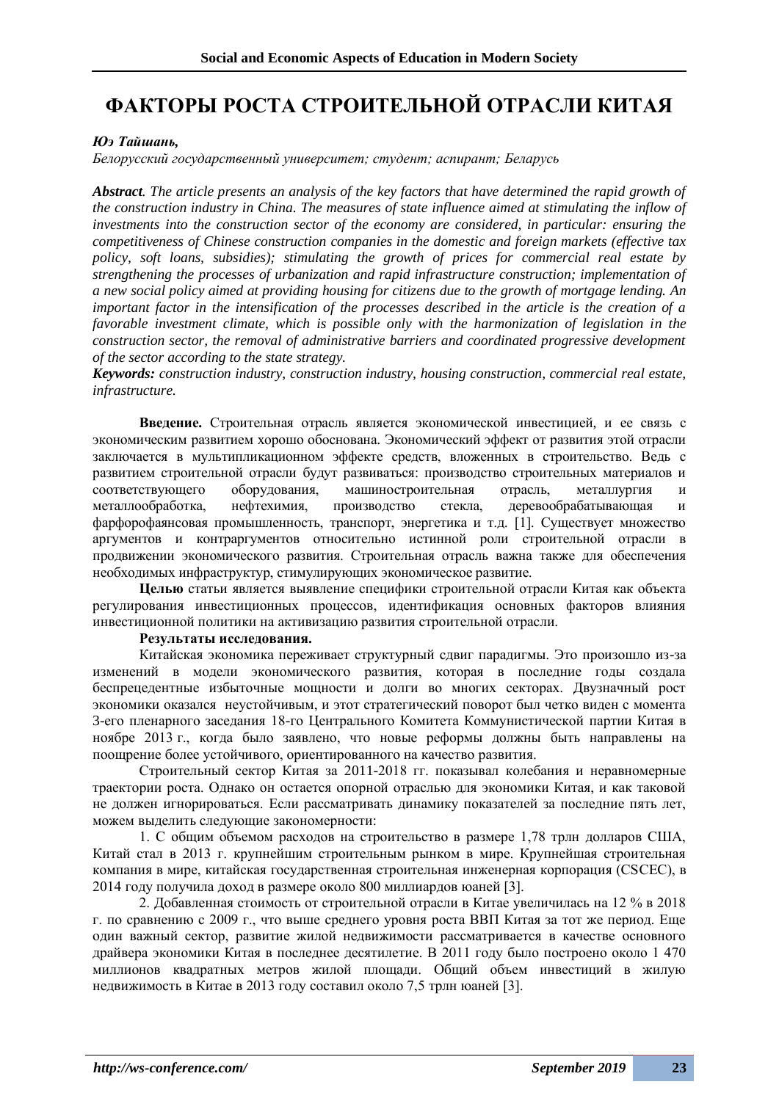# **ФАКТОРЫ РОСТА СТРОИТЕЛЬНОЙ ОТРАСЛИ КИТАЯ**

### *Юэ Тайшань,*

*Белорусский государственный университет; студент; аспирант; Беларусь*

*Abstract. The article presents an analysis of the key factors that have determined the rapid growth of the construction industry in China. The measures of state influence aimed at stimulating the inflow of investments into the construction sector of the economy are considered, in particular: ensuring the competitiveness of Chinese construction companies in the domestic and foreign markets (effective tax policy, soft loans, subsidies); stimulating the growth of prices for commercial real estate by strengthening the processes of urbanization and rapid infrastructure construction; implementation of a new social policy aimed at providing housing for citizens due to the growth of mortgage lending. An important factor in the intensification of the processes described in the article is the creation of a favorable investment climate, which is possible only with the harmonization of legislation in the construction sector, the removal of administrative barriers and coordinated progressive development of the sector according to the state strategy.*

*Keywords: construction industry, construction industry, housing construction, commercial real estate, infrastructure.*

**Введение.** Строительная отрасль является экономической инвестицией, и ее связь с экономическим развитием хорошо обоснована. Экономический эффект от развития этой отрасли заключается в мультипликационном эффекте средств, вложенных в строительство. Ведь с развитием строительной отрасли будут развиваться: производство строительных материалов и соответствующего оборудования, машиностроительная отрасль, металлургия и металлообработка, нефтехимия, производство стекла, деревообрабатывающая и фарфорофаянсовая промышленность, транспорт, энергетика и т.д. [1]. Существует множество аргументов и контраргументов относительно истинной роли строительной отрасли в продвижении экономического развития. Строительная отрасль важна также для обеспечения необходимых инфраструктур, стимулирующих экономическое развитие.

**Целью** статьи является выявление специфики строительной отрасли Китая как объекта регулирования инвестиционных процессов, идентификация основных факторов влияния инвестиционной политики на активизацию развития строительной отрасли.

### **Результаты исследования.**

Китайская экономика переживает структурный сдвиг парадигмы. Это произошло из-за изменений в модели экономического развития, которая в последние годы создала беспрецедентные избыточные мощности и долги во многих секторах. Двузначный рост экономики оказался неустойчивым, и этот стратегический поворот был четко виден с момента 3-его пленарного заседания 18-го Центрального Комитета Коммунистической партии Китая в ноябре 2013 г., когда было заявлено, что новые реформы должны быть направлены на поощрение более устойчивого, ориентированного на качество развития.

Строительный сектор Китая за 2011-2018 гг. показывал колебания и неравномерные траектории роста. Однако он остается опорной отраслью для экономики Китая, и как таковой не должен игнорироваться. Если рассматривать динамику показателей за последние пять лет, можем выделить следующие закономерности:

1. С общим объемом расходов на строительство в размере 1,78 трлн долларов США, Китай стал в 2013 г. крупнейшим строительным рынком в мире. Крупнейшая строительная компания в мире, китайская государственная строительная инженерная корпорация (CSCEC), в 2014 году получила доход в размере около 800 миллиардов юаней [3].

2. Добавленная стоимость от строительной отрасли в Китае увеличилась на 12 % в 2018 г. по сравнению с 2009 г., что выше среднего уровня роста ВВП Китая за тот же период. Еще один важный сектор, развитие жилой недвижимости рассматривается в качестве основного драйвера экономики Китая в последнее десятилетие. В 2011 году было построено около 1 470 миллионов квадратных метров жилой площади. Общий объем инвестиций в жилую недвижимость в Китае в 2013 году составил около 7,5 трлн юаней [3].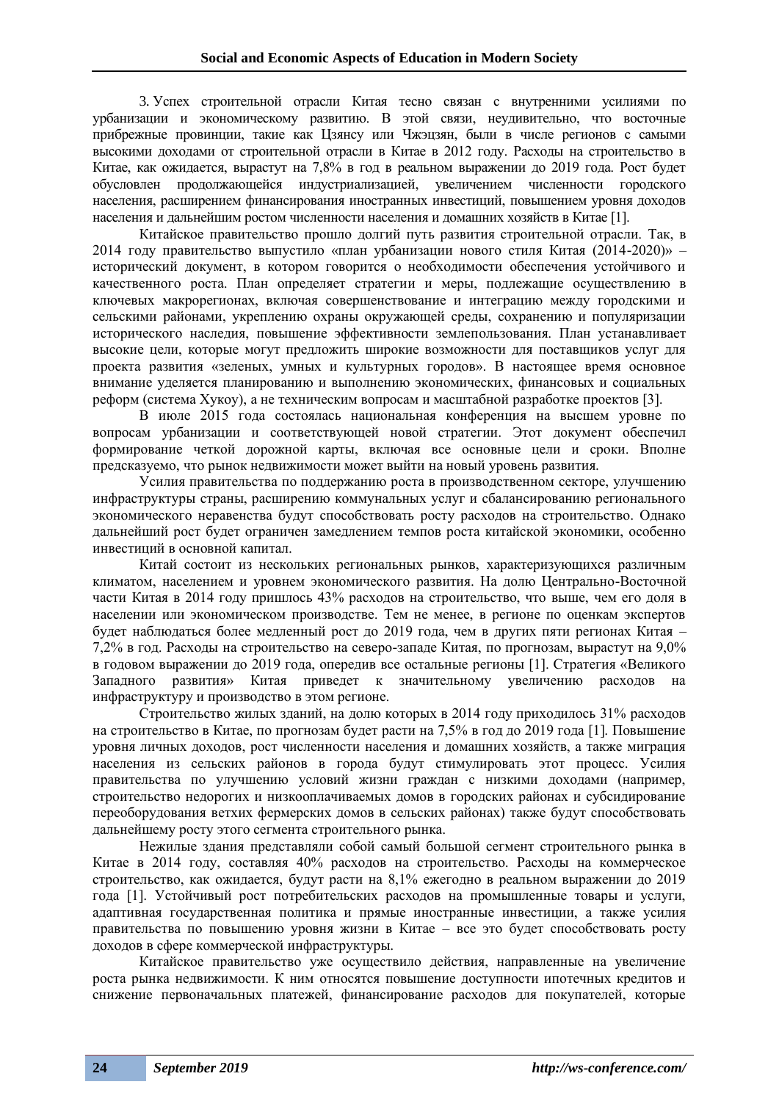3. Успех строительной отрасли Китая тесно связан с внутренними усилиями по урбанизации и экономическому развитию. В этой связи, неудивительно, что восточные прибрежные провинции, такие как Цзянсу или Чжэцзян, были в числе регионов с самыми высокими доходами от строительной отрасли в Китае в 2012 году. Расходы на строительство в Китае, как ожидается, вырастут на 7,8% в год в реальном выражении до 2019 года. Рост будет обусловлен продолжающейся индустриализацией, увеличением численности городского населения, расширением финансирования иностранных инвестиций, повышением уровня доходов населения и дальнейшим ростом численности населения и домашних хозяйств в Китае [1].

Китайское правительство прошло долгий путь развития строительной отрасли. Так, в 2014 году правительство выпустило «план урбанизации нового стиля Китая (2014-2020)» – исторический документ, в котором говорится о необходимости обеспечения устойчивого и качественного роста. План определяет стратегии и меры, подлежащие осуществлению в ключевых макрорегионах, включая совершенствование и интеграцию между городскими и сельскими районами, укреплению охраны окружающей среды, сохранению и популяризации исторического наследия, повышение эффективности землепользования. План устанавливает высокие цели, которые могут предложить широкие возможности для поставщиков услуг для проекта развития «зеленых, умных и культурных городов». В настоящее время основное внимание уделяется планированию и выполнению экономических, финансовых и социальных реформ (система Хукоу), а не техническим вопросам и масштабной разработке проектов [3].

В июле 2015 года состоялась национальная конференция на высшем уровне по вопросам урбанизации и соответствующей новой стратегии. Этот документ обеспечил формирование четкой дорожной карты, включая все основные цели и сроки. Вполне предсказуемо, что рынок недвижимости может выйти на новый уровень развития.

Усилия правительства по поддержанию роста в производственном секторе, улучшению инфраструктуры страны, расширению коммунальных услуг и сбалансированию регионального экономического неравенства будут способствовать росту расходов на строительство. Однако дальнейший рост будет ограничен замедлением темпов роста китайской экономики, особенно инвестиций в основной капитал.

Китай состоит из нескольких региональных рынков, характеризующихся различным климатом, населением и уровнем экономического развития. На долю Центрально-Восточной части Китая в 2014 году пришлось 43% расходов на строительство, что выше, чем его доля в населении или экономическом производстве. Тем не менее, в регионе по оценкам экспертов будет наблюдаться более медленный рост до 2019 года, чем в других пяти регионах Китая – 7,2% в год. Расходы на строительство на северо-западе Китая, по прогнозам, вырастут на 9,0% в годовом выражении до 2019 года, опередив все остальные регионы [1]. Стратегия «Великого Западного развития» Китая приведет к значительному увеличению расходов на инфраструктуру и производство в этом регионе.

Строительство жилых зданий, на долю которых в 2014 году приходилось 31% расходов на строительство в Китае, по прогнозам будет расти на 7,5% в год до 2019 года [1]. Повышение уровня личных доходов, рост численности населения и домашних хозяйств, а также миграция населения из сельских районов в города будут стимулировать этот процесс. Усилия правительства по улучшению условий жизни граждан с низкими доходами (например, строительство недорогих и низкооплачиваемых домов в городских районах и субсидирование переоборудования ветхих фермерских домов в сельских районах) также будут способствовать дальнейшему росту этого сегмента строительного рынка.

Нежилые здания представляли собой самый большой сегмент строительного рынка в Китае в 2014 году, составляя 40% расходов на строительство. Расходы на коммерческое строительство, как ожидается, будут расти на 8,1% ежегодно в реальном выражении до 2019 года [1]. Устойчивый рост потребительских расходов на промышленные товары и услуги, адаптивная государственная политика и прямые иностранные инвестиции, а также усилия правительства по повышению уровня жизни в Китае – все это будет способствовать росту доходов в сфере коммерческой инфраструктуры.

Китайское правительство уже осуществило действия, направленные на увеличение роста рынка недвижимости. К ним относятся повышение доступности ипотечных кредитов и снижение первоначальных платежей, финансирование расходов для покупателей, которые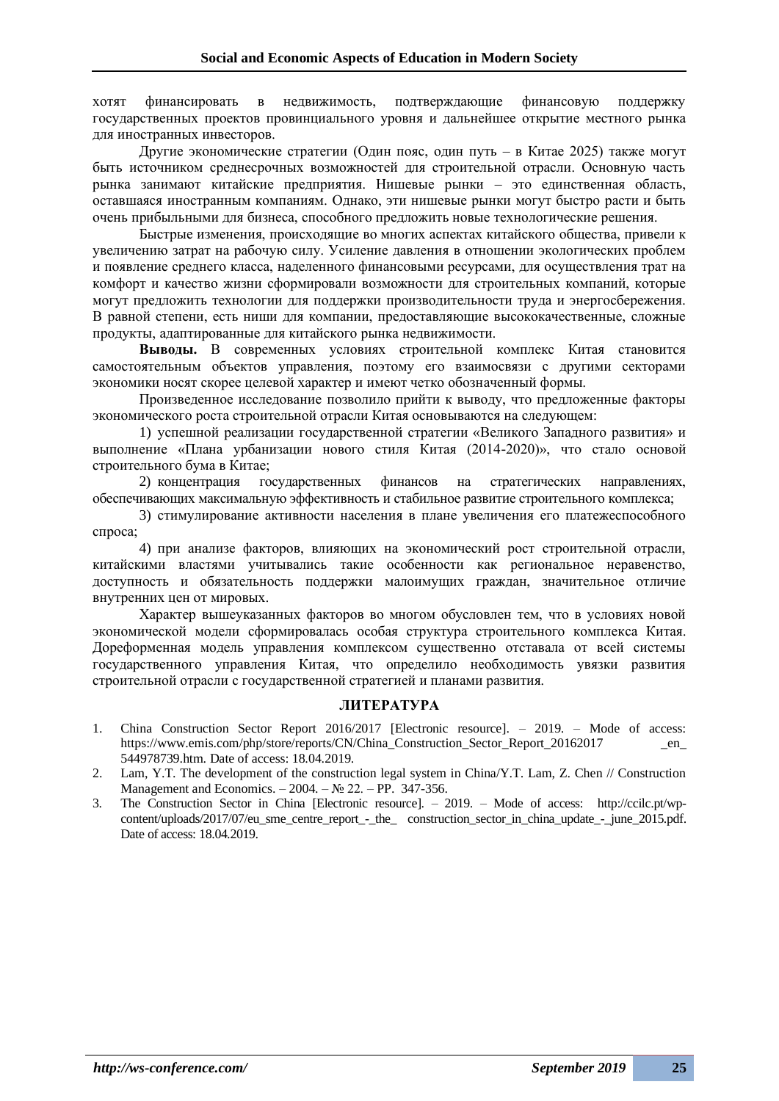хотят финансировать в недвижимость, подтверждающие финансовую поддержку государственных проектов провинциального уровня и дальнейшее открытие местного рынка для иностранных инвесторов.

Другие экономические стратегии (Один пояс, один путь – в Китае 2025) также могут быть источником среднесрочных возможностей для строительной отрасли. Основную часть рынка занимают китайские предприятия. Нишевые рынки – это единственная область, оставшаяся иностранным компаниям. Однако, эти нишевые рынки могут быстро расти и быть очень прибыльными для бизнеса, способного предложить новые технологические решения.

Быстрые изменения, происходящие во многих аспектах китайского общества, привели к увеличению затрат на рабочую силу. Усиление давления в отношении экологических проблем и появление среднего класса, наделенного финансовыми ресурсами, для осуществления трат на комфорт и качество жизни сформировали возможности для строительных компаний, которые могут предложить технологии для поддержки производительности труда и энергосбережения. В равной степени, есть ниши для компании, предоставляющие высококачественные, сложные продукты, адаптированные для китайского рынка недвижимости.

**Выводы.** В современных условиях строительной комплекс Китая становится самостоятельным объектов управления, поэтому его взаимосвязи с другими секторами экономики носят скорее целевой характер и имеют четко обозначенный формы.

Произведенное исследование позволило прийти к выводу, что предложенные факторы экономического роста строительной отрасли Китая основываются на следующем:

1) успешной реализации государственной стратегии «Великого Западного развития» и выполнение «Плана урбанизации нового стиля Китая (2014-2020)», что стало основой строительного бума в Китае;

2) концентрация государственных финансов на стратегических направлениях, обеспечивающих максимальную эффективность и стабильное развитие строительного комплекса;

3) стимулирование активности населения в плане увеличения его платежеспособного спроса;

4) при анализе факторов, влияющих на экономический рост строительной отрасли, китайскими властями учитывались такие особенности как региональное неравенство, доступность и обязательность поддержки малоимущих граждан, значительное отличие внутренних цен от мировых.

Характер вышеуказанных факторов во многом обусловлен тем, что в условиях новой экономической модели сформировалась особая структура строительного комплекса Китая. Дореформенная модель управления комплексом существенно отставала от всей системы государственного управления Китая, что определило необходимость увязки развития строительной отрасли с государственной стратегией и планами развития.

#### **ЛИТЕРАТУРА**

- 1. China Construction Sector Report 2016/2017 [Electronic resource]. 2019. Mode of access: https://www.emis.com/php/store/reports/CN/China\_Construction\_Sector\_Report\_20162017 \_en\_ 544978739.htm. Date of access: 18.04.2019.
- 2. Lam, Y.T. The development of the construction legal system in China/Y.T. Lam, Z. Chen // Construction Management and Economics. – 2004. – № 22. – PP. 347-356.
- 3. The Construction Sector in China [Electronic resource]. 2019. Mode of access: http://ccilc.pt/wpcontent/uploads/2017/07/eu\_sme\_centre\_report\_-\_the\_ construction\_sector\_in\_china\_update\_-\_june\_2015.pdf. Date of access: 18.04.2019.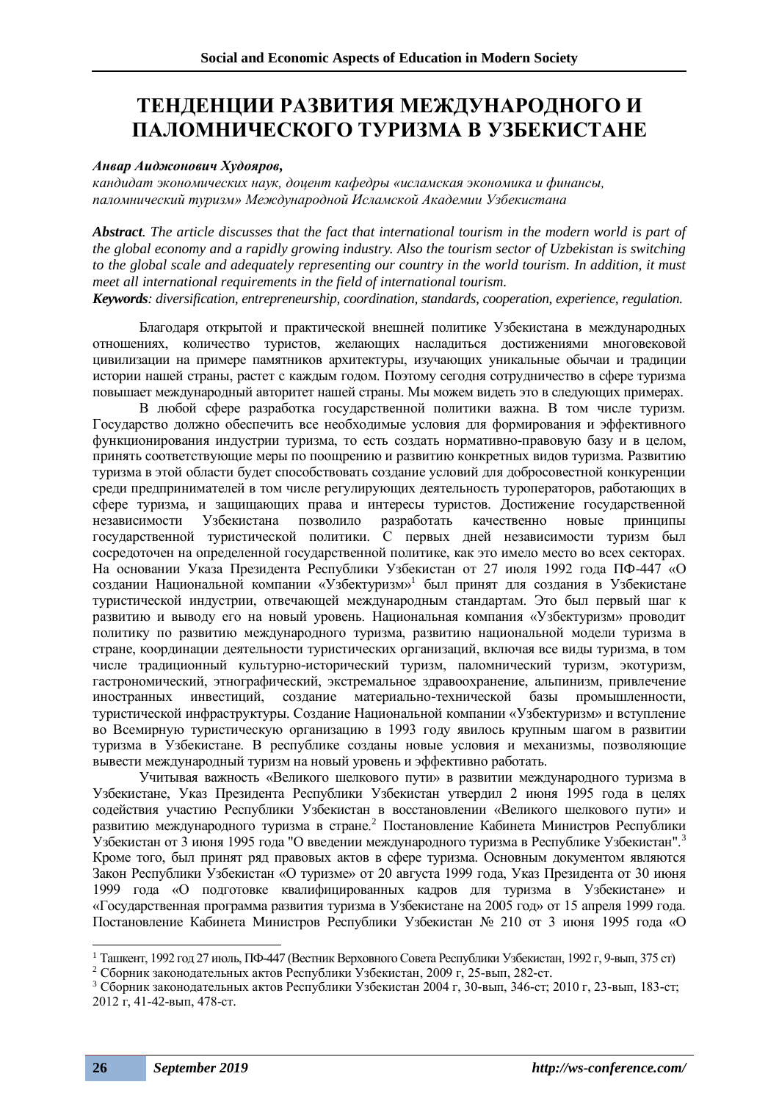# **ТЕНДЕНЦИИ РАЗВИТИЯ МЕЖДУНАРОДНОГО И ПАЛОМНИЧЕСКОГО ТУРИЗМА В УЗБЕКИСТАНЕ**

#### *Анвар Аиджонович Худояров,*

*кандидат экономических наук, доцент кафедры «исламская экономика и финансы, паломнический туризм» Международной Исламской Академии Узбекистана*

*Abstract. The article discusses that the fact that international tourism in the modern world is part of the global economy and a rapidly growing industry. Also the tourism sector of Uzbekistan is switching to the global scale and adequately representing our country in the world tourism. In addition, it must meet all international requirements in the field of international tourism. Keywords: diversification, entrepreneurship, coordination, standards, cooperation, experience, regulation.*

Благодаря открытой и практической внешней политике Узбекистана в международных отношениях, количество туристов, желающих насладиться достижениями многовековой цивилизации на примере памятников архитектуры, изучающих уникальные обычаи и традиции истории нашей страны, растет с каждым годом. Поэтому сегодня сотрудничество в сфере туризма повышает международный авторитет нашей страны. Мы можем видеть это в следующих примерах.

В любой сфере разработка государственной политики важна. В том числе туризм. Государство должно обеспечить все необходимые условия для формирования и эффективного функционирования индустрии туризма, то есть создать нормативно-правовую базу и в целом, принять соответствующие меры по поощрению и развитию конкретных видов туризма. Развитию туризма в этой области будет способствовать создание условий для добросовестной конкуренции среди предпринимателей в том числе регулирующих деятельность туроператоров, работающих в сфере туризма, и защищающих права и интересы туристов. Достижение государственной независимости Узбекистана позволило разработать качественно новые принципы государственной туристической политики. С первых дней независимости туризм был сосредоточен на определенной государственной политике, как это имело место во всех секторах. На основании Указа Президента Республики Узбекистан от 27 июля 1992 года ПФ-447 «О создании Национальной компании «Узбектуризм» 1 был принят для создания в Узбекистане туристической индустрии, отвечающей международным стандартам. Это был первый шаг к развитию и выводу его на новый уровень. Национальная компания «Узбектуризм» проводит политику по развитию международного туризма, развитию национальной модели туризма в стране, координации деятельности туристических организаций, включая все виды туризма, в том числе традиционный культурно-исторический туризм, паломнический туризм, экотуризм, гастрономический, этнографический, экстремальное здравоохранение, альпинизм, привлечение иностранных инвестиций, создание материально-технической базы промышленности, туристической инфраструктуры. Создание Национальной компании «Узбектуризм» и вступление во Всемирную туристическую организацию в 1993 году явилось крупным шагом в развитии туризма в Узбекистане. В республике созданы новые условия и механизмы, позволяющие вывести международный туризм на новый уровень и эффективно работать.

Учитывая важность «Великого шелкового пути» в развитии международного туризма в Узбекистане, Указ Президента Республики Узбекистан утвердил 2 июня 1995 года в целях содействия участию Республики Узбекистан в восстановлении «Великого шелкового пути» и развитию международного туризма в стране.<sup>2</sup> Постановление Кабинета Министров Республики Узбекистан от 3 июня 1995 года "О введении международного туризма в Республике Узбекистан".<sup>3</sup> Кроме того, был принят ряд правовых актов в сфере туризма. Основным документом являются Закон Республики Узбекистан «О туризме» от 20 августа 1999 года, Указ Президента от 30 июня 1999 года «О подготовке квалифицированных кадров для туризма в Узбекистане» и «Государственная программа развития туризма в Узбекистане на 2005 год» от 15 апреля 1999 года. Постановление Кабинета Министров Республики Узбекистан № 210 от 3 июня 1995 года «О

<sup>1</sup> Ташкент, 1992 год 27 июль, ПФ-447 (Вестник Верховного Совета Республики Узбекистан, 1992 г, 9-вып, 375 ст)

<sup>2</sup> Сборник законодательных актов Республики Узбекистан, 2009 г, 25-вып, 282-ст.

<sup>3</sup> Сборник законодательных актов Республики Узбекистан 2004 г, 30-вып, 346-ст; 2010 г, 23-вып, 183-ст; 2012 г, 41-42-вып, 478-ст.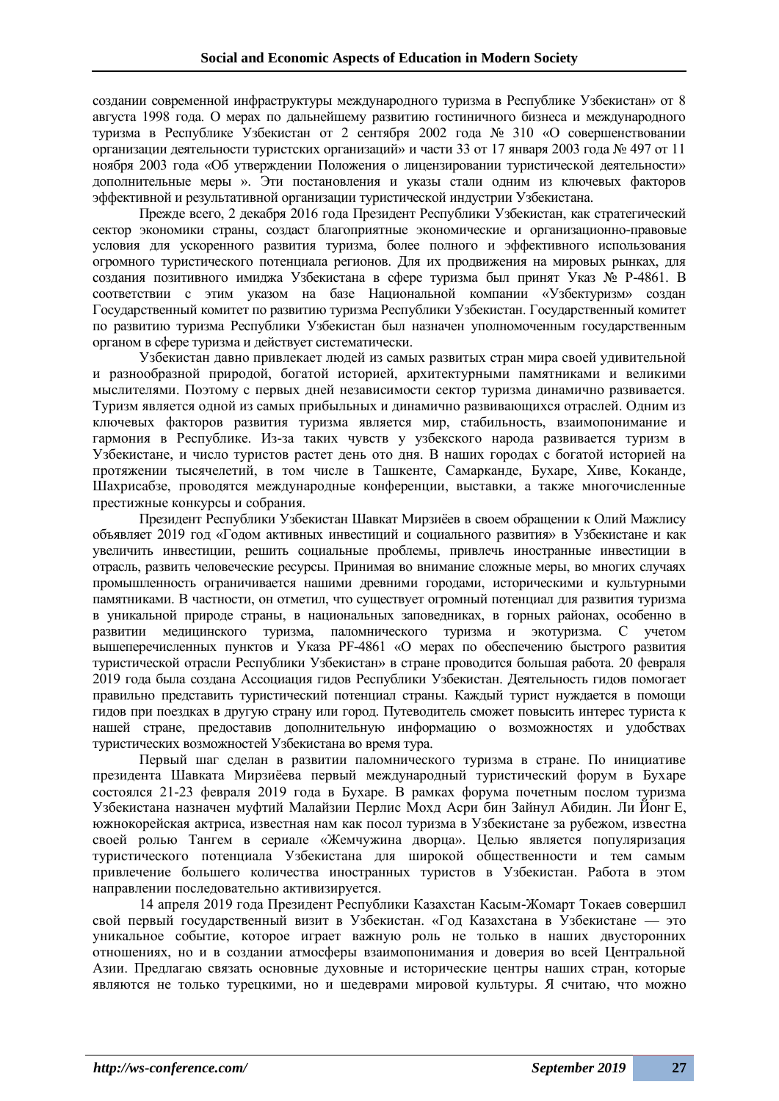создании современной инфраструктуры международного туризма в Республике Узбекистан» от 8 августа 1998 года. О мерах по дальнейшему развитию гостиничного бизнеса и международного туризма в Республике Узбекистан от 2 сентября 2002 года № 310 «О совершенствовании организации деятельности туристских организаций» и части 33 от 17 января 2003 года № 497 от 11 ноября 2003 года «Об утверждении Положения о лицензировании туристической деятельности» дополнительные меры ». Эти постановления и указы стали одним из ключевых факторов эффективной и результативной организации туристической индустрии Узбекистана.

Прежде всего, 2 декабря 2016 года Президент Республики Узбекистан, как стратегический сектор экономики страны, создаст благоприятные экономические и организационно-правовые условия для ускоренного развития туризма, более полного и эффективного использования огромного туристического потенциала регионов. Для их продвижения на мировых рынках, для создания позитивного имиджа Узбекистана в сфере туризма был принят Указ № P-4861. В соответствии с этим указом на базе Национальной компании «Узбектуризм» создан Государственный комитет по развитию туризма Республики Узбекистан. Государственный комитет по развитию туризма Республики Узбекистан был назначен уполномоченным государственным органом в сфере туризма и действует систематически.

Узбекистан давно привлекает людей из самых развитых стран мира своей удивительной и разнообразной природой, богатой историей, архитектурными памятниками и великими мыслителями. Поэтому с первых дней независимости сектор туризма динамично развивается. Туризм является одной из самых прибыльных и динамично развивающихся отраслей. Одним из ключевых факторов развития туризма является мир, стабильность, взаимопонимание и гармония в Республике. Из-за таких чувств у узбекского народа развивается туризм в Узбекистане, и число туристов растет день ото дня. В наших городах с богатой историей на протяжении тысячелетий, в том числе в Ташкенте, Самарканде, Бухаре, Хиве, Коканде, Шахрисабзе, проводятся международные конференции, выставки, а также многочисленные престижные конкурсы и собрания.

Президент Республики Узбекистан Шавкат Мирзиёев в своем обращении к Олий Мажлису объявляет 2019 год «Годом активных инвестиций и социального развития» в Узбекистане и как увеличить инвестиции, решить социальные проблемы, привлечь иностранные инвестиции в отрасль, развить человеческие ресурсы. Принимая во внимание сложные меры, во многих случаях промышленность ограничивается нашими древними городами, историческими и культурными памятниками. В частности, он отметил, что существует огромный потенциал для развития туризма в уникальной природе страны, в национальных заповедниках, в горных районах, особенно в развитии медицинского туризма, паломнического туризма и экотуризма. С учетом вышеперечисленных пунктов и Указа PF-4861 «О мерах по обеспечению быстрого развития туристической отрасли Республики Узбекистан» в стране проводится большая работа. 20 февраля 2019 года была создана Ассоциация гидов Республики Узбекистан. Деятельность гидов помогает правильно представить туристический потенциал страны. Каждый турист нуждается в помощи гидов при поездках в другую страну или город. Путеводитель сможет повысить интерес туриста к нашей стране, предоставив дополнительную информацию о возможностях и удобствах туристических возможностей Узбекистана во время тура.

Первый шаг сделан в развитии паломнического туризма в стране. По инициативе президента Шавката Мирзиёева первый международный туристический форум в Бухаре состоялся 21-23 февраля 2019 года в Бухаре. В рамках форума почетным послом туризма Узбекистана назначен муфтий Малайзии Перлис Мохд Асри бин Зайнул Абидин. Ли Йонг Е, южнокорейская актриса, известная нам как посол туризма в Узбекистане за рубежом, известна своей ролью Тангем в сериале «Жемчужина дворца». Целью является популяризация туристического потенциала Узбекистана для широкой общественности и тем самым привлечение большего количества иностранных туристов в Узбекистан. Работа в этом направлении последовательно активизируется.

14 апреля 2019 года Президент Республики Казахстан Касым-Жомарт Токаев совершил свой первый государственный визит в Узбекистан. «Год Казахстана в Узбекистане — это уникальное событие, которое играет важную роль не только в наших двусторонних отношениях, но и в создании атмосферы взаимопонимания и доверия во всей Центральной Азии. Предлагаю связать основные духовные и исторические центры наших стран, которые являются не только турецкими, но и шедеврами мировой культуры. Я считаю, что можно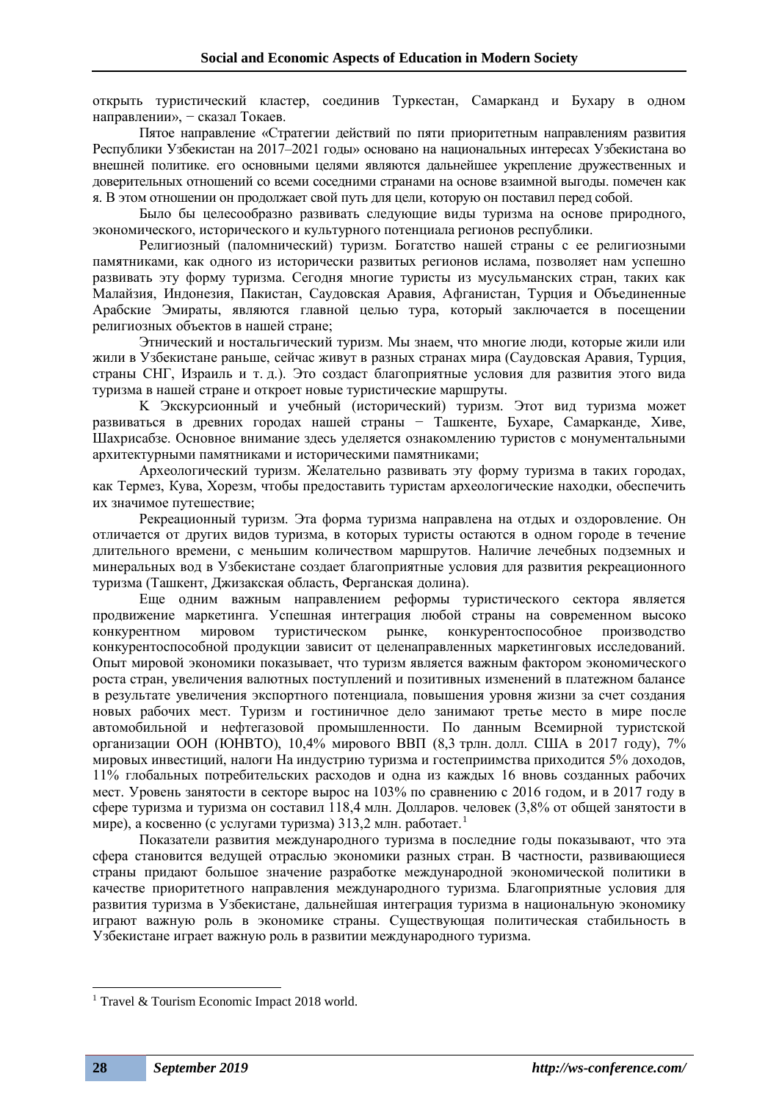открыть туристический кластер, соединив Туркестан, Самарканд и Бухару в одном направлении», - сказал Токаев.

Пятое направление «Стратегии действий по пяти приоритетным направлениям развития Республики Узбекистан на 2017–2021 годы» основано на национальных интересах Узбекистана во внешней политике. его основными целями являются дальнейшее укрепление дружественных и доверительных отношений со всеми соседними странами на основе взаимной выгоды. помечен как я. В этом отношении он продолжает свой путь для цели, которую он поставил перед собой.

Было бы целесообразно развивать следующие виды туризма на основе природного, экономического, исторического и культурного потенциала регионов республики.

Религиозный (паломнический) туризм. Богатство нашей страны с ее религиозными памятниками, как одного из исторически развитых регионов ислама, позволяет нам успешно развивать эту форму туризма. Сегодня многие туристы из мусульманских стран, таких как Малайзия, Индонезия, Пакистан, Саудовская Аравия, Афганистан, Турция и Объединенные Арабские Эмираты, являются главной целью тура, который заключается в посещении религиозных объектов в нашей стране;

Этнический и ностальгический туризм. Мы знаем, что многие люди, которые жили или жили в Узбекистане раньше, сейчас живут в разных странах мира (Саудовская Аравия, Турция, страны СНГ, Израиль и т. д.). Это создаст благоприятные условия для развития этого вида туризма в нашей стране и откроет новые туристические маршруты.

K Экскурсионный и учебный (исторический) туризм. Этот вид туризма может развиваться в древних городах нашей страны − Ташкенте, Бухаре, Самарканде, Хиве, Шахрисабзе. Основное внимание здесь уделяется ознакомлению туристов с монументальными архитектурными памятниками и историческими памятниками;

Археологический туризм. Желательно развивать эту форму туризма в таких городах, как Термез, Кува, Хорезм, чтобы предоставить туристам археологические находки, обеспечить их значимое путешествие;

Рекреационный туризм. Эта форма туризма направлена на отдых и оздоровление. Он отличается от других видов туризма, в которых туристы остаются в одном городе в течение длительного времени, с меньшим количеством маршрутов. Наличие лечебных подземных и минеральных вод в Узбекистане создает благоприятные условия для развития рекреационного туризма (Ташкент, Джизакская область, Ферганская долина).

Еще одним важным направлением реформы туристического сектора является продвижение маркетинга. Успешная интеграция любой страны на современном высоко конкурентном мировом туристическом рынке, конкурентоспособное производство конкурентоспособной продукции зависит от целенаправленных маркетинговых исследований. Опыт мировой экономики показывает, что туризм является важным фактором экономического роста стран, увеличения валютных поступлений и позитивных изменений в платежном балансе в результате увеличения экспортного потенциала, повышения уровня жизни за счет создания новых рабочих мест. Туризм и гостиничное дело занимают третье место в мире после автомобильной и нефтегазовой промышленности. По данным Всемирной туристской организации ООН (ЮНВТО), 10,4% мирового ВВП (8,3 трлн. долл. США в 2017 году), 7% мировых инвестиций, налоги На индустрию туризма и гостеприимства приходится 5% доходов, 11% глобальных потребительских расходов и одна из каждых 16 вновь созданных рабочих мест. Уровень занятости в секторе вырос на 103% по сравнению с 2016 годом, и в 2017 году в сфере туризма и туризма он составил 118,4 млн. Долларов. человек (3,8% от общей занятости в мире), а косвенно (с услугами туризма) 313,2 млн. работает.<sup>1</sup>

Показатели развития международного туризма в последние годы показывают, что эта сфера становится ведущей отраслью экономики разных стран. В частности, развивающиеся страны придают большое значение разработке международной экономической политики в качестве приоритетного направления международного туризма. Благоприятные условия для развития туризма в Узбекистане, дальнейшая интеграция туризма в национальную экономику играют важную роль в экономике страны. Существующая политическая стабильность в Узбекистане играет важную роль в развитии международного туризма.

<sup>&</sup>lt;sup>1</sup> Travel & Tourism Economic Impact 2018 world.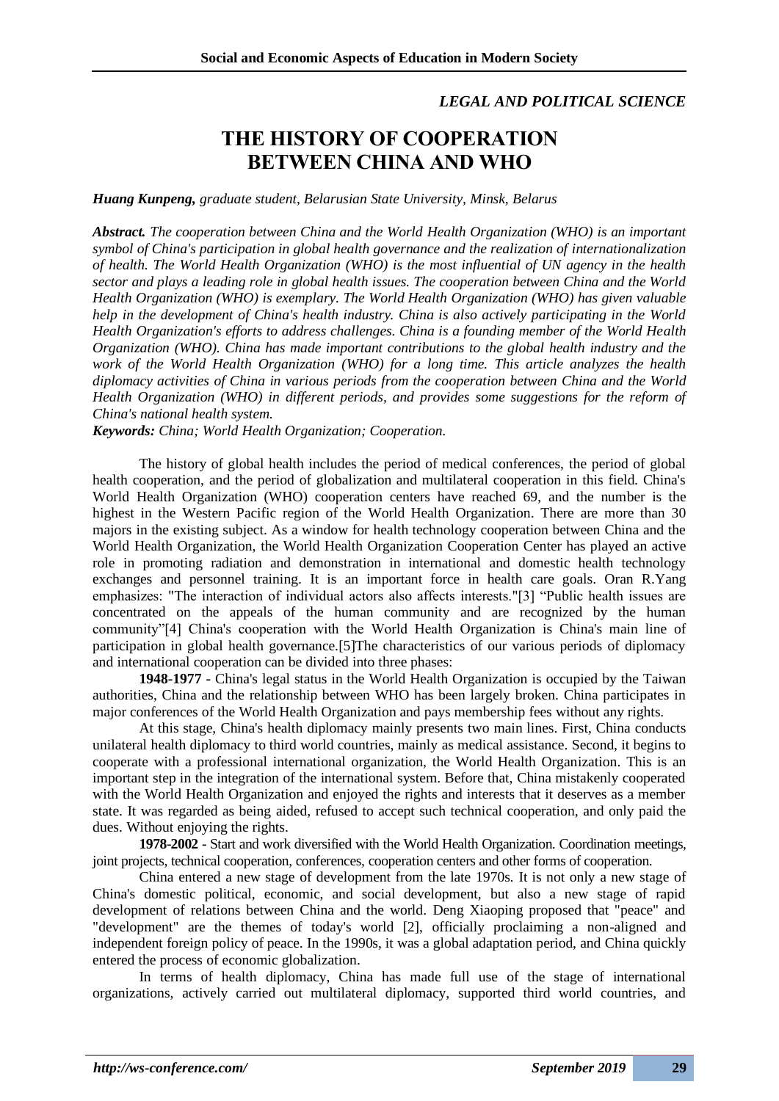### *LEGAL AND POLITICAL SCIENCE*

# **THE HISTORY OF COOPERATION BETWEEN CHINA AND WHO**

#### *Huang Kunpeng, graduate student, Belarusian State University, Minsk, Belarus*

*Abstract. The cooperation between China and the World Health Organization (WHO) is an important symbol of China's participation in global health governance and the realization of internationalization of health. The World Health Organization (WHO) is the most influential of UN agency in the health sector and plays a leading role in global health issues. The cooperation between China and the World Health Organization (WHO) is exemplary. The World Health Organization (WHO) has given valuable help in the development of China's health industry. China is also actively participating in the World Health Organization's efforts to address challenges. China is a founding member of the World Health Organization (WHO). China has made important contributions to the global health industry and the work of the World Health Organization (WHO) for a long time. This article analyzes the health diplomacy activities of China in various periods from the cooperation between China and the World Health Organization (WHO) in different periods, and provides some suggestions for the reform of China's national health system.*

*Keywords: China; World Health Organization; Cooperation.*

The history of global health includes the period of medical conferences, the period of global health cooperation, and the period of globalization and multilateral cooperation in this field. China's World Health Organization (WHO) cooperation centers have reached 69, and the number is the highest in the Western Pacific region of the World Health Organization. There are more than 30 majors in the existing subject. As a window for health technology cooperation between China and the World Health Organization, the World Health Organization Cooperation Center has played an active role in promoting radiation and demonstration in international and domestic health technology exchanges and personnel training. It is an important force in health care goals. Oran R.Yang emphasizes: "The interaction of individual actors also affects interests."[3] "Public health issues are concentrated on the appeals of the human community and are recognized by the human community"[4] China's cooperation with the World Health Organization is China's main line of participation in global health governance.[5]The characteristics of our various periods of diplomacy and international cooperation can be divided into three phases:

**1948-1977 -** China's legal status in the World Health Organization is occupied by the Taiwan authorities, China and the relationship between WHO has been largely broken. China participates in major conferences of the World Health Organization and pays membership fees without any rights.

At this stage, China's health diplomacy mainly presents two main lines. First, China conducts unilateral health diplomacy to third world countries, mainly as medical assistance. Second, it begins to cooperate with a professional international organization, the World Health Organization. This is an important step in the integration of the international system. Before that, China mistakenly cooperated with the World Health Organization and enjoyed the rights and interests that it deserves as a member state. It was regarded as being aided, refused to accept such technical cooperation, and only paid the dues. Without enjoying the rights.

**1978-2002 -** Start and work diversified with the World Health Organization. Coordination meetings, joint projects, technical cooperation, conferences, cooperation centers and other forms of cooperation.

China entered a new stage of development from the late 1970s. It is not only a new stage of China's domestic political, economic, and social development, but also a new stage of rapid development of relations between China and the world. Deng Xiaoping proposed that "peace" and "development" are the themes of today's world [2], officially proclaiming a non-aligned and independent foreign policy of peace. In the 1990s, it was a global adaptation period, and China quickly entered the process of economic globalization.

In terms of health diplomacy, China has made full use of the stage of international organizations, actively carried out multilateral diplomacy, supported third world countries, and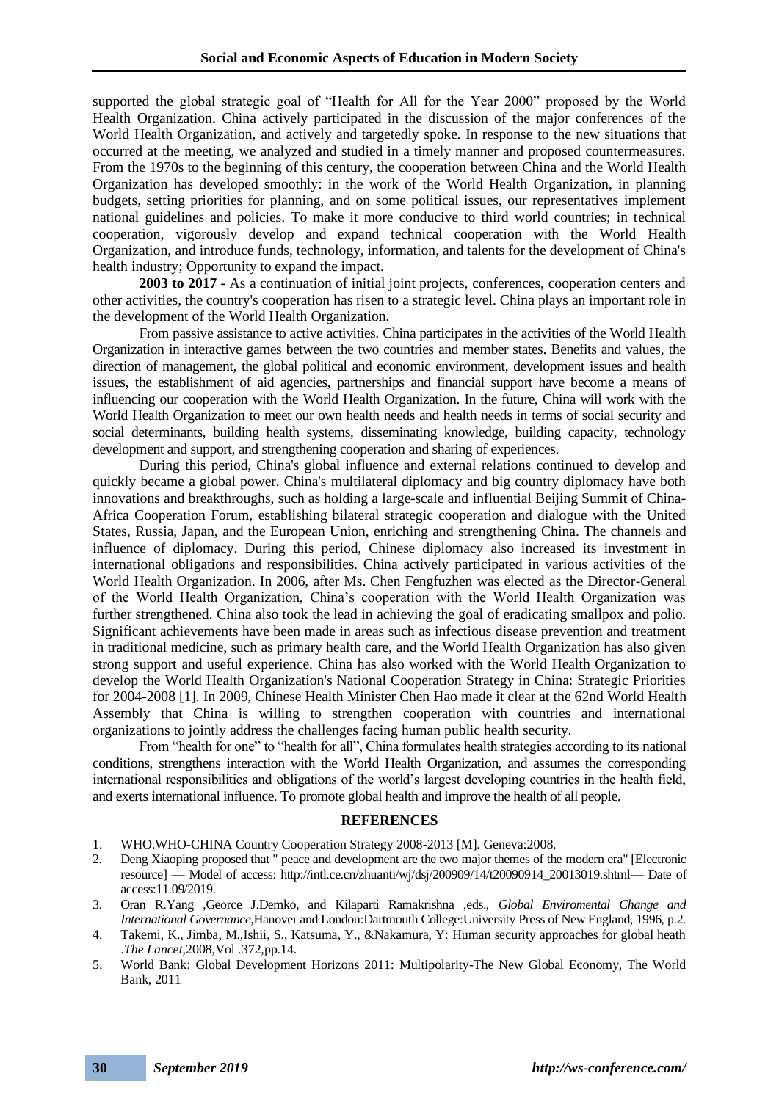supported the global strategic goal of "Health for All for the Year 2000" proposed by the World Health Organization. China actively participated in the discussion of the major conferences of the World Health Organization, and actively and targetedly spoke. In response to the new situations that occurred at the meeting, we analyzed and studied in a timely manner and proposed countermeasures. From the 1970s to the beginning of this century, the cooperation between China and the World Health Organization has developed smoothly: in the work of the World Health Organization, in planning budgets, setting priorities for planning, and on some political issues, our representatives implement national guidelines and policies. To make it more conducive to third world countries; in technical cooperation, vigorously develop and expand technical cooperation with the World Health Organization, and introduce funds, technology, information, and talents for the development of China's health industry; Opportunity to expand the impact.

**2003 to 2017 -** As a continuation of initial joint projects, conferences, cooperation centers and other activities, the country's cooperation has risen to a strategic level. China plays an important role in the development of the World Health Organization.

From passive assistance to active activities. China participates in the activities of the World Health Organization in interactive games between the two countries and member states. Benefits and values, the direction of management, the global political and economic environment, development issues and health issues, the establishment of aid agencies, partnerships and financial support have become a means of influencing our cooperation with the World Health Organization. In the future, China will work with the World Health Organization to meet our own health needs and health needs in terms of social security and social determinants, building health systems, disseminating knowledge, building capacity, technology development and support, and strengthening cooperation and sharing of experiences.

During this period, China's global influence and external relations continued to develop and quickly became a global power. China's multilateral diplomacy and big country diplomacy have both innovations and breakthroughs, such as holding a large-scale and influential Beijing Summit of China-Africa Cooperation Forum, establishing bilateral strategic cooperation and dialogue with the United States, Russia, Japan, and the European Union, enriching and strengthening China. The channels and influence of diplomacy. During this period, Chinese diplomacy also increased its investment in international obligations and responsibilities. China actively participated in various activities of the World Health Organization. In 2006, after Ms. Chen Fengfuzhen was elected as the Director-General of the World Health Organization, China's cooperation with the World Health Organization was further strengthened. China also took the lead in achieving the goal of eradicating smallpox and polio. Significant achievements have been made in areas such as infectious disease prevention and treatment in traditional medicine, such as primary health care, and the World Health Organization has also given strong support and useful experience. China has also worked with the World Health Organization to develop the World Health Organization's National Cooperation Strategy in China: Strategic Priorities for 2004-2008 [1]. In 2009, Chinese Health Minister Chen Hao made it clear at the 62nd World Health Assembly that China is willing to strengthen cooperation with countries and international organizations to jointly address the challenges facing human public health security.

From "health for one" to "health for all", China formulates health strategies according to its national conditions, strengthens interaction with the World Health Organization, and assumes the corresponding international responsibilities and obligations of the world's largest developing countries in the health field, and exerts international influence. To promote global health and improve the health of all people.

#### **REFERENCES**

- 1. WHO.WHO-CHINA Country Cooperation Strategy 2008-2013 [M]. Geneva:2008.
- 2. Deng Xiaoping proposed that " peace and development are the two major themes of the modern era" [Electronic resource] — Model of access: http://intl.ce.cn/zhuanti/wj/dsj/200909/14/t20090914\_20013019.shtml— Date of access:11.09/2019.
- 3. Oran R.Yang ,Georce J.Demko, and Kilaparti Ramakrishna ,eds., *Global Enviromental Change and International Governance*,Hanover and London:Dartmouth College:University Press of New England, 1996, p.2.
- 4. Takemi, K., Jimba, M.,Ishii, S., Katsuma, Y., &Nakamura, Y: Human security approaches for global heath .*The Lancet*,2008,Vol .372,pp.14.
- 5. World Bank: Global Development Horizons 2011: Multipolarity-The New Global Economy, The World Bank, 2011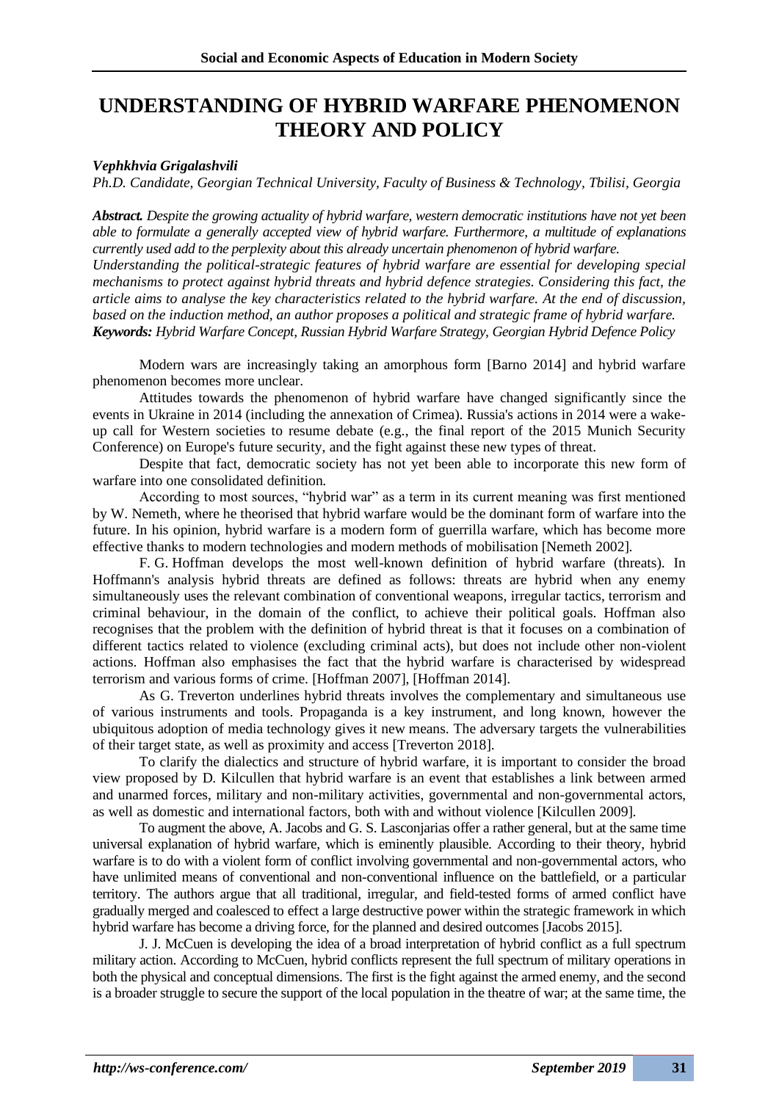# **[UNDERSTANDING OF H](https://www.ncbi.nlm.nih.gov/pubmed/17396045)YBRID WARFARE PHENOMENON THEORY AND POLICY**

### *Vephkhvia Grigalashvili*

*Ph.D. Candidate, Georgian Technical University, Faculty of Business & Technology, Tbilisi, Georgia*

*Abstract. Despite the growing actuality of hybrid warfare, western democratic institutions have not yet been able to formulate a generally accepted view of hybrid warfare. Furthermore, a multitude of explanations currently used add to the perplexity about this already uncertain phenomenon of hybrid warfare. Understanding the political-strategic features of hybrid warfare are essential for developing special mechanisms to protect against hybrid threats and hybrid defence strategies. Considering this fact, the article aims to analyse the key characteristics related to the hybrid warfare. At the end of discussion, based on the induction method, an author proposes a political and strategic frame of hybrid warfare. Keywords: Hybrid Warfare Concept, Russian Hybrid Warfare Strategy, Georgian Hybrid Defence Policy*

Modern wars are increasingly taking an amorphous form [Barno 2014] and hybrid warfare phenomenon becomes more unclear.

Attitudes towards the phenomenon of hybrid warfare have changed significantly since the events in Ukraine in 2014 (including the annexation of Crimea). Russia's actions in 2014 were a wakeup call for Western societies to resume debate (e.g., the final report of the 2015 Munich Security Conference) on Europe's future security, and the fight against these new types of threat.

Despite that fact, democratic society has not yet been able to incorporate this new form of warfare into one consolidated definition.

According to most sources, "hybrid war" as a term in its current meaning was first mentioned by W. Nemeth, where he theorised that hybrid warfare would be the dominant form of warfare into the future. In his opinion, hybrid warfare is a modern form of guerrilla warfare, which has become more effective thanks to modern technologies and modern methods of mobilisation [Nemeth 2002].

F. G. Hoffman develops the most well-known definition of hybrid warfare (threats). In Hoffmann's analysis hybrid threats are defined as follows: threats are hybrid when any enemy simultaneously uses the relevant combination of conventional weapons, irregular tactics, terrorism and criminal behaviour, in the domain of the conflict, to achieve their political goals. Hoffman also recognises that the problem with the definition of hybrid threat is that it focuses on a combination of different tactics related to violence (excluding criminal acts), but does not include other non-violent actions. Hoffman also emphasises the fact that the hybrid warfare is characterised by widespread terrorism and various forms of crime. [Hoffman 2007], [Hoffman 2014].

As G. Treverton underlines hybrid threats involves the complementary and simultaneous use of various instruments and tools. Propaganda is a key instrument, and long known, however the ubiquitous adoption of media technology gives it new means. The adversary targets the vulnerabilities of their target state, as well as proximity and access [Treverton 2018].

To clarify the dialectics and structure of hybrid warfare, it is important to consider the broad view proposed by D. Kilcullen that hybrid warfare is an event that establishes a link between armed and unarmed forces, military and non-military activities, governmental and non-governmental actors, as well as domestic and international factors, both with and without violence [Kilcullen 2009].

To augment the above, A. Jacobs and G. S. Lasconjarias offer a rather general, but at the same time universal explanation of hybrid warfare, which is eminently plausible. According to their theory, hybrid warfare is to do with a violent form of conflict involving governmental and non-governmental actors, who have unlimited means of conventional and non-conventional influence on the battlefield, or a particular territory. The authors argue that all traditional, irregular, and field-tested forms of armed conflict have gradually merged and coalesced to effect a large destructive power within the strategic framework in which hybrid warfare has become a driving force, for the planned and desired outcomes [Jacobs 2015].

J. J. McCuen is developing the idea of a broad interpretation of hybrid conflict as a full spectrum military action. According to McCuen, hybrid conflicts represent the full spectrum of military operations in both the physical and conceptual dimensions. The first is the fight against the armed enemy, and the second is a broader struggle to secure the support of the local population in the theatre of war; at the same time, the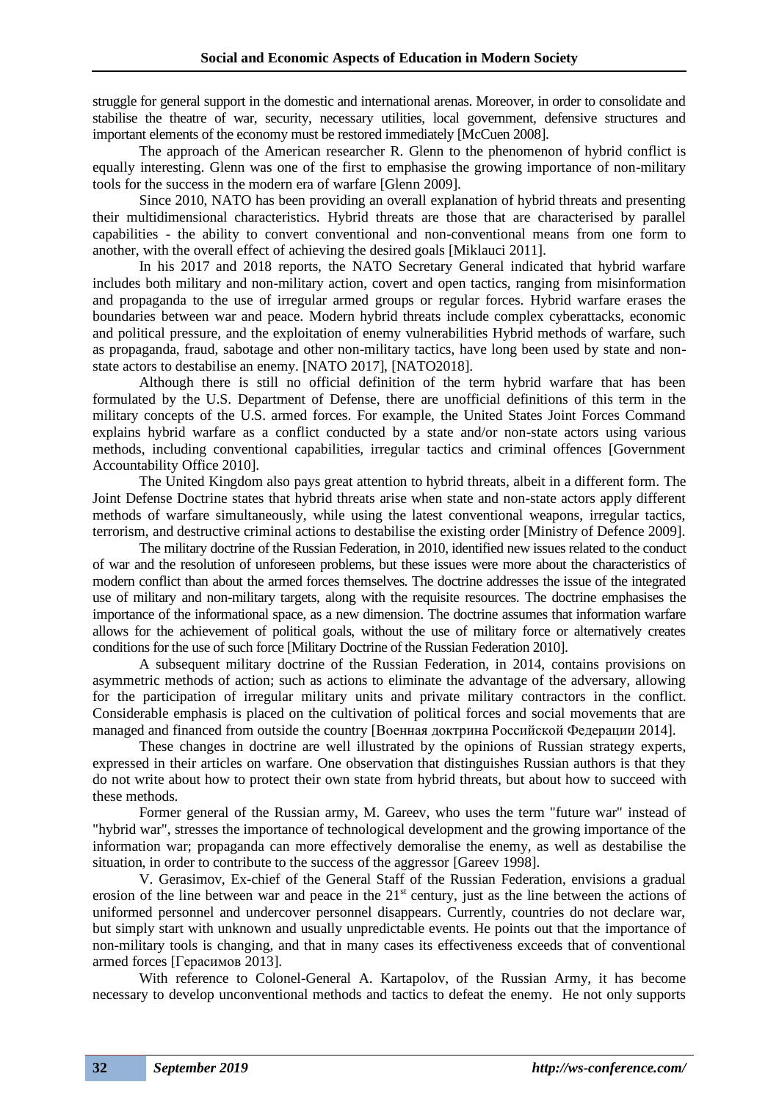struggle for general support in the domestic and international arenas. Moreover, in order to consolidate and stabilise the theatre of war, security, necessary utilities, local government, defensive structures and important elements of the economy must be restored immediately [McCuen 2008].

The approach of the American researcher R. Glenn to the phenomenon of hybrid conflict is equally interesting. Glenn was one of the first to emphasise the growing importance of non-military tools for the success in the modern era of warfare [Glenn 2009].

Since 2010, NATO has been providing an overall explanation of hybrid threats and presenting their multidimensional characteristics. Hybrid threats are those that are characterised by parallel capabilities - the ability to convert conventional and non-conventional means from one form to another, with the overall effect of achieving the desired goals [Miklauci 2011].

In his 2017 and 2018 reports, the NATO Secretary General indicated that hybrid warfare includes both military and non-military action, covert and open tactics, ranging from misinformation and propaganda to the use of irregular armed groups or regular forces. Hybrid warfare erases the boundaries between war and peace. Modern hybrid threats include complex cyberattacks, economic and political pressure, and the exploitation of enemy vulnerabilities Hybrid methods of warfare, such as propaganda, fraud, sabotage and other non-military tactics, have long been used by state and nonstate actors to destabilise an enemy. [NATO 2017], [NATO2018].

Although there is still no official definition of the term hybrid warfare that has been formulated by the U.S. Department of Defense, there are unofficial definitions of this term in the military concepts of the U.S. armed forces. For example, the United States Joint Forces Command explains hybrid warfare as a conflict conducted by a state and/or non-state actors using various methods, including conventional capabilities, irregular tactics and criminal offences [Government Accountability Office 2010].

The United Kingdom also pays great attention to hybrid threats, albeit in a different form. The Joint Defense Doctrine states that hybrid threats arise when state and non-state actors apply different methods of warfare simultaneously, while using the latest conventional weapons, irregular tactics, terrorism, and destructive criminal actions to destabilise the existing order [Ministry of Defence 2009].

The military doctrine of the Russian Federation, in 2010, identified new issues related to the conduct of war and the resolution of unforeseen problems, but these issues were more about the characteristics of modern conflict than about the armed forces themselves. The doctrine addresses the issue of the integrated use of military and non-military targets, along with the requisite resources. The doctrine emphasises the importance of the informational space, as a new dimension. The doctrine assumes that information warfare allows for the achievement of political goals, without the use of military force or alternatively creates conditions for the use of such force [Military Doctrine of the Russian Federation 2010].

A subsequent military doctrine of the Russian Federation, in 2014, contains provisions on asymmetric methods of action; such as actions to eliminate the advantage of the adversary, allowing for the participation of irregular military units and private military contractors in the conflict. Considerable emphasis is placed on the cultivation of political forces and social movements that are managed and financed from outside the country [Военная доктрина Российской Федерации 2014].

These changes in doctrine are well illustrated by the opinions of Russian strategy experts, expressed in their articles on warfare. One observation that distinguishes Russian authors is that they do not write about how to protect their own state from hybrid threats, but about how to succeed with these methods.

Former general of the Russian army, M. Gareev, who uses the term "future war" instead of "hybrid war", stresses the importance of technological development and the growing importance of the information war; propaganda can more effectively demoralise the enemy, as well as destabilise the situation, in order to contribute to the success of the aggressor [Gareev 1998].

V. Gerasimov, Ex-chief of the General Staff of the Russian Federation, envisions a gradual erosion of the line between war and peace in the  $21<sup>st</sup>$  century, just as the line between the actions of uniformed personnel and undercover personnel disappears. Currently, countries do not declare war, but simply start with unknown and usually unpredictable events. He points out that the importance of non-military tools is changing, and that in many cases its effectiveness exceeds that of conventional armed forces [Герасимов 2013].

With reference to Colonel-General A. Kartapolov, of the Russian Army, it has become necessary to develop unconventional methods and tactics to defeat the enemy. He not only supports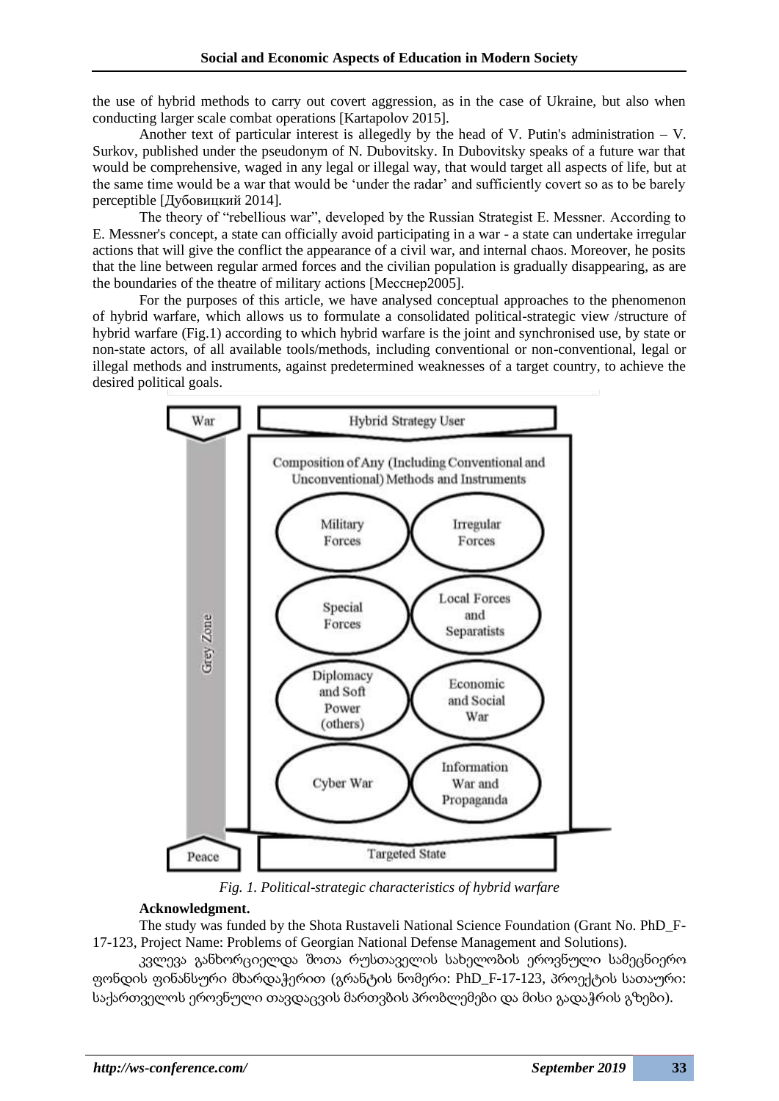the use of hybrid methods to carry out covert aggression, as in the case of Ukraine, but also when conducting larger scale combat operations [Kartapolov 2015].

Another text of particular interest is allegedly by the head of V. Putin's administration – V. Surkov, published under the pseudonym of N. Dubovitsky. In Dubovitsky speaks of a future war that would be comprehensive, waged in any legal or illegal way, that would target all aspects of life, but at the same time would be a war that would be 'under the radar' and sufficiently covert so as to be barely perceptible [Дубовицкий 2014].

The theory of "rebellious war", developed by the Russian Strategist E. Messner. According to E. Messner's concept, a state can officially avoid participating in a war - a state can undertake irregular actions that will give the conflict the appearance of a civil war, and internal chaos. Moreover, he posits that the line between regular armed forces and the civilian population is gradually disappearing, as are the boundaries of the theatre of military actions [Месcнер2005].

For the purposes of this article, we have analysed conceptual approaches to the phenomenon of hybrid warfare, which allows us to formulate a consolidated political-strategic view /structure of hybrid warfare (Fig.1) according to which hybrid warfare is the joint and synchronised use, by state or non-state actors, of all available tools/methods, including conventional or non-conventional, legal or illegal methods and instruments, against predetermined weaknesses of a target country, to achieve the desired political goals.



*Fig. 1. Political-strategic characteristics of hybrid warfare*

### **Acknowledgment.**

The study was funded by the Shota Rustaveli National Science Foundation (Grant No. PhD\_F-17-123, Project Name: Problems of Georgian National Defense Management and Solutions).

კვლევა განხორციელდა შოთა რუსთაველის სახელობის ეროვნული სამეცნიერო ფონდის ფინანსური მხარდაჭერით (გრანტის ნომერი: PhD\_F-17-123, პროექტის სათაური: საქართველოს ეროვნული თავდაცვის მართვბის პრობლემები და მისი გადაჭრის გზები).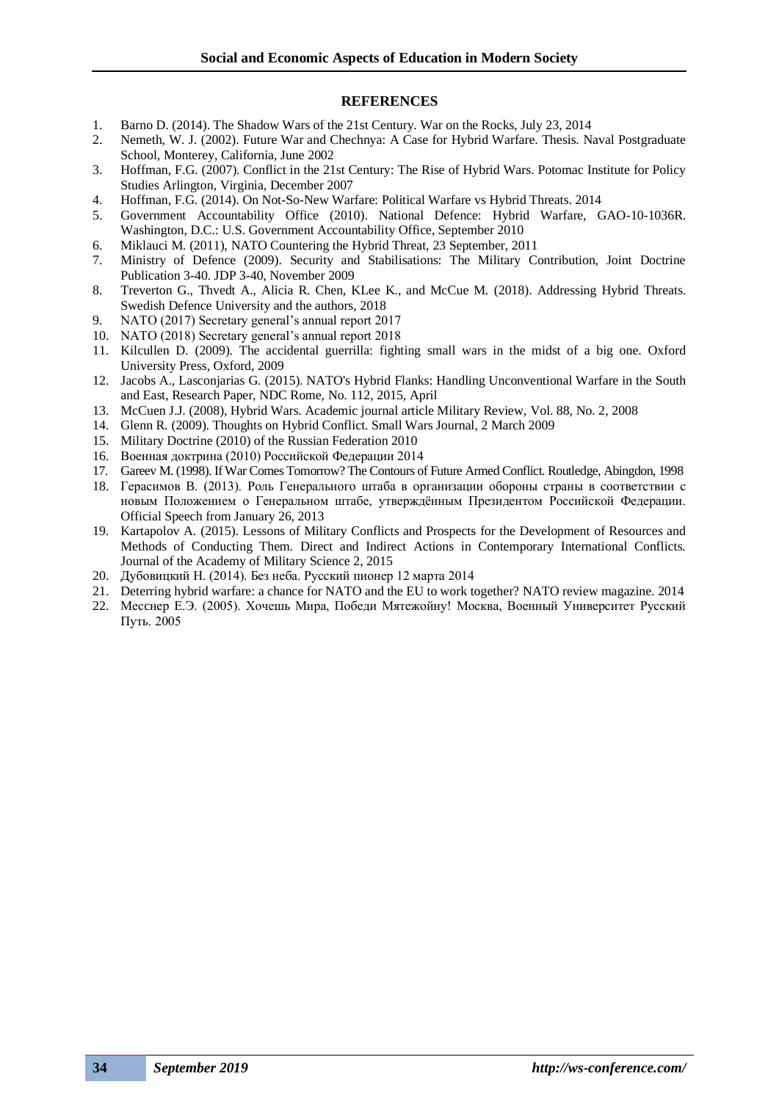#### **REFERENCES**

- 1. Barno D. (2014). The Shadow Wars of the 21st Century. War on the Rocks, July 23, 2014
- 2. Nemeth, W. J. (2002). Future War and Chechnya: A Case for Hybrid Warfare. Thesis. Naval Postgraduate School, Monterey, California, June 2002
- 3. Hoffman, F.G. (2007). Conflict in the 21st Century: The Rise of Hybrid Wars. Potomac Institute for Policy Studies Arlington, Virginia, December 2007
- 4. Hoffman, F.G. (2014). On Not-So-New Warfare: Political Warfare vs Hybrid Threats. 2014
- 5. Government Accountability Office (2010). National Defence: Hybrid Warfare, GAO-10-1036R. Washington, D.C.: U.S. Government Accountability Office, September 2010
- 6. Miklauci M. (2011), NATO Countering the Hybrid Threat, 23 September, 2011
- 7. Ministry of Defence (2009). Security and Stabilisations: The Military Contribution, Joint Doctrine Publication 3-40. JDP 3-40, November 2009
- 8. Treverton G., Thvedt A., Alicia R. Chen, KLee K., and McCue M. (2018). Addressing Hybrid Threats. Swedish Defence University and the authors, 2018
- 9. NATO (2017) Secretary general's annual report 2017
- 10. NATO (2018) Secretary general's annual report 2018
- 11. Kilcullen D. (2009). The accidental guerrilla: fighting small wars in the midst of a big one. Oxford University Press, Oxford, 2009
- 12. Jacobs A., Lasconjarias G. (2015). NATO's Hybrid Flanks: Handling Unconventional Warfare in the South and East, Research Paper, NDC Rome, No. 112, 2015, April
- 13. McCuen J.J. (2008), Hybrid Wars. Academic journal article Military Review, [Vol. 88, No. 2,](https://www.questia.com/library/p5876/military-review/i2482066/vol-88-no-2-march-april) 2008
- 14. Glenn R. (2009). Thoughts on Hybrid Conflict. Small Wars Journal, 2 March 2009
- 15. Military Doctrine (2010) of the Russian Federation 2010
- 16. Военная доктрина (2010) Российской Федерации 2014
- 17. Gareev M. (1998). If War Comes Tomorrow? The Contours of Future Armed Conflict. Routledge, Abingdon, 1998
- 18. Герасимов B. (2013). Роль Генерального штаба в организации обороны страны в соответствии с новым Положением о Генеральном штабе, утверждённым Президентом Российской Федерации. Official Speech from January 26, 2013
- 19. Kartapolov A. (2015). Lessons of Military Conflicts and Prospects for the Development of Resources and Methods of Conducting Them. Direct and Indirect Actions in Contemporary International Conflicts. Journal of the Academy of Military Science 2, 2015
- 20. Дубовицкий Н. (2014). Без неба. Русский пионер 12 марта 2014
- 21. Deterring hybrid warfare: a chance for NATO and the EU to work together? NATO review magazine. 2014
- 22. Месcнер Е.Э. (2005). Хочешь Мира, Победи Мятежойну! Москва, Военный Университет Русский Путь. 2005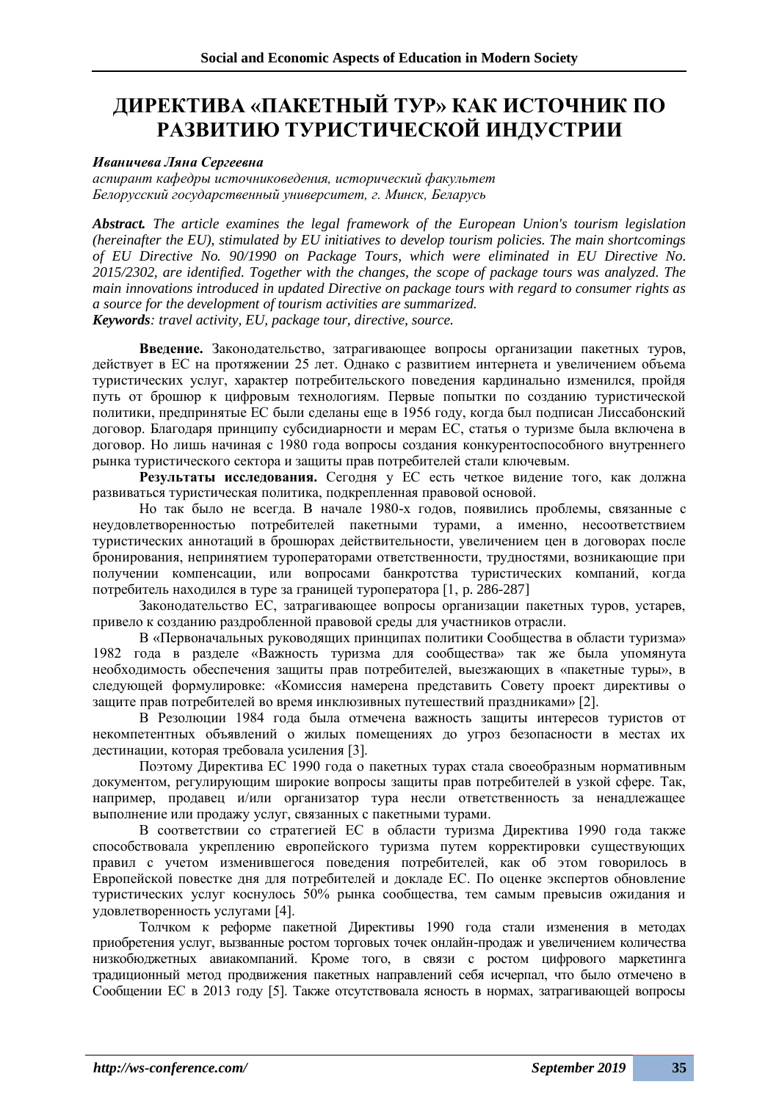# **ДИРЕКТИВА «ПАКЕТНЫЙ ТУР» КАК ИСТОЧНИК ПО РАЗВИТИЮ ТУРИСТИЧЕСКОЙ ИНДУСТРИИ**

#### *Иваничева Ляна Сергеевна*

*аспирант кафедры источниковедения, исторический факультет Белорусский государственный университет, г. Минск, Беларусь*

*Abstract. The article examines the legal framework of the European Union's tourism legislation (hereinafter the EU), stimulated by EU initiatives to develop tourism policies. The main shortcomings of EU Directive No. 90/1990 on Package Tours, which were eliminated in EU Directive No. 2015/2302, are identified. Together with the changes, the scope of package tours was analyzed. The main innovations introduced in updated Directive on package tours with regard to consumer rights as a source for the development of tourism activities are summarized. Keywords: travel activity, EU, package tour, directive, source.*

**Введение.** Законодательство, затрагивающее вопросы организации пакетных туров, действует в ЕС на протяжении 25 лет. Однако с развитием интернета и увеличением объема туристических услуг, характер потребительского поведения кардинально изменился, пройдя путь от брошюр к цифровым технологиям. Первые попытки по созданию туристической политики, предпринятые ЕС были сделаны еще в 1956 году, когда был подписан Лиссабонский договор. Благодаря принципу субсидиарности и мерам ЕС, статья о туризме была включена в договор. Но лишь начиная с 1980 года вопросы создания конкурентоспособного внутреннего рынка туристического сектора и защиты прав потребителей стали ключевым.

**Результаты исследования.** Сегодня у ЕС есть четкое видение того, как должна развиваться туристическая политика, подкрепленная правовой основой.

Но так было не всегда. В начале 1980-х годов, появились проблемы, связанные с неудовлетворенностью потребителей пакетными турами, а именно, несоответствием туристических аннотаций в брошюрах действительности, увеличением цен в договорах после бронирования, непринятием туроператорами ответственности, трудностями, возникающие при получении компенсации, или вопросами банкротства туристических компаний, когда потребитель находился в туре за границей туроператора [1, p. 286-287]

Законодательство ЕС, затрагивающее вопросы организации пакетных туров, устарев, привело к созданию раздробленной правовой среды для участников отрасли.

В «Первоначальных руководящих принципах политики Сообщества в области туризма» 1982 года в разделе «Важность туризма для сообщества» так же была упомянута необходимость обеспечения защиты прав потребителей, выезжающих в «пакетные туры», в следующей формулировке: «Комиссия намерена представить Совету проект директивы о защите прав потребителей во время инклюзивных путешествий праздниками» [2].

В Резолюции 1984 года была отмечена важность защиты интересов туристов от некомпетентных объявлений о жилых помещениях до угроз безопасности в местах их дестинации, которая требовала усиления [3].

Поэтому Директива ЕС 1990 года о пакетных турах стала своеобразным нормативным документом, регулирующим широкие вопросы защиты прав потребителей в узкой сфере. Так, например, продавец и/или организатор тура несли ответственность за ненадлежащее выполнение или продажу услуг, связанных с пакетными турами.

В соответствии со стратегией ЕС в области туризма Директива 1990 года также способствовала укреплению европейского туризма путем корректировки существующих правил с учетом изменившегося поведения потребителей, как об этом говорилось в Европейской повестке дня для потребителей и докладе ЕС. По оценке экспертов обновление туристических услуг коснулось 50% рынка сообщества, тем самым превысив ожидания и удовлетворенность услугами [4].

Толчком к реформе пакетной Директивы 1990 года стали изменения в методах приобретения услуг, вызванные ростом торговых точек онлайн-продаж и увеличением количества низкобюджетных авиакомпаний. Кроме того, в связи с ростом цифрового маркетинга традиционный метод продвижения пакетных направлений себя исчерпал, что было отмечено в Сообщении ЕС в 2013 году [5]. Также отсутствовала ясность в нормах, затрагивающей вопросы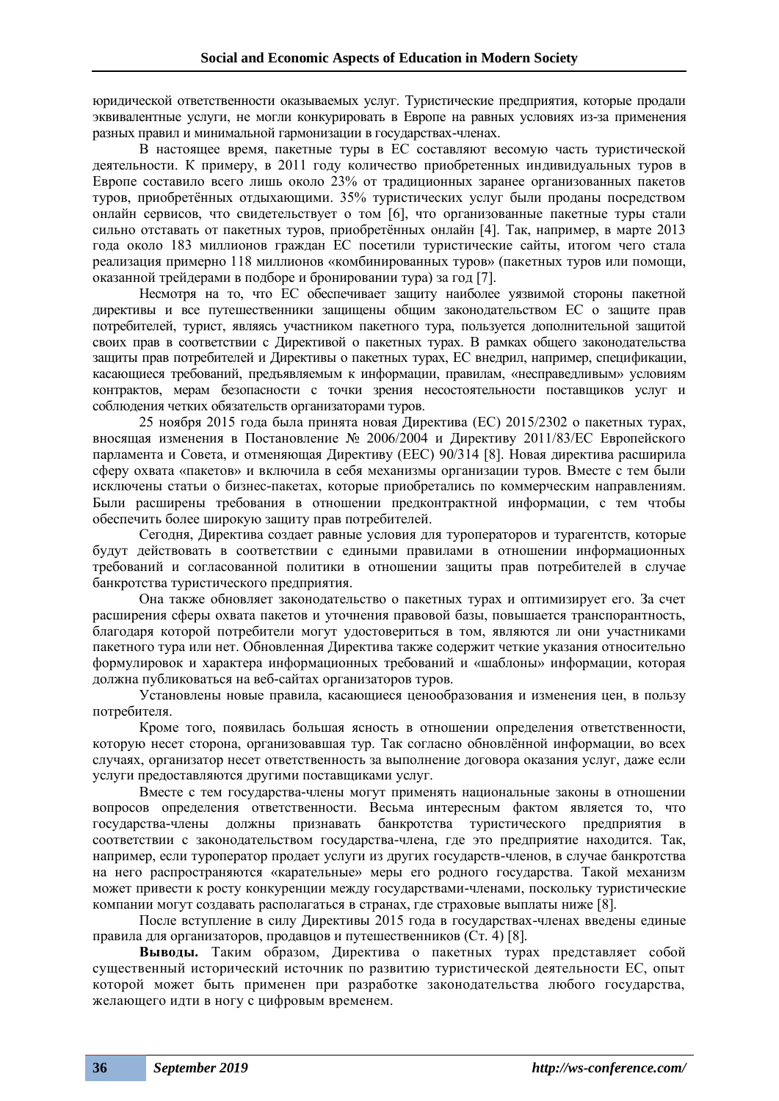юридической ответственности оказываемых услуг. Туристические предприятия, которые продали эквивалентные услуги, не могли конкурировать в Европе на равных условиях из-за применения разных правил и минимальной гармонизации в государствах-членах.

В настоящее время, пакетные туры в ЕС составляют весомую часть туристической деятельности. К примеру, в 2011 году количество приобретенных индивидуальных туров в Европе составило всего лишь около 23% от традиционных заранее организованных пакетов туров, приобретённых отдыхающими. 35% туристических услуг были проданы посредством онлайн сервисов, что свидетельствует о том [6], что организованные пакетные туры стали сильно отставать от пакетных туров, приобретённых онлайн [4]. Так, например, в марте 2013 года около 183 миллионов граждан ЕС посетили туристические сайты, итогом чего стала реализация примерно 118 миллионов «комбинированных туров» (пакетных туров или помощи, оказанной трейдерами в подборе и бронировании тура) за год [7].

Несмотря на то, что ЕС обеспечивает защиту наиболее уязвимой стороны пакетной директивы и все путешественники защищены общим законодательством ЕС о защите прав потребителей, турист, являясь участником пакетного тура, пользуется дополнительной защитой своих прав в соответствии с Директивой о пакетных турах. В рамках общего законодательства защиты прав потребителей и Директивы о пакетных турах, ЕС внедрил, например, спецификации, касающиеся требований, предъявляемым к информации, правилам, «несправедливым» условиям контрактов, мерам безопасности с точки зрения несостоятельности поставщиков услуг и соблюдения четких обязательств организаторами туров.

25 ноября 2015 года была принята новая Директива (ЕС) 2015/2302 о пакетных турах, вносящая изменения в Постановление № 2006/2004 и Директиву 2011/83/ЕС Европейского парламента и Совета, и отменяющая Директиву (EEC) 90/314 [8]. Новая директива расширила сферу охвата «пакетов» и включила в себя механизмы организации туров. Вместе с тем были исключены статьи о бизнес-пакетах, которые приобретались по коммерческим направлениям. Были расширены требования в отношении предконтрактной информации, с тем чтобы обеспечить более широкую защиту прав потребителей.

Сегодня, Директива создает равные условия для туроператоров и турагентств, которые будут действовать в соответствии с едиными правилами в отношении информационных требований и согласованной политики в отношении защиты прав потребителей в случае банкротства туристического предприятия.

Она также обновляет законодательство о пакетных турах и оптимизирует его. За счет расширения сферы охвата пакетов и уточнения правовой базы, повышается транспорантность, благодаря которой потребители могут удостовериться в том, являются ли они участниками пакетного тура или нет. Обновленная Директива также содержит четкие указания относительно формулировок и характера информационных требований и «шаблоны» информации, которая должна публиковаться на веб-сайтах организаторов туров.

Установлены новые правила, касающиеся ценообразования и изменения цен, в пользу потребителя.

Кроме того, появилась большая ясность в отношении определения ответственности, которую несет сторона, организовавшая тур. Так согласно обновлённой информации, во всех случаях, организатор несет ответственность за выполнение договора оказания услуг, даже если услуги предоставляются другими поставщиками услуг.

Вместе с тем государства-члены могут применять национальные законы в отношении вопросов определения ответственности. Весьма интересным фактом является то, что государства-члены должны признавать банкротства туристического предприятия в соответствии с законодательством государства-члена, где это предприятие находится. Так, например, если туроператор продает услуги из других государств-членов, в случае банкротства на него распространяются «карательные» меры его родного государства. Такой механизм может привести к росту конкуренции между государствами-членами, поскольку туристические компании могут создавать располагаться в странах, где страховые выплаты ниже [8].

После вступление в силу Директивы 2015 года в государствах-членах введены единые правила для организаторов, продавцов и путешественников (Ст. 4) [8].

**Выводы.** Таким образом, Директива о пакетных турах представляет собой существенный исторический источник по развитию туристической деятельности ЕС, опыт которой может быть применен при разработке законодательства любого государства, желающего идти в ногу с цифровым временем.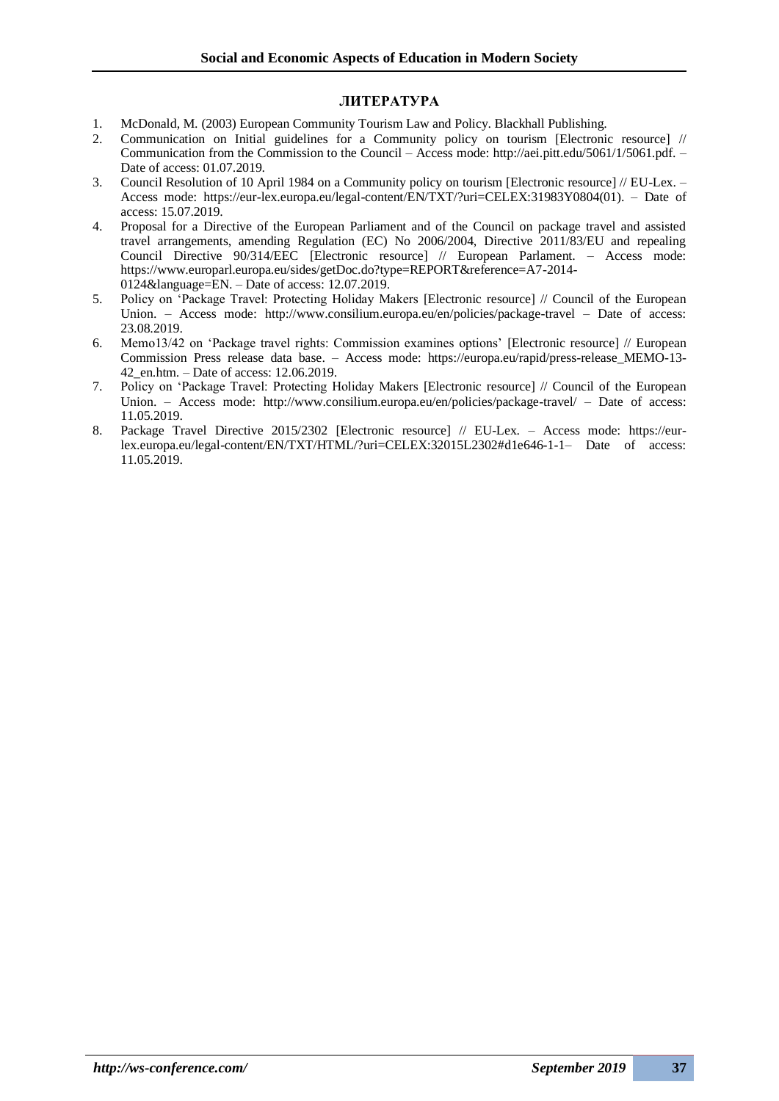### **ЛИТЕРАТУРА**

- 1. McDonald, M. (2003) European Community Tourism Law and Policy. Blackhall Publishing.
- 2. Communication on Initial guidelines for a Community policy on tourism [Electronic resource] // Communication from the Commission to the Council – Access mode: http://aei.pitt.edu/5061/1/5061.pdf. – Date of access: 01.07.2019.
- 3. Council Resolution of 10 April 1984 on a Community policy on tourism [Electronic resource] // EU-Lex. Access mode: https://eur-lex.europa.eu/legal-content/EN/TXT/?uri=CELEX:31983Y0804(01). – Date of access: 15.07.2019.
- 4. Proposal for a Directive of the European Parliament and of the Council on package travel and assisted travel arrangements, amending Regulation (EC) No 2006/2004, Directive 2011/83/EU and repealing Council Directive 90/314/EEC [Electronic resource] // European Parlament. – Access mode: https://www.europarl.europa.eu/sides/getDoc.do?type=REPORT&reference=A7-2014- 0124&language=EN. – Date of access: 12.07.2019.
- 5. Policy on 'Package Travel: Protecting Holiday Makers [Electronic resource] // Council of the European Union. – Access mode: http://www.consilium.europa.eu/en/policies/package-travel – Date of access: 23.08.2019.
- 6. Memo13/42 on 'Package travel rights: Commission examines options' [Electronic resource] // European Commission Press release data base. – Access mode: https://europa.eu/rapid/press-release\_MEMO-13- 42\_en.htm. – Date of access: 12.06.2019.
- 7. Policy on 'Package Travel: Protecting Holiday Makers [Electronic resource] // Council of the European Union. – Access mode: http://www.consilium.europa.eu/en/policies/package-travel/ – Date of access: 11.05.2019.
- 8. Package Travel Directive 2015/2302 [Electronic resource] // EU-Lex. Access mode: https://eurlex.europa.eu/legal-content/EN/TXT/HTML/?uri=CELEX:32015L2302#d1e646-1-1– Date of access: 11.05.2019.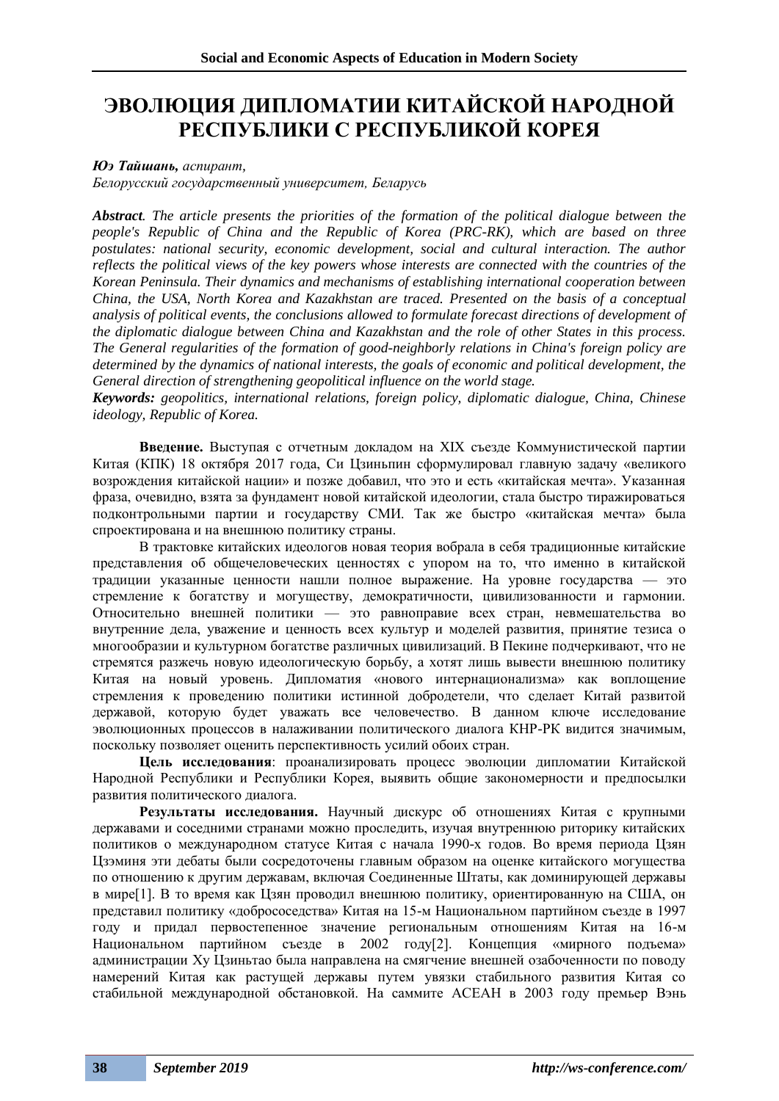# **ЭВОЛЮЦИЯ ДИПЛОМАТИИ КИТАЙСКОЙ НАРОДНОЙ РЕСПУБЛИКИ С РЕСПУБЛИКОЙ КОРЕЯ**

### *Юэ Тайшань, аспирант,*

*Белорусский государственный университет, Беларусь*

*Abstract. The article presents the priorities of the formation of the political dialogue between the people's Republic of China and the Republic of Korea (PRC-RK), which are based on three*  postulates: national security, economic development, social and cultural interaction. The author *reflects the political views of the key powers whose interests are connected with the countries of the Korean Peninsula. Their dynamics and mechanisms of establishing international cooperation between China, the USA, North Korea and Kazakhstan are traced. Presented on the basis of a conceptual analysis of political events, the conclusions allowed to formulate forecast directions of development of the diplomatic dialogue between China and Kazakhstan and the role of other States in this process. The General regularities of the formation of good-neighborly relations in China's foreign policy are determined by the dynamics of national interests, the goals of economic and political development, the General direction of strengthening geopolitical influence on the world stage.*

*Keywords: geopolitics, international relations, foreign policy, diplomatic dialogue, China, Chinese ideology, Republic of Korea.*

**Введение.** Выступая с отчетным докладом на XIX съезде Коммунистической партии Китая (КПК) 18 октября 2017 года, Си Цзиньпин сформулировал главную задачу «великого возрождения китайской нации» и позже добавил, что это и есть «китайская мечта». Указанная фраза, очевидно, взята за фундамент новой китайской идеологии, стала быстро тиражироваться подконтрольными партии и государству СМИ. Так же быстро «китайская мечта» была спроектирована и на внешнюю политику страны.

В трактовке китайских идеологов новая теория вобрала в себя традиционные китайские представления об общечеловеческих ценностях с упором на то, что именно в китайской традиции указанные ценности нашли полное выражение. На уровне государства — это стремление к богатству и могуществу, демократичности, цивилизованности и гармонии. Относительно внешней политики — это равноправие всех стран, невмешательства во внутренние дела, уважение и ценность всех культур и моделей развития, принятие тезиса о многообразии и культурном богатстве различных цивилизаций. В Пекине подчеркивают, что не стремятся разжечь новую идеологическую борьбу, а хотят лишь вывести внешнюю политику Китая на новый уровень. Дипломатия «нового интернационализма» как воплощение стремления к проведению политики истинной добродетели, что сделает Китай развитой державой, которую будет уважать все человечество. В данном ключе исследование эволюционных процессов в налаживании политического диалога КНР-РК видится значимым, поскольку позволяет оценить перспективность усилий обоих стран.

**Цель исследования**: проанализировать процесс эволюции дипломатии Китайской Народной Республики и Республики Корея, выявить общие закономерности и предпосылки развития политического диалога.

**Результаты исследования.** Научный дискурс об отношениях Китая с крупными державами и соседними странами можно проследить, изучая внутреннюю риторику китайских политиков о международном статусе Китая с начала 1990-х годов. Во время периода Цзян Цзэминя эти дебаты были сосредоточены главным образом на оценке китайского могущества по отношению к другим державам, включая Соединенные Штаты, как доминирующей державы в мире[1]. В то время как Цзян проводил внешнюю политику, ориентированную на США, он представил политику «добрососедства» Китая на 15-м Национальном партийном съезде в 1997 году и придал первостепенное значение региональным отношениям Китая на 16-м Национальном партийном съезде в 2002 году[2]. Концепция «мирного подъема» администрации Ху Цзиньтао была направлена на смягчение внешней озабоченности по поводу намерений Китая как растущей державы путем увязки стабильного развития Китая со стабильной международной обстановкой. На саммите АСЕАН в 2003 году премьер Вэнь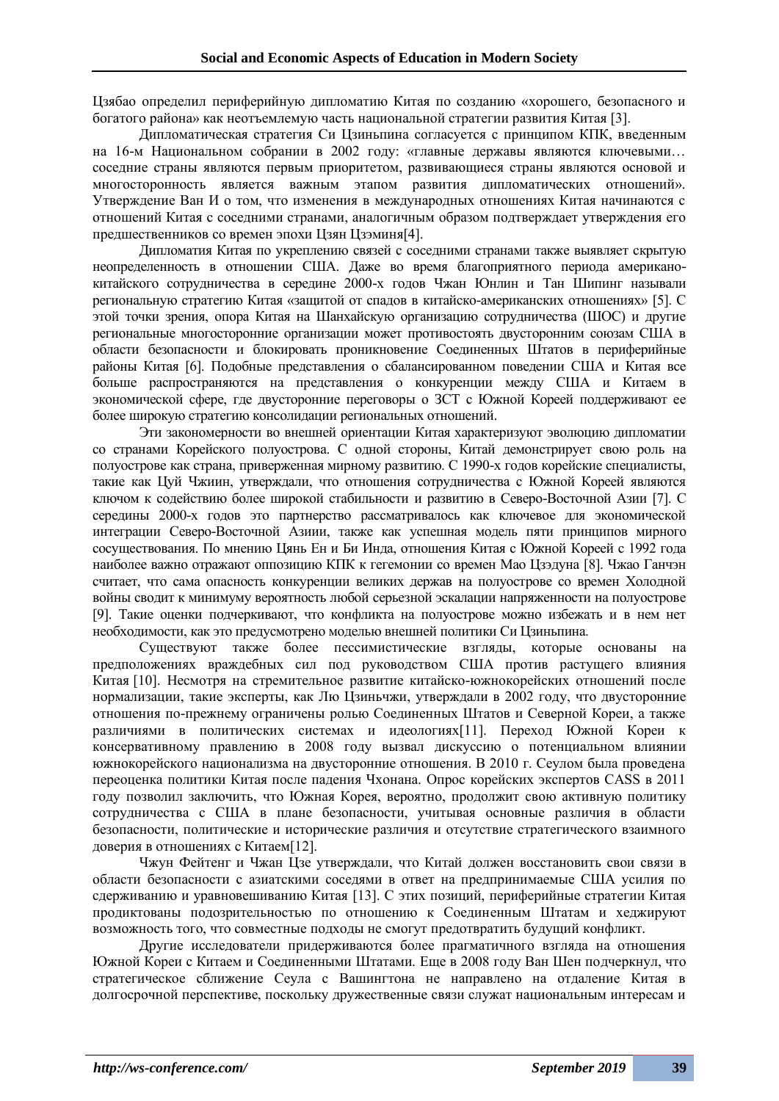Цзябао определил периферийную дипломатию Китая по созданию «хорошего, безопасного и богатого района» как неотъемлемую часть национальной стратегии развития Китая [3].

Дипломатическая стратегия Си Цзиньпина согласуется с принципом КПК, введенным на 16-м Национальном собрании в 2002 году: «главные державы являются ключевыми… соседние страны являются первым приоритетом, развивающиеся страны являются основой и многосторонность является важным этапом развития дипломатических отношений». Утверждение Ван И о том, что изменения в международных отношениях Китая начинаются с отношений Китая с соседними странами, аналогичным образом подтверждает утверждения его предшественников со времен эпохи Цзян Цзэминя[4].

Дипломатия Китая по укреплению связей с соседними странами также выявляет скрытую неопределенность в отношении США. Даже во время благоприятного периода американокитайского сотрудничества в середине 2000-х годов Чжан Юнлин и Тан Шипинг называли региональную стратегию Китая «защитой от спадов в китайско-американских отношениях» [5]. С этой точки зрения, опора Китая на Шанхайскую организацию сотрудничества (ШОС) и другие региональные многосторонние организации может противостоять двусторонним союзам США в области безопасности и блокировать проникновение Соединенных Штатов в периферийные районы Китая [6]. Подобные представления о сбалансированном поведении США и Китая все больше распространяются на представления о конкуренции между США и Китаем в экономической сфере, где двусторонние переговоры о ЗСТ с Южной Кореей поддерживают ее более широкую стратегию консолидации региональных отношений.

Эти закономерности во внешней ориентации Китая характеризуют эволюцию дипломатии со странами Корейского полуострова. С одной стороны, Китай демонстрирует свою роль на полуострове как страна, приверженная мирному развитию. С 1990-х годов корейские специалисты, такие как Цуй Чжиин, утверждали, что отношения сотрудничества с Южной Кореей являются ключом к содействию более широкой стабильности и развитию в Северо-Восточной Азии [7]. С середины 2000-х годов это партнерство рассматривалось как ключевое для экономической интеграции Северо-Восточной Азиии, также как успешная модель пяти принципов мирного сосуществования. По мнению Цянь Ен и Би Инда, отношения Китая с Южной Кореей с 1992 года наиболее важно отражают оппозицию КПК к гегемонии со времен Мао Цзэдуна [8]. Чжао Ганчэн считает, что сама опасность конкуренции великих держав на полуострове со времен Холодной войны сводит к минимуму вероятность любой серьезной эскалации напряженности на полуострове [9]. Такие оценки подчеркивают, что конфликта на полуострове можно избежать и в нем нет необходимости, как это предусмотрено моделью внешней политики Си Цзиньпина.

Существуют также более пессимистические взгляды, которые основаны на предположениях враждебных сил под руководством США против растущего влияния Китая [10]. Несмотря на стремительное развитие китайско-южнокорейских отношений после нормализации, такие эксперты, как Лю Цзиньчжи, утверждали в 2002 году, что двусторонние отношения по-прежнему ограничены ролью Соединенных Штатов и Северной Кореи, а также различиями в политических системах и идеологиях[11]. Переход Южной Кореи к консервативному правлению в 2008 году вызвал дискуссию о потенциальном влиянии южнокорейского национализма на двусторонние отношения. В 2010 г. Сеулом была проведена переоценка политики Китая после падения Чхонана. Опрос корейских экспертов CASS в 2011 году позволил заключить, что Южная Корея, вероятно, продолжит свою активную политику сотрудничества с США в плане безопасности, учитывая основные различия в области безопасности, политические и исторические различия и отсутствие стратегического взаимного доверия в отношениях с Китаем[12].

Чжун Фейтенг и Чжан Цзе утверждали, что Китай должен восстановить свои связи в области безопасности с азиатскими соседями в ответ на предпринимаемые США усилия по сдерживанию и уравновешиванию Китая [13]. С этих позиций, периферийные стратегии Китая продиктованы подозрительностью по отношению к Соединенным Штатам и хеджируют возможность того, что совместные подходы не смогут предотвратить будущий конфликт.

Другие исследователи придерживаются более прагматичного взгляда на отношения Южной Кореи с Китаем и Соединенными Штатами. Еще в 2008 году Ван Шен подчеркнул, что стратегическое сближение Сеула с Вашингтона не направлено на отдаление Китая в долгосрочной перспективе, поскольку дружественные связи служат национальным интересам и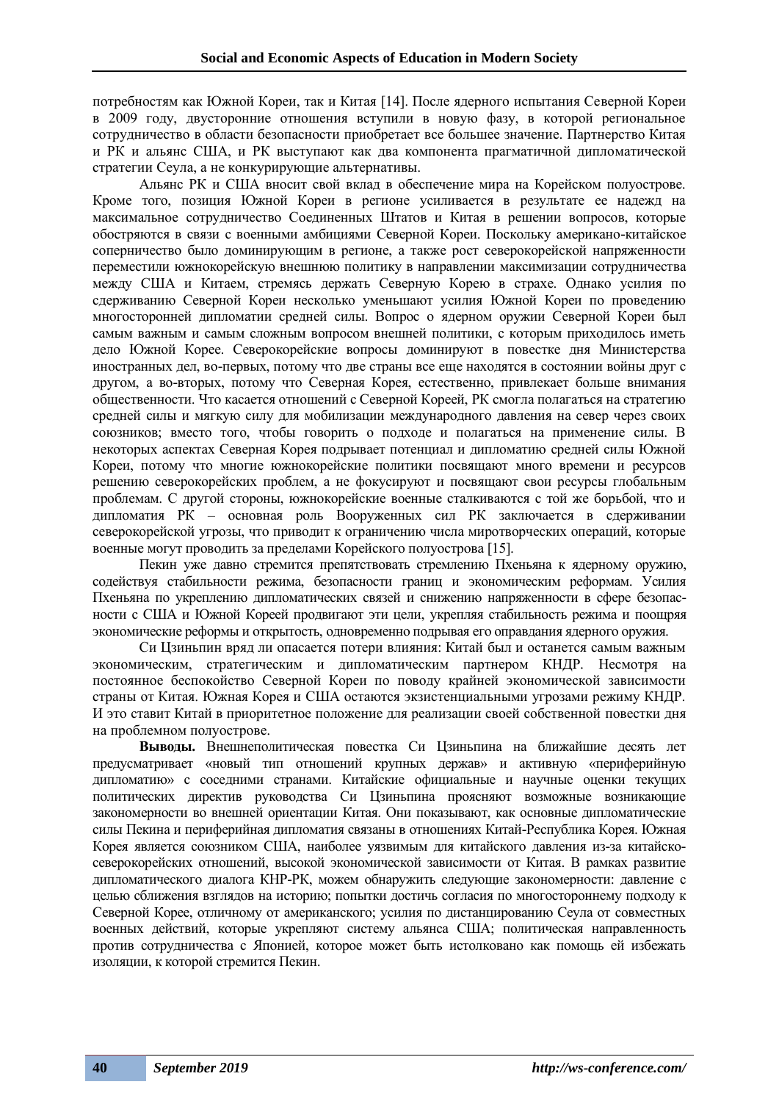потребностям как Южной Кореи, так и Китая [14]. После ядерного испытания Северной Кореи в 2009 году, двусторонние отношения вступили в новую фазу, в которой региональное сотрудничество в области безопасности приобретает все большее значение. Партнерство Китая и РК и альянс США, и РК выступают как два компонента прагматичной дипломатической стратегии Сеула, а не конкурирующие альтернативы.

Альянс РК и США вносит свой вклад в обеспечение мира на Корейском полуострове. Кроме того, позиция Южной Кореи в регионе усиливается в результате ее надежд на максимальное сотрудничество Соединенных Штатов и Китая в решении вопросов, которые обостряются в связи с военными амбициями Северной Кореи. Поскольку американо-китайское соперничество было доминирующим в регионе, а также рост северокорейской напряженности переместили южнокорейскую внешнюю политику в направлении максимизации сотрудничества между США и Китаем, стремясь держать Северную Корею в страхе. Однако усилия по сдерживанию Северной Кореи несколько уменьшают усилия Южной Кореи по проведению многосторонней дипломатии средней силы. Вопрос о ядерном оружии Северной Кореи был самым важным и самым сложным вопросом внешней политики, с которым приходилось иметь дело Южной Корее. Северокорейские вопросы доминируют в повестке дня Министерства иностранных дел, во-первых, потому что две страны все еще находятся в состоянии войны друг с другом, а во-вторых, потому что Северная Корея, естественно, привлекает больше внимания общественности. Что касается отношений с Северной Кореей, РК смогла полагаться на стратегию средней силы и мягкую силу для мобилизации международного давления на север через своих союзников; вместо того, чтобы говорить о подходе и полагаться на применение силы. В некоторых аспектах Северная Корея подрывает потенциал и дипломатию средней силы Южной Кореи, потому что многие южнокорейские политики посвящают много времени и ресурсов решению северокорейских проблем, а не фокусируют и посвящают свои ресурсы глобальным проблемам. С другой стороны, южнокорейские военные сталкиваются с той же борьбой, что и дипломатия РК – основная роль Вооруженных сил РК заключается в сдерживании северокорейской угрозы, что приводит к ограничению числа миротворческих операций, которые военные могут проводить за пределами Корейского полуострова [15].

Пекин уже давно стремится препятствовать стремлению Пхеньяна к ядерному оружию, содействуя стабильности режима, безопасности границ и экономическим реформам. Усилия Пхеньяна по укреплению дипломатических связей и снижению напряженности в сфере безопасности с США и Южной Кореей продвигают эти цели, укрепляя стабильность режима и поощряя экономические реформы и открытость, одновременно подрывая его оправдания ядерного оружия.

Си Цзиньпин вряд ли опасается потери влияния: Китай был и останется самым важным экономическим, стратегическим и дипломатическим партнером КНДР. Несмотря на постоянное беспокойство Северной Кореи по поводу крайней экономической зависимости страны от Китая. Южная Корея и США остаются экзистенциальными угрозами режиму КНДР. И это ставит Китай в приоритетное положение для реализации своей собственной повестки дня на проблемном полуострове.

**Выводы.** Внешнеполитическая повестка Си Цзиньпина на ближайшие десять лет предусматривает «новый тип отношений крупных держав» и активную «периферийную дипломатию» с соседними странами. Китайские официальные и научные оценки текущих политических директив руководства Си Цзиньпина проясняют возможные возникающие закономерности во внешней ориентации Китая. Они показывают, как основные дипломатические силы Пекина и периферийная дипломатия связаны в отношениях Китай-Республика Корея. Южная Корея является союзником США, наиболее уязвимым для китайского давления из-за китайскосеверокорейских отношений, высокой экономической зависимости от Китая. В рамках развитие дипломатического диалога КНР-РК, можем обнаружить следующие закономерности: давление с целью сближения взглядов на историю; попытки достичь согласия по многостороннему подходу к Северной Корее, отличному от американского; усилия по дистанцированию Сеула от совместных военных действий, которые укрепляют систему альянса США; политическая направленность против сотрудничества с Японией, которое может быть истолковано как помощь ей избежать изоляции, к которой стремится Пекин.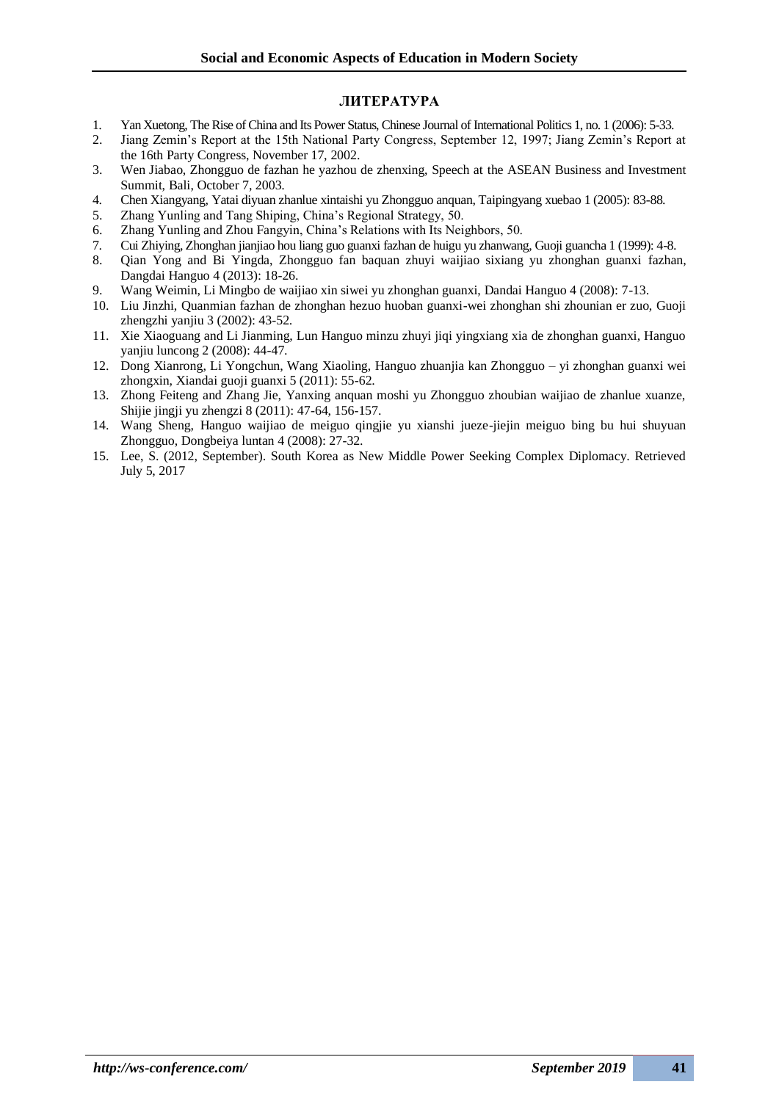### **ЛИТЕРАТУРА**

- 1. Yan Xuetong, The Rise of China and Its Power Status, Chinese Journal of International Politics 1, no. 1 (2006): 5-33.
- 2. Jiang Zemin's Report at the 15th National Party Congress, September 12, 1997; Jiang Zemin's Report at the 16th Party Congress, November 17, 2002.
- 3. Wen Jiabao, Zhongguo de fazhan he yazhou de zhenxing, Speech at the ASEAN Business and Investment Summit, Bali, October 7, 2003.
- 4. Chen Xiangyang, Yatai diyuan zhanlue xintaishi yu Zhongguo anquan, Taipingyang xuebao 1 (2005): 83-88.
- 5. Zhang Yunling and Tang Shiping, China's Regional Strategy, 50.
- 6. Zhang Yunling and Zhou Fangyin, China's Relations with Its Neighbors, 50.
- 7. Cui Zhiying, Zhonghan jianjiao hou liang guo guanxi fazhan de huigu yu zhanwang, Guoji guancha 1 (1999): 4-8.
- 8. Qian Yong and Bi Yingda, Zhongguo fan baquan zhuyi waijiao sixiang yu zhonghan guanxi fazhan, Dangdai Hanguo 4 (2013): 18-26.
- 9. Wang Weimin, Li Mingbo de waijiao xin siwei yu zhonghan guanxi, Dandai Hanguo 4 (2008): 7-13.
- 10. Liu Jinzhi, Quanmian fazhan de zhonghan hezuo huoban guanxi-wei zhonghan shi zhounian er zuo, Guoji zhengzhi yanjiu 3 (2002): 43-52.
- 11. Xie Xiaoguang and Li Jianming, Lun Hanguo minzu zhuyi jiqi yingxiang xia de zhonghan guanxi, Hanguo yanjiu luncong 2 (2008): 44-47.
- 12. Dong Xianrong, Li Yongchun, Wang Xiaoling, Hanguo zhuanjia kan Zhongguo yi zhonghan guanxi wei zhongxin, Xiandai guoji guanxi 5 (2011): 55-62.
- 13. Zhong Feiteng and Zhang Jie, Yanxing anquan moshi yu Zhongguo zhoubian waijiao de zhanlue xuanze, Shijie jingji yu zhengzi 8 (2011): 47-64, 156-157.
- 14. Wang Sheng, Hanguo waijiao de meiguo qingjie yu xianshi jueze-jiejin meiguo bing bu hui shuyuan Zhongguo, Dongbeiya luntan 4 (2008): 27-32.
- 15. Lee, S. (2012, September). South Korea as New Middle Power Seeking Complex Diplomacy. Retrieved July 5, 2017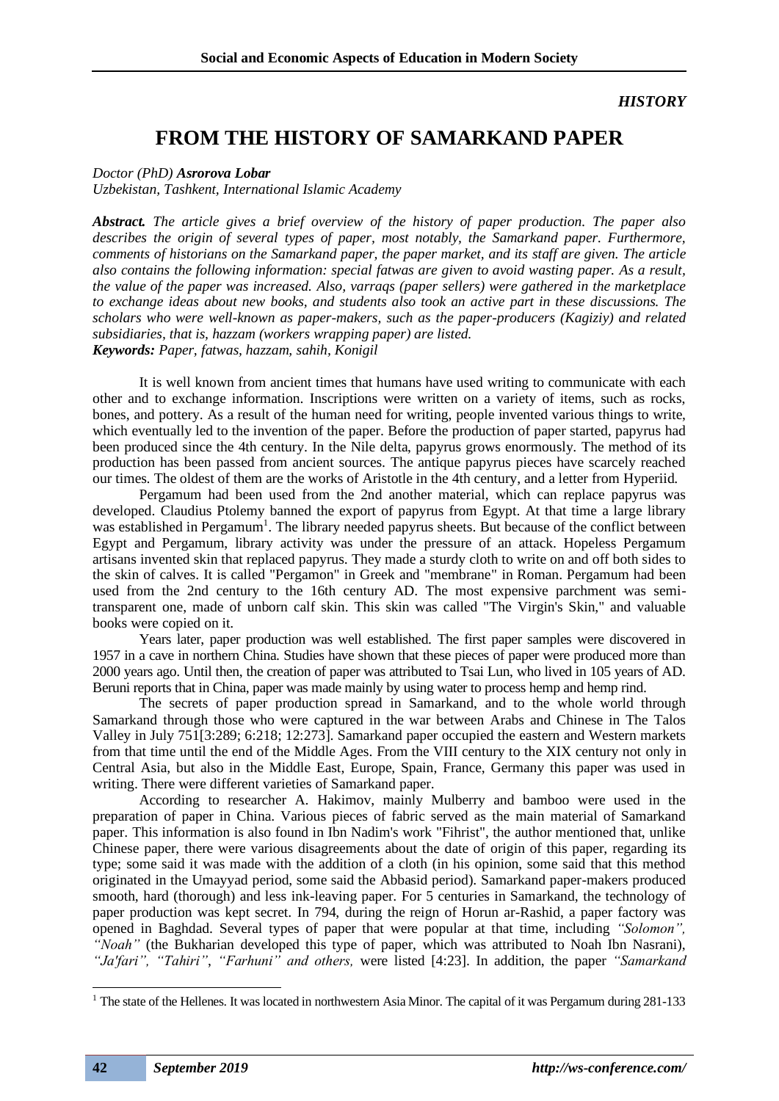### *HISTORY*

## **FROM THE HISTORY OF SAMARKAND PAPER**

#### *Doctor (PhD) Asrorova Lobar*

*Uzbekistan, Tashkent, International Islamic Academy*

*Abstract. The article gives a brief overview of the history of paper production. The paper also describes the origin of several types of paper, most notably, the Samarkand paper. Furthermore, comments of historians on the Samarkand paper, the paper market, and its staff are given. The article also contains the following information: special fatwas are given to avoid wasting paper. As a result, the value of the paper was increased. Also, varraqs (paper sellers) were gathered in the marketplace to exchange ideas about new books, and students also took an active part in these discussions. The scholars who were well-known as paper-makers, such as the paper-producers (Kagiziy) and related subsidiaries, that is, hazzam (workers wrapping paper) are listed. Keywords: Paper, fatwas, hazzam, sahih, Konigil*

It is well known from ancient times that humans have used writing to communicate with each other and to exchange information. Inscriptions were written on a variety of items, such as rocks, bones, and pottery. As a result of the human need for writing, people invented various things to write, which eventually led to the invention of the paper. Before the production of paper started, papyrus had been produced since the 4th century. In the Nile delta, papyrus grows enormously. The method of its production has been passed from ancient sources. The antique papyrus pieces have scarcely reached our times. The oldest of them are the works of Aristotle in the 4th century, and a letter from Hyperiid.

Pergamum had been used from the 2nd another material, which can replace papyrus was developed. Claudius Ptolemy banned the export of papyrus from Egypt. At that time a large library was established in Pergamum<sup>1</sup>. The library needed papyrus sheets. But because of the conflict between Egypt and Pergamum, library activity was under the pressure of an attack. Hopeless Pergamum artisans invented skin that replaced papyrus. They made a sturdy cloth to write on and off both sides to the skin of calves. It is called "Pergamon" in Greek and "membrane" in Roman. Pergamum had been used from the 2nd century to the 16th century AD. The most expensive parchment was semitransparent one, made of unborn calf skin. This skin was called "The Virgin's Skin," and valuable books were copied on it.

Years later, paper production was well established. The first paper samples were discovered in 1957 in a cave in northern China. Studies have shown that these pieces of paper were produced more than 2000 years ago. Until then, the creation of paper was attributed to Tsai Lun, who lived in 105 years of AD. Beruni reports that in China, paper was made mainly by using water to process hemp and hemp rind.

The secrets of paper production spread in Samarkand, and to the whole world through Samarkand through those who were captured in the war between Arabs and Chinese in The Talos Valley in July 751[3:289; 6:218; 12:273]. Samarkand paper occupied the eastern and Western markets from that time until the end of the Middle Ages. From the VIII century to the XIX century not only in Central Asia, but also in the Middle East, Europe, Spain, France, Germany this paper was used in writing. There were different varieties of Samarkand paper.

According to researcher A. Hakimov, mainly Mulberry and bamboo were used in the preparation of paper in China. Various pieces of fabric served as the main material of Samarkand paper. This information is also found in Ibn Nadim's work "Fihrist", the author mentioned that, unlike Chinese paper, there were various disagreements about the date of origin of this paper, regarding its type; some said it was made with the addition of a cloth (in his opinion, some said that this method originated in the Umayyad period, some said the Abbasid period). Samarkand paper-makers produced smooth, hard (thorough) and less ink-leaving paper. For 5 centuries in Samarkand, the technology of paper production was kept secret. In 794, during the reign of Horun ar-Rashid, a paper factory was opened in Baghdad. Several types of paper that were popular at that time, including *"Solomon", "Noah"* (the Bukharian developed this type of paper, which was attributed to Noah Ibn Nasrani), *"Ja'fari", "Tahiri"*, *"Farhuni" and others,* were listed [4:23]. In addition, the paper *"Samarkand* 

<sup>&</sup>lt;sup>1</sup> The state of the Hellenes. It was located in northwestern Asia Minor. The capital of it was Pergamum during  $281-133$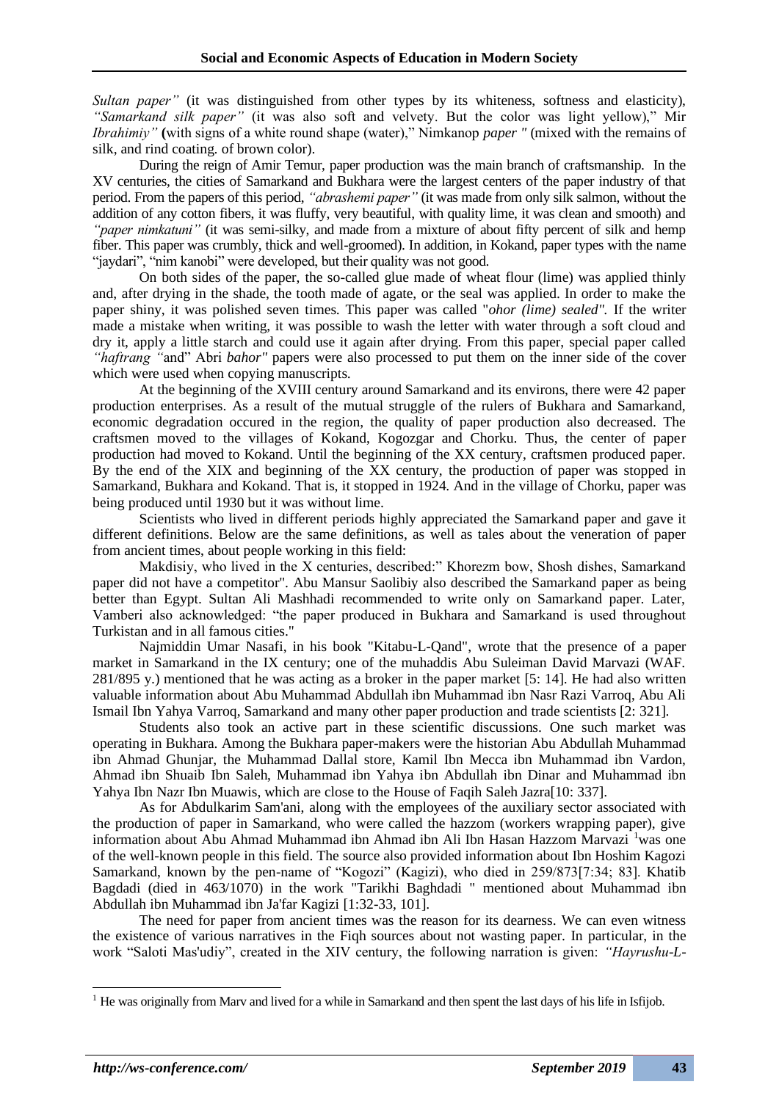*Sultan paper"* (it was distinguished from other types by its whiteness, softness and elasticity), *"Samarkand silk paper"* (it was also soft and velvety. But the color was light yellow)," Mir *Ibrahimiy"* **(**with signs of a white round shape (water)," Nimkanop *paper "* (mixed with the remains of silk, and rind coating. of brown color).

During the reign of Amir Temur, paper production was the main branch of craftsmanship. In the XV centuries, the cities of Samarkand and Bukhara were the largest centers of the paper industry of that period. From the papers of this period, *"abrashemi paper"* (it was made from only silk salmon, without the addition of any cotton fibers, it was fluffy, very beautiful, with quality lime, it was clean and smooth) and *"paper nimkatuni"* (it was semi-silky, and made from a mixture of about fifty percent of silk and hemp fiber. This paper was crumbly, thick and well-groomed). In addition, in Kokand, paper types with the name "jaydari", "nim kanobi" were developed, but their quality was not good.

On both sides of the paper, the so-called glue made of wheat flour (lime) was applied thinly and, after drying in the shade, the tooth made of agate, or the seal was applied. In order to make the paper shiny, it was polished seven times. This paper was called "*ohor (lime) sealed".* If the writer made a mistake when writing, it was possible to wash the letter with water through a soft cloud and dry it, apply a little starch and could use it again after drying. From this paper, special paper called *"haftrang "*and" Abri *bahor"* papers were also processed to put them on the inner side of the cover which were used when copying manuscripts.

At the beginning of the XVIII century around Samarkand and its environs, there were 42 paper production enterprises. As a result of the mutual struggle of the rulers of Bukhara and Samarkand, economic degradation occured in the region, the quality of paper production also decreased. The craftsmen moved to the villages of Kokand, Kogozgar and Chorku. Thus, the center of paper production had moved to Kokand. Until the beginning of the XX century, craftsmen produced paper. By the end of the XIX and beginning of the XX century, the production of paper was stopped in Samarkand, Bukhara and Kokand. That is, it stopped in 1924. And in the village of Chorku, paper was being produced until 1930 but it was without lime.

Scientists who lived in different periods highly appreciated the Samarkand paper and gave it different definitions. Below are the same definitions, as well as tales about the veneration of paper from ancient times, about people working in this field:

Makdisiy, who lived in the X centuries, described:" Khorezm bow, Shosh dishes, Samarkand paper did not have a competitor". Abu Mansur Saolibiy also described the Samarkand paper as being better than Egypt. Sultan Ali Mashhadi recommended to write only on Samarkand paper. Later, Vamberi also acknowledged: "the paper produced in Bukhara and Samarkand is used throughout Turkistan and in all famous cities."

Najmiddin Umar Nasafi, in his book "Kitabu-L-Qand", wrote that the presence of a paper market in Samarkand in the IX century; one of the muhaddis Abu Suleiman David Marvazi (WAF. 281/895 y.) mentioned that he was acting as a broker in the paper market [5: 14]. He had also written valuable information about Abu Muhammad Abdullah ibn Muhammad ibn Nasr Razi Varroq, Abu Ali Ismail Ibn Yahya Varroq, Samarkand and many other paper production and trade scientists [2: 321].

Students also took an active part in these scientific discussions. One such market was operating in Bukhara. Among the Bukhara paper-makers were the historian Abu Abdullah Muhammad ibn Ahmad Ghunjar, the Muhammad Dallal store, Kamil Ibn Mecca ibn Muhammad ibn Vardon, Ahmad ibn Shuaib Ibn Saleh, Muhammad ibn Yahya ibn Abdullah ibn Dinar and Muhammad ibn Yahya Ibn Nazr Ibn Muawis, which are close to the House of Faqih Saleh Jazra[10: 337].

As for Abdulkarim Sam'ani, along with the employees of the auxiliary sector associated with the production of paper in Samarkand, who were called the hazzom (workers wrapping paper), give information about Abu Ahmad Muhammad ibn Ahmad ibn Ali Ibn Hasan Hazzom Marvazi <sup>1</sup>was one of the well-known people in this field. The source also provided information about Ibn Hoshim Kagozi Samarkand, known by the pen-name of "Kogozi" (Kagizi), who died in 259/873[7:34; 83]. Khatib Bagdadi (died in 463/1070) in the work "Tarikhi Baghdadi " mentioned about Muhammad ibn Abdullah ibn Muhammad ibn Ja'far Kagizi [1:32-33, 101].

The need for paper from ancient times was the reason for its dearness. We can even witness the existence of various narratives in the Fiqh sources about not wasting paper. In particular, in the work "Saloti Mas'udiy", created in the XIV century, the following narration is given: *"Hayrushu-L-*

<sup>&</sup>lt;sup>1</sup> He was originally from Marv and lived for a while in Samarkand and then spent the last days of his life in Isfijob.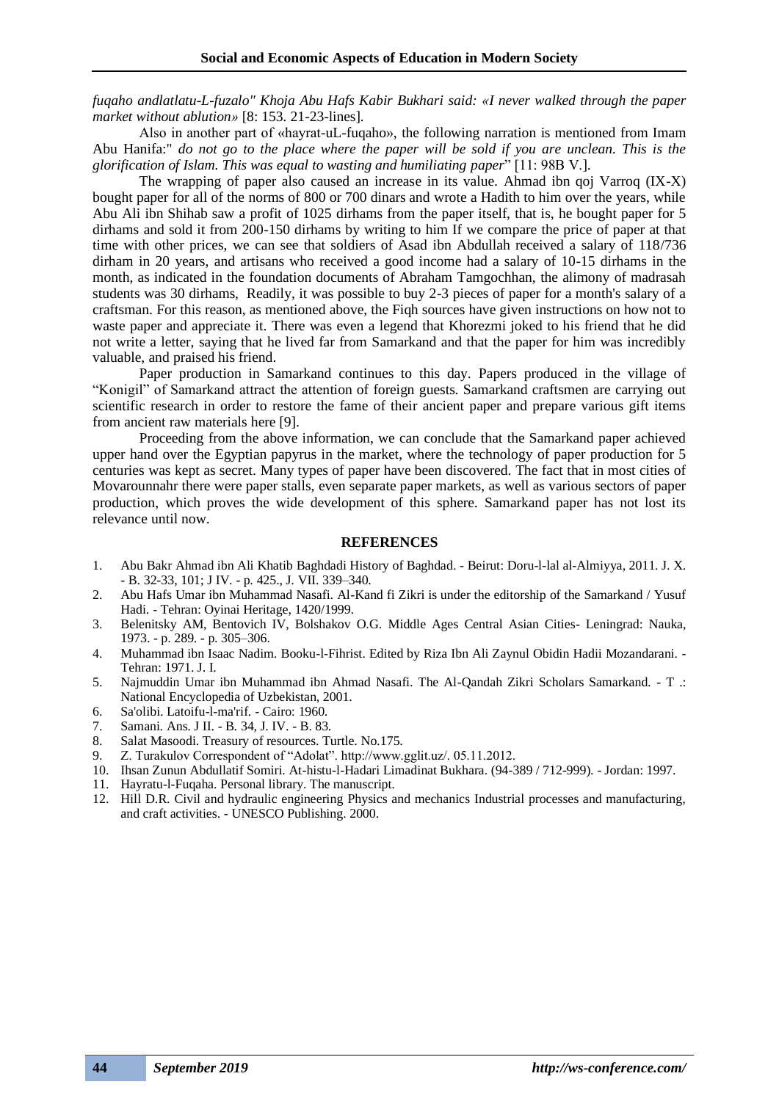*fuqaho andlatlatu-L-fuzalo" Khoja Abu Hafs Kabir Bukhari said: «I never walked through the paper market without ablution»* [8: 153. 21-23-lines]*.* 

Also in another part of «hayrat-uL-fuqaho», the following narration is mentioned from Imam Abu Hanifa:" *do not go to the place where the paper will be sold if you are unclean. This is the glorification of Islam. This was equal to wasting and humiliating paper*" [11: 98B V.].

The wrapping of paper also caused an increase in its value. Ahmad ibn qoj Varroq (IX-X) bought paper for all of the norms of 800 or 700 dinars and wrote a Hadith to him over the years, while Abu Ali ibn Shihab saw a profit of 1025 dirhams from the paper itself, that is, he bought paper for 5 dirhams and sold it from 200-150 dirhams by writing to him If we compare the price of paper at that time with other prices, we can see that soldiers of Asad ibn Abdullah received a salary of 118/736 dirham in 20 years, and artisans who received a good income had a salary of 10-15 dirhams in the month, as indicated in the foundation documents of Abraham Tamgochhan, the alimony of madrasah students was 30 dirhams, Readily, it was possible to buy 2-3 pieces of paper for a month's salary of a craftsman. For this reason, as mentioned above, the Fiqh sources have given instructions on how not to waste paper and appreciate it. There was even a legend that Khorezmi joked to his friend that he did not write a letter, saying that he lived far from Samarkand and that the paper for him was incredibly valuable, and praised his friend.

Paper production in Samarkand continues to this day. Papers produced in the village of "Konigil" of Samarkand attract the attention of foreign guests. Samarkand craftsmen are carrying out scientific research in order to restore the fame of their ancient paper and prepare various gift items from ancient raw materials here [9].

Proceeding from the above information, we can conclude that the Samarkand paper achieved upper hand over the Egyptian papyrus in the market, where the technology of paper production for 5 centuries was kept as secret. Many types of paper have been discovered. The fact that in most cities of Movarounnahr there were paper stalls, even separate paper markets, as well as various sectors of paper production, which proves the wide development of this sphere. Samarkand paper has not lost its relevance until now.

#### **REFERENCES**

- 1. Abu Bakr Ahmad ibn Ali Khatib Baghdadi History of Baghdad. Beirut: Doru-l-lal al-Almiyya, 2011. J. X. - B. 32-33, 101; J IV. - p. 425., J. VII. 339–340.
- 2. Abu Hafs Umar ibn Muhammad Nasafi. Al-Kand fi Zikri is under the editorship of the Samarkand / Yusuf Hadi. - Tehran: Oyinai Heritage, 1420/1999.
- 3. Belenitsky AM, Bentovich IV, Bolshakov O.G. Middle Ages Central Asian Cities- Leningrad: Nauka, 1973. - p. 289. - p. 305–306.
- 4. Muhammad ibn Isaac Nadim. Booku-l-Fihrist. Edited by Riza Ibn Ali Zaynul Obidin Hadii Mozandarani. Tehran: 1971. J. I.
- 5. Najmuddin Umar ibn Muhammad ibn Ahmad Nasafi. The Al-Qandah Zikri Scholars Samarkand. T .: National Encyclopedia of Uzbekistan, 2001.
- 6. Sa'olibi. Latoifu-l-ma'rif. Cairo: 1960.
- 7. Samani. Ans. J II. B. 34, J. IV. B. 83.
- 8. Salat Masoodi. Treasury of resources. Turtle. No.175.
- 9. Z. Turakulov Correspondent of "Adolat". http://www.gglit.uz/. 05.11.2012.
- 10. Ihsan Zunun Abdullatif Somiri. At-histu-l-Hadari Limadinat Bukhara. (94-389 / 712-999). Jordan: 1997.
- 11. Hayratu-l-Fuqaha. Personal library. The manuscript.
- 12. Hill D.R. Civil and hydraulic engineering Physics and mechanics Industrial processes and manufacturing, and craft activities. - UNESCO Publishing. 2000.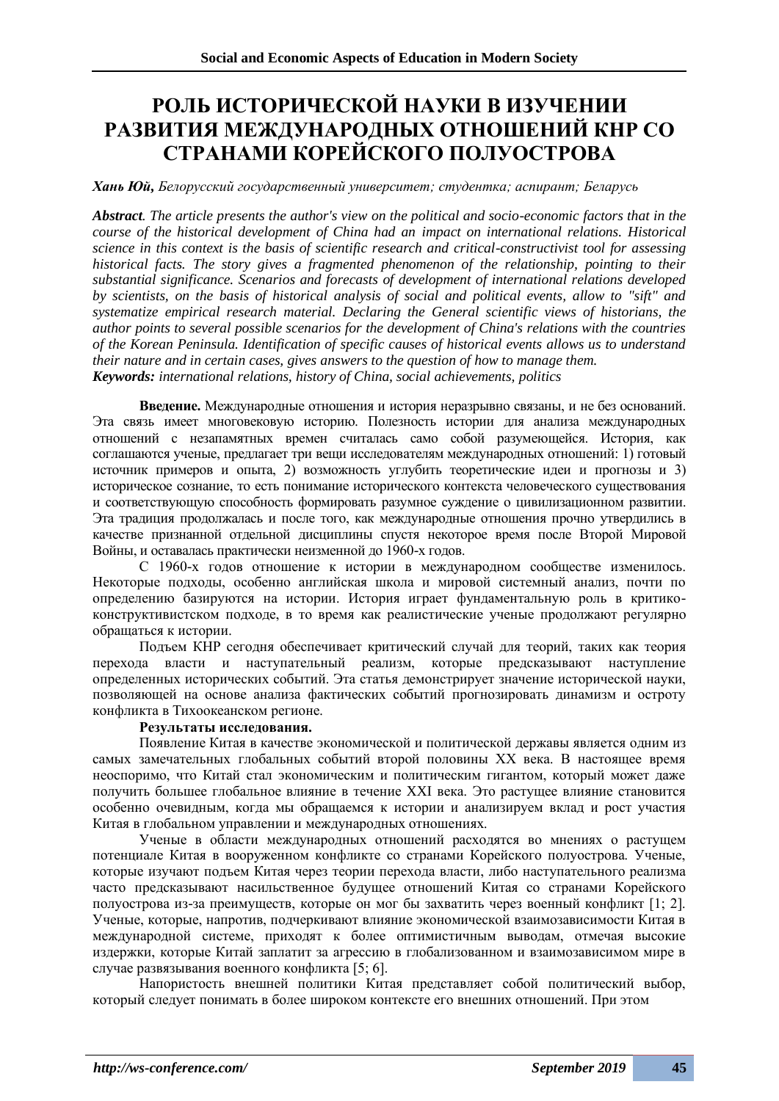# **РОЛЬ ИСТОРИЧЕСКОЙ НАУКИ В ИЗУЧЕНИИ РАЗВИТИЯ МЕЖДУНАРОДНЫХ ОТНОШЕНИЙ КНР СО СТРАНАМИ КОРЕЙСКОГО ПОЛУОСТРОВА**

*Хань Юй, Белорусский государственный университет; студентка; аспирант; Беларусь*

*Abstract. The article presents the author's view on the political and socio-economic factors that in the course of the historical development of China had an impact on international relations. Historical science in this context is the basis of scientific research and critical-constructivist tool for assessing historical facts. The story gives a fragmented phenomenon of the relationship, pointing to their substantial significance. Scenarios and forecasts of development of international relations developed by scientists, on the basis of historical analysis of social and political events, allow to "sift" and systematize empirical research material. Declaring the General scientific views of historians, the author points to several possible scenarios for the development of China's relations with the countries of the Korean Peninsula. Identification of specific causes of historical events allows us to understand their nature and in certain cases, gives answers to the question of how to manage them. Keywords: international relations, history of China, social achievements, politics*

**Введение.** Международные отношения и история неразрывно связаны, и не без оснований. Эта связь имеет многовековую историю. Полезность истории для анализа международных отношений с незапамятных времен считалась само собой разумеющейся. История, как соглашаются ученые, предлагает три вещи исследователям международных отношений: 1) готовый источник примеров и опыта, 2) возможность углубить теоретические идеи и прогнозы и 3) историческое сознание, то есть понимание исторического контекста человеческого существования и соответствующую способность формировать разумное суждение о цивилизационном развитии. Эта традиция продолжалась и после того, как международные отношения прочно утвердились в качестве признанной отдельной дисциплины спустя некоторое время после Второй Мировой Войны, и оставалась практически неизменной до 1960-х годов.

С 1960-х годов отношение к истории в международном сообществе изменилось. Некоторые подходы, особенно английская школа и мировой системный анализ, почти по определению базируются на истории. История играет фундаментальную роль в критикоконструктивистском подходе, в то время как реалистические ученые продолжают регулярно обращаться к истории.

Подъем КНР сегодня обеспечивает критический случай для теорий, таких как теория перехода власти и наступательный реализм, которые предсказывают наступление определенных исторических событий. Эта статья демонстрирует значение исторической науки, позволяющей на основе анализа фактических событий прогнозировать динамизм и остроту конфликта в Тихоокеанском регионе.

#### **Результаты исследования.**

Появление Китая в качестве экономической и политической державы является одним из самых замечательных глобальных событий второй половины ХХ века. В настоящее время неоспоримо, что Китай стал экономическим и политическим гигантом, который может даже получить большее глобальное влияние в течение XXI века. Это растущее влияние становится особенно очевидным, когда мы обращаемся к истории и анализируем вклад и рост участия Китая в глобальном управлении и международных отношениях.

Ученые в области международных отношений расходятся во мнениях о растущем потенциале Китая в вооруженном конфликте со странами Корейского полуострова. Ученые, которые изучают подъем Китая через теории перехода власти, либо наступательного реализма часто предсказывают насильственное будущее отношений Китая со странами Корейского полуострова из-за преимуществ, которые он мог бы захватить через военный конфликт [1; 2]. Ученые, которые, напротив, подчеркивают влияние экономической взаимозависимости Китая в международной системе, приходят к более оптимистичным выводам, отмечая высокие издержки, которые Китай заплатит за агрессию в глобализованном и взаимозависимом мире в случае развязывания военного конфликта [5; 6].

Напористость внешней политики Китая представляет собой политический выбор, который следует понимать в более широком контексте его внешних отношений. При этом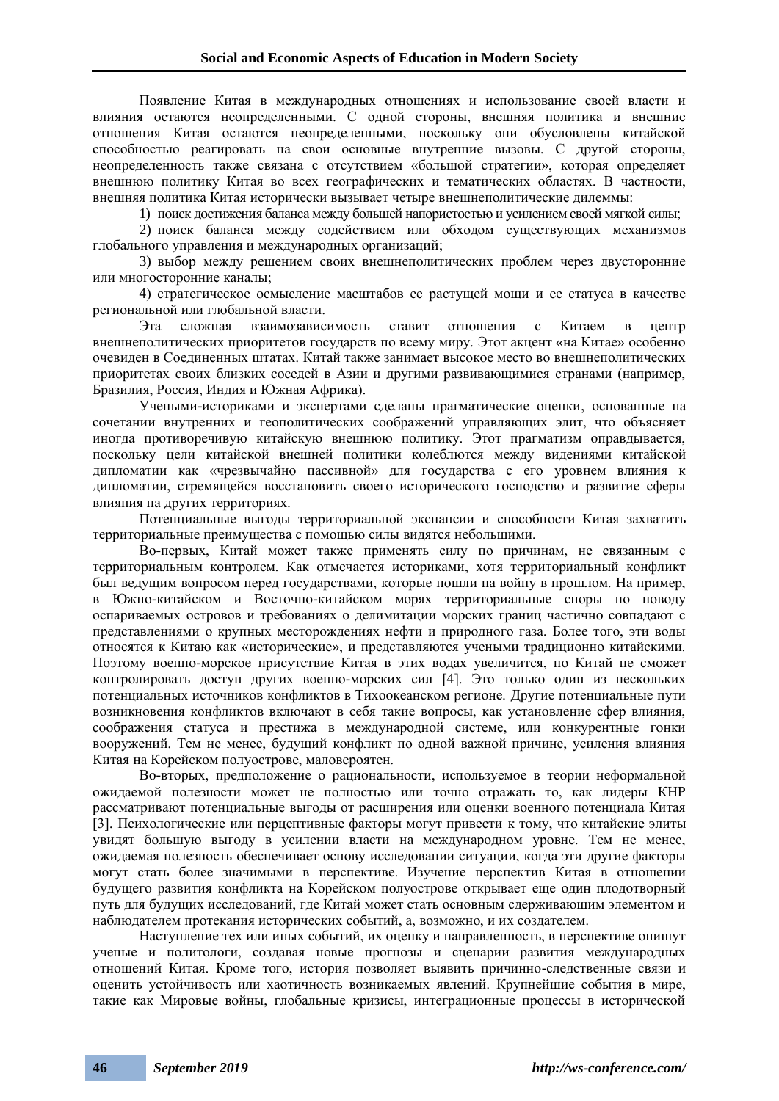Появление Китая в международных отношениях и использование своей власти и влияния остаются неопределенными. С одной стороны, внешняя политика и внешние отношения Китая остаются неопределенными, поскольку они обусловлены китайской способностью реагировать на свои основные внутренние вызовы. С другой стороны, неопределенность также связана с отсутствием «большой стратегии», которая определяет внешнюю политику Китая во всех географических и тематических областях. В частности, внешняя политика Китая исторически вызывает четыре внешнеполитические дилеммы:

1) поиск достижения баланса между большей напористостью и усилением своей мягкой силы;

2) поиск баланса между содействием или обходом существующих механизмов глобального управления и международных организаций;

3) выбор между решением своих внешнеполитических проблем через двусторонние или многосторонние каналы;

4) стратегическое осмысление масштабов ее растущей мощи и ее статуса в качестве региональной или глобальной власти.

Эта сложная взаимозависимость ставит отношения с Китаем в центр внешнеполитических приоритетов государств по всему миру. Этот акцент «на Китае» особенно очевиден в Соединенных штатах. Китай также занимает высокое место во внешнеполитических приоритетах своих близких соседей в Азии и другими развивающимися странами (например, Бразилия, Россия, Индия и Южная Африка).

Учеными-историками и экспертами сделаны прагматические оценки, основанные на сочетании внутренних и геополитических соображений управляющих элит, что объясняет иногда противоречивую китайскую внешнюю политику. Этот прагматизм оправдывается, поскольку цели китайской внешней политики колеблются между видениями китайской дипломатии как «чрезвычайно пассивной» для государства с его уровнем влияния к дипломатии, стремящейся восстановить своего исторического господство и развитие сферы влияния на других территориях.

Потенциальные выгоды территориальной экспансии и способности Китая захватить территориальные преимущества с помощью силы видятся небольшими.

Во-первых, Китай может также применять силу по причинам, не связанным с территориальным контролем. Как отмечается историками, хотя территориальный конфликт был ведущим вопросом перед государствами, которые пошли на войну в прошлом. На пример, в Южно-китайском и Восточно-китайском морях территориальные споры по поводу оспариваемых островов и требованиях о делимитации морских границ частично совпадают с представлениями о крупных месторождениях нефти и природного газа. Более того, эти воды относятся к Китаю как «исторические», и представляются учеными традиционно китайскими. Поэтому военно-морское присутствие Китая в этих водах увеличится, но Китай не сможет контролировать доступ других военно-морских сил [4]. Это только один из нескольких потенциальных источников конфликтов в Тихоокеанском регионе. Другие потенциальные пути возникновения конфликтов включают в себя такие вопросы, как установление сфер влияния, соображения статуса и престижа в международной системе, или конкурентные гонки вооружений. Тем не менее, будущий конфликт по одной важной причине, усиления влияния Китая на Корейском полуострове, маловероятен.

Во-вторых, предположение о рациональности, используемое в теории неформальной ожидаемой полезности может не полностью или точно отражать то, как лидеры КНР рассматривают потенциальные выгоды от расширения или оценки военного потенциала Китая [3]. Психологические или перцептивные факторы могут привести к тому, что китайские элиты увидят большую выгоду в усилении власти на международном уровне. Тем не менее, ожидаемая полезность обеспечивает основу исследовании ситуации, когда эти другие факторы могут стать более значимыми в перспективе. Изучение перспектив Китая в отношении будущего развития конфликта на Корейском полуострове открывает еще один плодотворный путь для будущих исследований, где Китай может стать основным сдерживающим элементом и наблюдателем протекания исторических событий, а, возможно, и их создателем.

Наступление тех или иных событий, их оценку и направленность, в перспективе опишут ученые и политологи, создавая новые прогнозы и сценарии развития международных отношений Китая. Кроме того, история позволяет выявить причинно-следственные связи и оценить устойчивость или хаотичность возникаемых явлений. Крупнейшие события в мире, такие как Мировые войны, глобальные кризисы, интеграционные процессы в исторической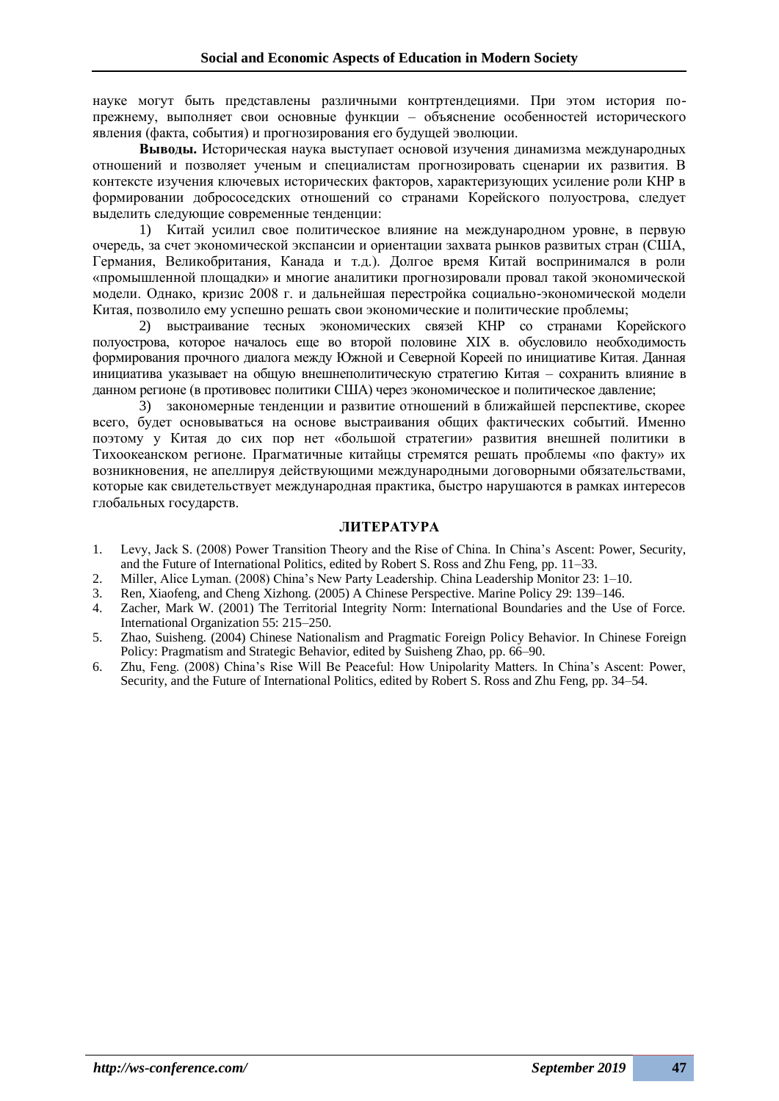науке могут быть представлены различными контртендециями. При этом история попрежнему, выполняет свои основные функции – объяснение особенностей исторического явления (факта, события) и прогнозирования его будущей эволюции.

**Выводы.** Историческая наука выступает основой изучения динамизма международных отношений и позволяет ученым и специалистам прогнозировать сценарии их развития. В контексте изучения ключевых исторических факторов, характеризующих усиление роли КНР в формировании добрососедских отношений со странами Корейского полуострова, следует выделить следующие современные тенденции:

1) Китай усилил свое политическое влияние на международном уровне, в первую очередь, за счет экономической экспансии и ориентации захвата рынков развитых стран (США, Германия, Великобритания, Канада и т.д.). Долгое время Китай воспринимался в роли «промышленной площадки» и многие аналитики прогнозировали провал такой экономической модели. Однако, кризис 2008 г. и дальнейшая перестройка социально-экономической модели Китая, позволило ему успешно решать свои экономические и политические проблемы;

2) выстраивание тесных экономических связей КНР со странами Корейского полуострова, которое началось еще во второй половине XIX в. обусловило необходимость формирования прочного диалога между Южной и Северной Кореей по инициативе Китая. Данная инициатива указывает на общую внешнеполитическую стратегию Китая – сохранить влияние в данном регионе (в противовес политики США) через экономическое и политическое давление;

3) закономерные тенденции и развитие отношений в ближайшей перспективе, скорее всего, будет основываться на основе выстраивания общих фактических событий. Именно поэтому у Китая до сих пор нет «большой стратегии» развития внешней политики в Тихоокеанском регионе. Прагматичные китайцы стремятся решать проблемы «по факту» их возникновения, не апеллируя действующими международными договорными обязательствами, которые как свидетельствует международная практика, быстро нарушаются в рамках интересов глобальных государств.

### **ЛИТЕРАТУРА**

- 1. Levy, Jack S. (2008) Power Transition Theory and the Rise of China. In China's Ascent: Power, Security, and the Future of International Politics, edited by Robert S. Ross and Zhu Feng, pp. 11–33.
- 2. Miller, Alice Lyman. (2008) China's New Party Leadership. China Leadership Monitor 23: 1–10.
- 3. Ren, Xiaofeng, and Cheng Xizhong. (2005) A Chinese Perspective. Marine Policy 29: 139–146.
- 4. Zacher, Mark W. (2001) The Territorial Integrity Norm: International Boundaries and the Use of Force. International Organization 55: 215–250.
- 5. Zhao, Suisheng. (2004) Chinese Nationalism and Pragmatic Foreign Policy Behavior. In Chinese Foreign Policy: Pragmatism and Strategic Behavior, edited by Suisheng Zhao, pp. 66–90.
- 6. Zhu, Feng. (2008) China's Rise Will Be Peaceful: How Unipolarity Matters. In China's Ascent: Power, Security, and the Future of International Politics, edited by Robert S. Ross and Zhu Feng, pp. 34–54.